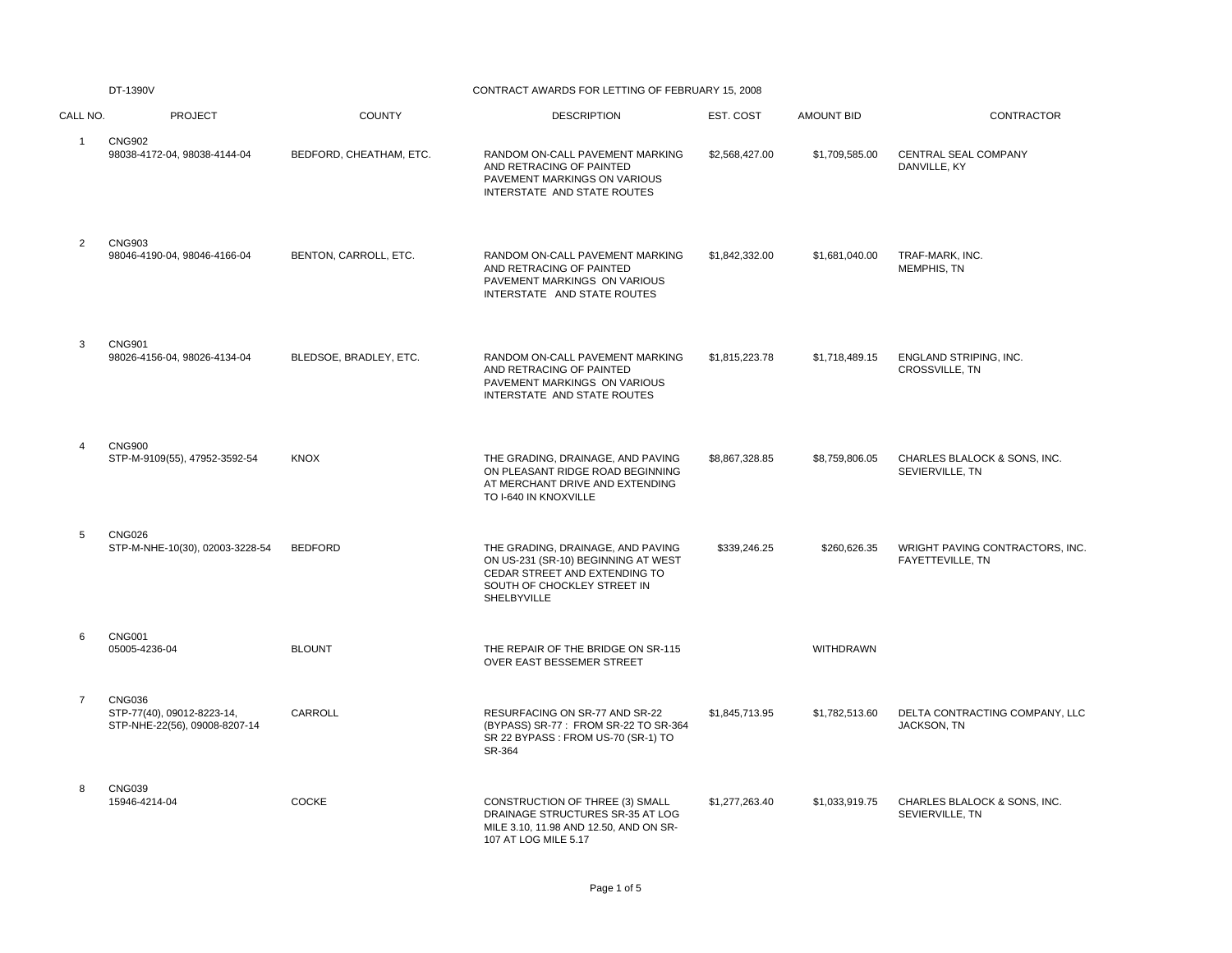|                | DT-1390V                                                                     | CONTRACT AWARDS FOR LETTING OF FEBRUARY 15, 2008 |                                                                                                                                                         |                |                   |                                                      |
|----------------|------------------------------------------------------------------------------|--------------------------------------------------|---------------------------------------------------------------------------------------------------------------------------------------------------------|----------------|-------------------|------------------------------------------------------|
| CALL NO.       | <b>PROJECT</b>                                                               | <b>COUNTY</b>                                    | <b>DESCRIPTION</b>                                                                                                                                      | EST. COST      | <b>AMOUNT BID</b> | CONTRACTOR                                           |
| $\mathbf{1}$   | <b>CNG902</b><br>98038-4172-04, 98038-4144-04                                | BEDFORD, CHEATHAM, ETC.                          | RANDOM ON-CALL PAVEMENT MARKING<br>AND RETRACING OF PAINTED<br>PAVEMENT MARKINGS ON VARIOUS<br>INTERSTATE AND STATE ROUTES                              | \$2,568,427.00 | \$1,709,585.00    | CENTRAL SEAL COMPANY<br>DANVILLE, KY                 |
| 2              | <b>CNG903</b><br>98046-4190-04, 98046-4166-04                                | BENTON, CARROLL, ETC.                            | RANDOM ON-CALL PAVEMENT MARKING<br>AND RETRACING OF PAINTED<br>PAVEMENT MARKINGS ON VARIOUS<br>INTERSTATE AND STATE ROUTES                              | \$1,842,332.00 | \$1,681,040.00    | TRAF-MARK, INC.<br>MEMPHIS, TN                       |
| 3              | <b>CNG901</b><br>98026-4156-04, 98026-4134-04                                | BLEDSOE, BRADLEY, ETC.                           | RANDOM ON-CALL PAVEMENT MARKING<br>AND RETRACING OF PAINTED<br>PAVEMENT MARKINGS ON VARIOUS<br>INTERSTATE AND STATE ROUTES                              | \$1,815,223.78 | \$1,718,489.15    | ENGLAND STRIPING, INC.<br>CROSSVILLE, TN             |
| 4              | <b>CNG900</b><br>STP-M-9109(55), 47952-3592-54                               | <b>KNOX</b>                                      | THE GRADING, DRAINAGE, AND PAVING<br>ON PLEASANT RIDGE ROAD BEGINNING<br>AT MERCHANT DRIVE AND EXTENDING<br>TO I-640 IN KNOXVILLE                       | \$8,867,328.85 | \$8,759,806.05    | CHARLES BLALOCK & SONS, INC.<br>SEVIERVILLE, TN      |
| 5              | <b>CNG026</b><br>STP-M-NHE-10(30), 02003-3228-54                             | <b>BEDFORD</b>                                   | THE GRADING, DRAINAGE, AND PAVING<br>ON US-231 (SR-10) BEGINNING AT WEST<br>CEDAR STREET AND EXTENDING TO<br>SOUTH OF CHOCKLEY STREET IN<br>SHELBYVILLE | \$339,246.25   | \$260,626.35      | WRIGHT PAVING CONTRACTORS, INC.<br>FAYETTEVILLE, TN  |
| 6              | <b>CNG001</b><br>05005-4236-04                                               | <b>BLOUNT</b>                                    | THE REPAIR OF THE BRIDGE ON SR-115<br>OVER EAST BESSEMER STREET                                                                                         |                | WITHDRAWN         |                                                      |
| $\overline{7}$ | <b>CNG036</b><br>STP-77(40), 09012-8223-14,<br>STP-NHE-22(56), 09008-8207-14 | CARROLL                                          | RESURFACING ON SR-77 AND SR-22<br>(BYPASS) SR-77: FROM SR-22 TO SR-364<br>SR 22 BYPASS : FROM US-70 (SR-1) TO<br>SR-364                                 | \$1,845,713.95 | \$1,782,513.60    | DELTA CONTRACTING COMPANY, LLC<br><b>JACKSON, TN</b> |
| 8              | <b>CNG039</b><br>15946-4214-04                                               | COCKE                                            | CONSTRUCTION OF THREE (3) SMALL<br>DRAINAGE STRUCTURES SR-35 AT LOG<br>MILE 3.10, 11.98 AND 12.50, AND ON SR-<br>107 AT LOG MILE 5.17                   | \$1,277,263.40 | \$1,033,919.75    | CHARLES BLALOCK & SONS, INC.<br>SEVIERVILLE, TN      |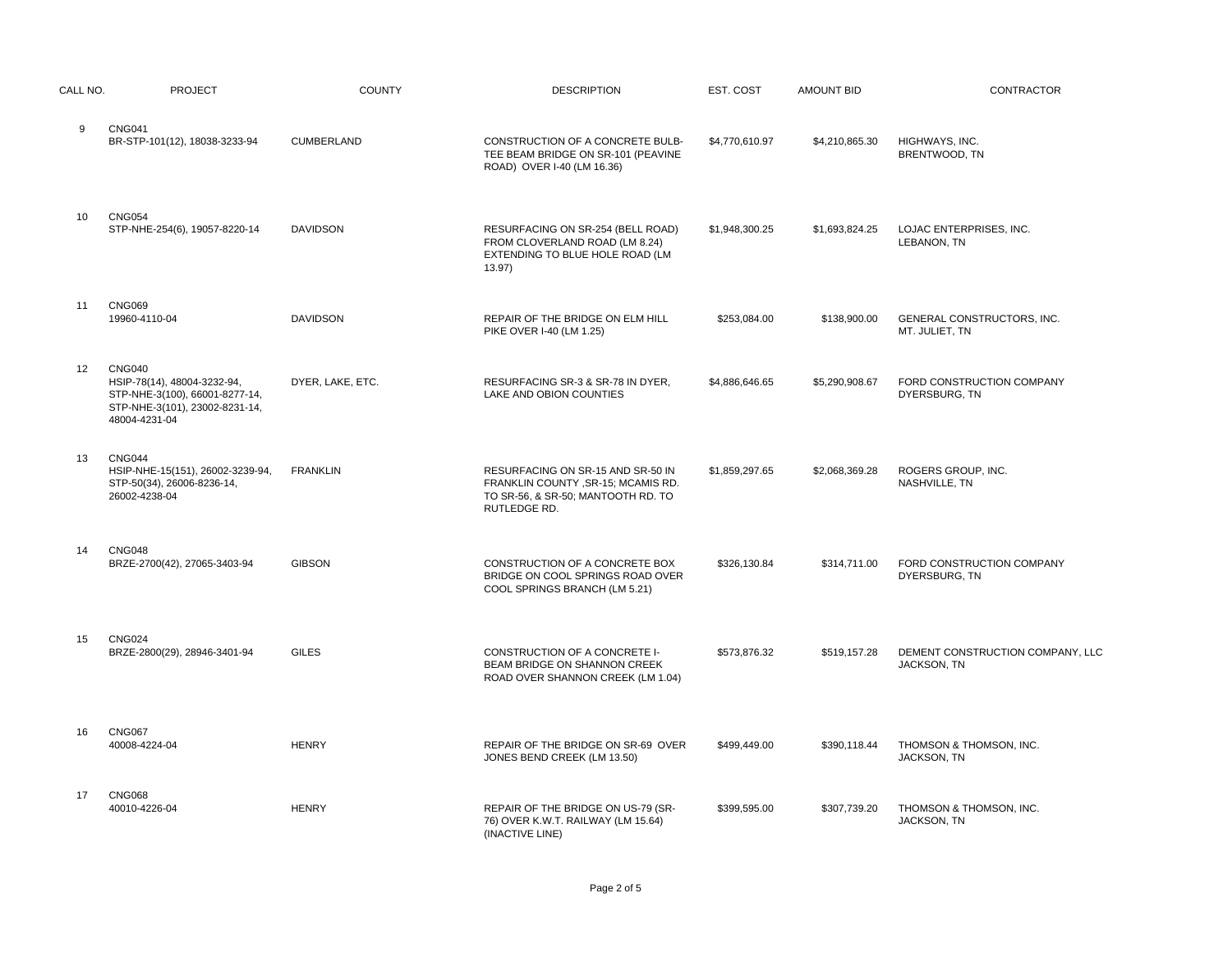| CALL NO. | <b>PROJECT</b>                                                                                                                    | <b>COUNTY</b>     | <b>DESCRIPTION</b>                                                                                                             | EST. COST      | <b>AMOUNT BID</b> | CONTRACTOR                                      |
|----------|-----------------------------------------------------------------------------------------------------------------------------------|-------------------|--------------------------------------------------------------------------------------------------------------------------------|----------------|-------------------|-------------------------------------------------|
| 9        | <b>CNG041</b><br>BR-STP-101(12), 18038-3233-94                                                                                    | <b>CUMBERLAND</b> | CONSTRUCTION OF A CONCRETE BULB-<br>TEE BEAM BRIDGE ON SR-101 (PEAVINE<br>ROAD) OVER I-40 (LM 16.36)                           | \$4,770,610.97 | \$4,210,865.30    | HIGHWAYS, INC.<br>BRENTWOOD, TN                 |
| 10       | <b>CNG054</b><br>STP-NHE-254(6), 19057-8220-14                                                                                    | <b>DAVIDSON</b>   | RESURFACING ON SR-254 (BELL ROAD)<br>FROM CLOVERLAND ROAD (LM 8.24)<br>EXTENDING TO BLUE HOLE ROAD (LM<br>13.97)               | \$1,948,300.25 | \$1,693,824.25    | LOJAC ENTERPRISES, INC.<br>LEBANON, TN          |
| 11       | <b>CNG069</b><br>19960-4110-04                                                                                                    | <b>DAVIDSON</b>   | REPAIR OF THE BRIDGE ON ELM HILL<br>PIKE OVER I-40 (LM 1.25)                                                                   | \$253,084.00   | \$138,900.00      | GENERAL CONSTRUCTORS, INC.<br>MT. JULIET, TN    |
| 12       | <b>CNG040</b><br>HSIP-78(14), 48004-3232-94,<br>STP-NHE-3(100), 66001-8277-14,<br>STP-NHE-3(101), 23002-8231-14,<br>48004-4231-04 | DYER, LAKE, ETC.  | RESURFACING SR-3 & SR-78 IN DYER,<br>LAKE AND OBION COUNTIES                                                                   | \$4,886,646.65 | \$5,290,908.67    | FORD CONSTRUCTION COMPANY<br>DYERSBURG, TN      |
| 13       | CNG044<br>HSIP-NHE-15(151), 26002-3239-94,<br>STP-50(34), 26006-8236-14,<br>26002-4238-04                                         | <b>FRANKLIN</b>   | RESURFACING ON SR-15 AND SR-50 IN<br>FRANKLIN COUNTY , SR-15; MCAMIS RD.<br>TO SR-56, & SR-50; MANTOOTH RD. TO<br>RUTLEDGE RD. | \$1,859,297.65 | \$2,068,369.28    | ROGERS GROUP, INC.<br>NASHVILLE, TN             |
| 14       | <b>CNG048</b><br>BRZE-2700(42), 27065-3403-94                                                                                     | <b>GIBSON</b>     | CONSTRUCTION OF A CONCRETE BOX<br>BRIDGE ON COOL SPRINGS ROAD OVER<br>COOL SPRINGS BRANCH (LM 5.21)                            | \$326,130.84   | \$314,711.00      | FORD CONSTRUCTION COMPANY<br>DYERSBURG, TN      |
| 15       | <b>CNG024</b><br>BRZE-2800(29), 28946-3401-94                                                                                     | <b>GILES</b>      | CONSTRUCTION OF A CONCRETE I-<br>BEAM BRIDGE ON SHANNON CREEK<br>ROAD OVER SHANNON CREEK (LM 1.04)                             | \$573,876.32   | \$519,157.28      | DEMENT CONSTRUCTION COMPANY, LLC<br>JACKSON, TN |
| 16       | <b>CNG067</b><br>40008-4224-04                                                                                                    | <b>HENRY</b>      | REPAIR OF THE BRIDGE ON SR-69 OVER<br>JONES BEND CREEK (LM 13.50)                                                              | \$499,449.00   | \$390,118.44      | THOMSON & THOMSON, INC.<br>JACKSON, TN          |
| 17       | <b>CNG068</b><br>40010-4226-04                                                                                                    | <b>HENRY</b>      | REPAIR OF THE BRIDGE ON US-79 (SR-<br>76) OVER K.W.T. RAILWAY (LM 15.64)<br>(INACTIVE LINE)                                    | \$399,595.00   | \$307.739.20      | THOMSON & THOMSON, INC.<br>JACKSON, TN          |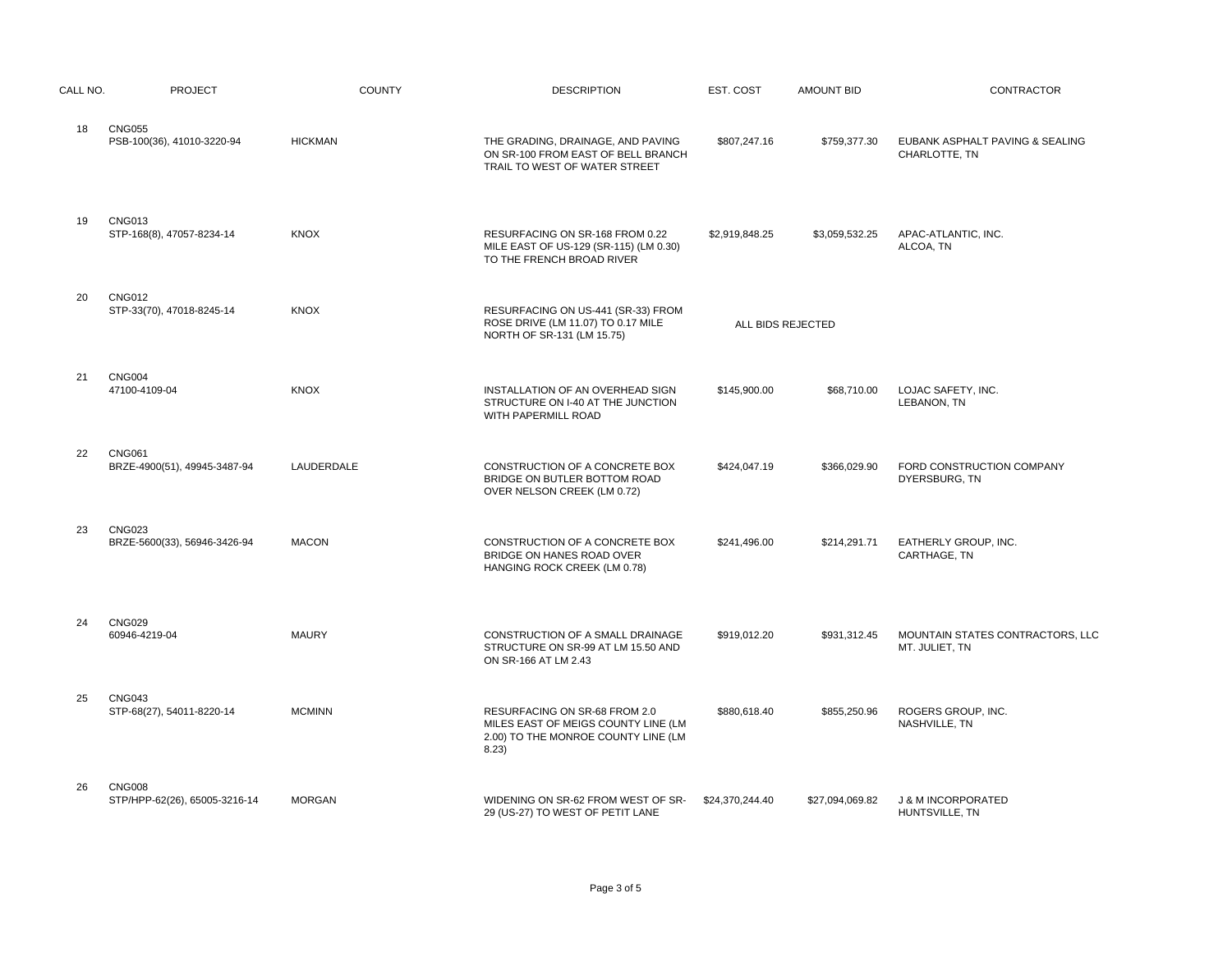| CALL NO. | <b>PROJECT</b>                                 | <b>COUNTY</b>  | <b>DESCRIPTION</b>                                                                                                   | EST. COST         | <b>AMOUNT BID</b> | CONTRACTOR                                         |
|----------|------------------------------------------------|----------------|----------------------------------------------------------------------------------------------------------------------|-------------------|-------------------|----------------------------------------------------|
| 18       | <b>CNG055</b><br>PSB-100(36), 41010-3220-94    | <b>HICKMAN</b> | THE GRADING, DRAINAGE, AND PAVING<br>ON SR-100 FROM EAST OF BELL BRANCH<br>TRAIL TO WEST OF WATER STREET             | \$807,247.16      | \$759,377.30      | EUBANK ASPHALT PAVING & SEALING<br>CHARLOTTE, TN   |
| 19       | <b>CNG013</b><br>STP-168(8), 47057-8234-14     | <b>KNOX</b>    | RESURFACING ON SR-168 FROM 0.22<br>MILE EAST OF US-129 (SR-115) (LM 0.30)<br>TO THE FRENCH BROAD RIVER               | \$2,919,848.25    | \$3,059,532.25    | APAC-ATLANTIC, INC.<br>ALCOA, TN                   |
| 20       | <b>CNG012</b><br>STP-33(70), 47018-8245-14     | <b>KNOX</b>    | RESURFACING ON US-441 (SR-33) FROM<br>ROSE DRIVE (LM 11.07) TO 0.17 MILE<br>NORTH OF SR-131 (LM 15.75)               | ALL BIDS REJECTED |                   |                                                    |
| 21       | <b>CNG004</b><br>47100-4109-04                 | <b>KNOX</b>    | INSTALLATION OF AN OVERHEAD SIGN<br>STRUCTURE ON I-40 AT THE JUNCTION<br>WITH PAPERMILL ROAD                         | \$145,900.00      | \$68,710.00       | LOJAC SAFETY, INC.<br>LEBANON, TN                  |
| 22       | <b>CNG061</b><br>BRZE-4900(51), 49945-3487-94  | LAUDERDALE     | CONSTRUCTION OF A CONCRETE BOX<br>BRIDGE ON BUTLER BOTTOM ROAD<br>OVER NELSON CREEK (LM 0.72)                        | \$424,047.19      | \$366,029.90      | FORD CONSTRUCTION COMPANY<br>DYERSBURG, TN         |
| 23       | <b>CNG023</b><br>BRZE-5600(33), 56946-3426-94  | <b>MACON</b>   | CONSTRUCTION OF A CONCRETE BOX<br>BRIDGE ON HANES ROAD OVER<br>HANGING ROCK CREEK (LM 0.78)                          | \$241,496.00      | \$214,291.71      | EATHERLY GROUP, INC.<br>CARTHAGE, TN               |
| 24       | <b>CNG029</b><br>60946-4219-04                 | <b>MAURY</b>   | CONSTRUCTION OF A SMALL DRAINAGE<br>STRUCTURE ON SR-99 AT LM 15.50 AND<br>ON SR-166 AT LM 2.43                       | \$919,012.20      | \$931,312.45      | MOUNTAIN STATES CONTRACTORS, LLC<br>MT. JULIET, TN |
| 25       | <b>CNG043</b><br>STP-68(27), 54011-8220-14     | <b>MCMINN</b>  | RESURFACING ON SR-68 FROM 2.0<br>MILES EAST OF MEIGS COUNTY LINE (LM<br>2.00) TO THE MONROE COUNTY LINE (LM<br>8.23) | \$880,618.40      | \$855,250.96      | ROGERS GROUP, INC.<br>NASHVILLE, TN                |
| 26       | <b>CNG008</b><br>STP/HPP-62(26), 65005-3216-14 | <b>MORGAN</b>  | WIDENING ON SR-62 FROM WEST OF SR-<br>29 (US-27) TO WEST OF PETIT LANE                                               | \$24,370,244.40   | \$27,094,069.82   | <b>J &amp; M INCORPORATED</b><br>HUNTSVILLE, TN    |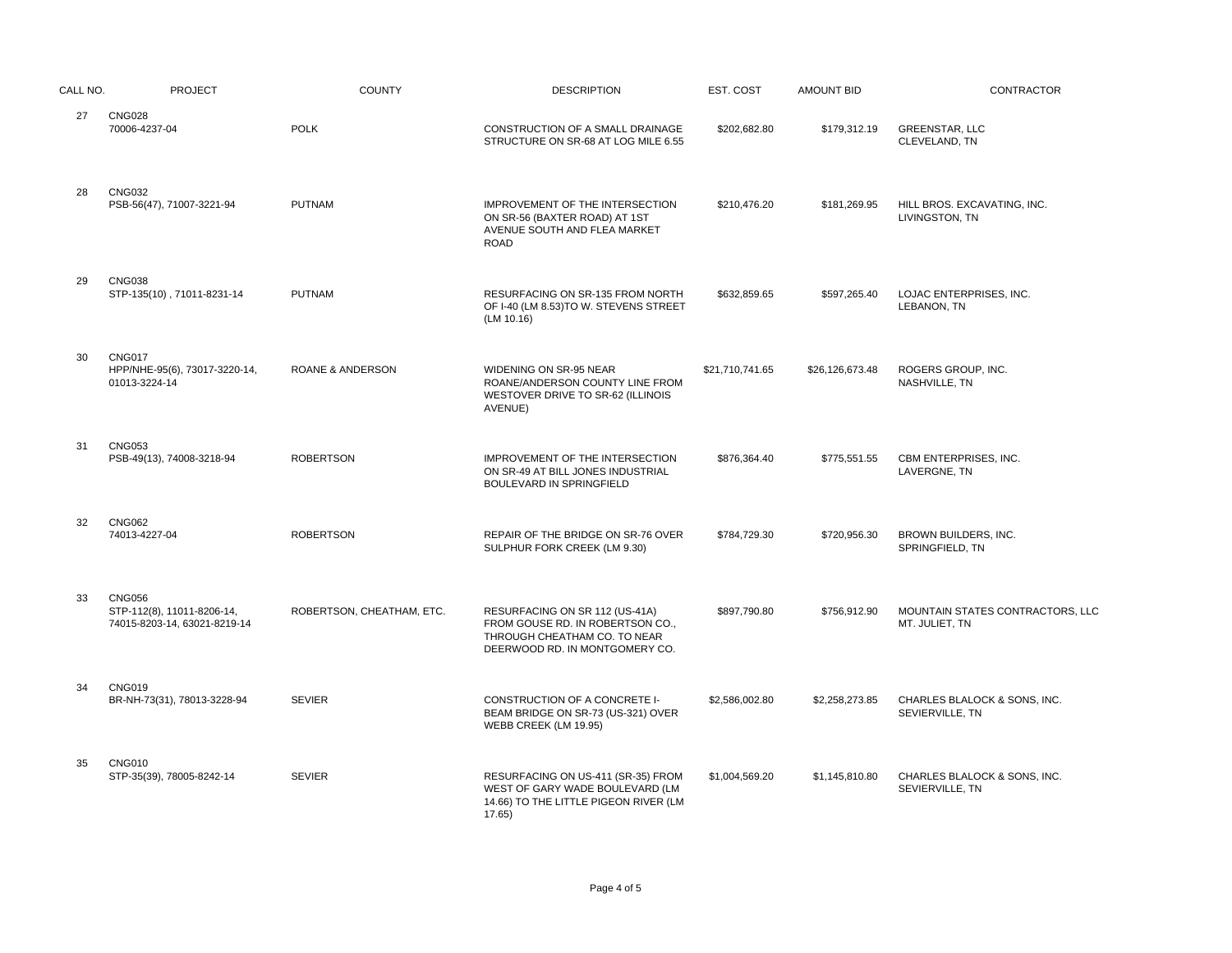| CALL NO. | <b>PROJECT</b>                                                              | <b>COUNTY</b>               | <b>DESCRIPTION</b>                                                                                                                   | EST. COST       | <b>AMOUNT BID</b> | CONTRACTOR                                         |
|----------|-----------------------------------------------------------------------------|-----------------------------|--------------------------------------------------------------------------------------------------------------------------------------|-----------------|-------------------|----------------------------------------------------|
| 27       | <b>CNG028</b><br>70006-4237-04                                              | <b>POLK</b>                 | CONSTRUCTION OF A SMALL DRAINAGE<br>STRUCTURE ON SR-68 AT LOG MILE 6.55                                                              | \$202,682.80    | \$179,312.19      | <b>GREENSTAR, LLC</b><br>CLEVELAND, TN             |
| 28       | <b>CNG032</b><br>PSB-56(47), 71007-3221-94                                  | <b>PUTNAM</b>               | IMPROVEMENT OF THE INTERSECTION<br>ON SR-56 (BAXTER ROAD) AT 1ST<br>AVENUE SOUTH AND FLEA MARKET<br><b>ROAD</b>                      | \$210,476.20    | \$181,269.95      | HILL BROS. EXCAVATING, INC.<br>LIVINGSTON, TN      |
| 29       | <b>CNG038</b><br>STP-135(10), 71011-8231-14                                 | <b>PUTNAM</b>               | RESURFACING ON SR-135 FROM NORTH<br>OF I-40 (LM 8.53)TO W. STEVENS STREET<br>(LM 10.16)                                              | \$632,859.65    | \$597,265.40      | LOJAC ENTERPRISES, INC.<br>LEBANON, TN             |
| 30       | <b>CNG017</b><br>HPP/NHE-95(6), 73017-3220-14,<br>01013-3224-14             | <b>ROANE &amp; ANDERSON</b> | WIDENING ON SR-95 NEAR<br>ROANE/ANDERSON COUNTY LINE FROM<br>WESTOVER DRIVE TO SR-62 (ILLINOIS<br>AVENUE)                            | \$21,710,741.65 | \$26,126,673.48   | ROGERS GROUP, INC.<br>NASHVILLE, TN                |
| 31       | <b>CNG053</b><br>PSB-49(13), 74008-3218-94                                  | <b>ROBERTSON</b>            | IMPROVEMENT OF THE INTERSECTION<br>ON SR-49 AT BILL JONES INDUSTRIAL<br>BOULEVARD IN SPRINGFIELD                                     | \$876,364.40    | \$775,551.55      | CBM ENTERPRISES, INC.<br>LAVERGNE, TN              |
| 32       | <b>CNG062</b><br>74013-4227-04                                              | <b>ROBERTSON</b>            | REPAIR OF THE BRIDGE ON SR-76 OVER<br>SULPHUR FORK CREEK (LM 9.30)                                                                   | \$784,729.30    | \$720,956.30      | BROWN BUILDERS, INC.<br>SPRINGFIELD, TN            |
| 33       | <b>CNG056</b><br>STP-112(8), 11011-8206-14,<br>74015-8203-14, 63021-8219-14 | ROBERTSON, CHEATHAM, ETC.   | RESURFACING ON SR 112 (US-41A)<br>FROM GOUSE RD. IN ROBERTSON CO.,<br>THROUGH CHEATHAM CO. TO NEAR<br>DEERWOOD RD. IN MONTGOMERY CO. | \$897,790.80    | \$756.912.90      | MOUNTAIN STATES CONTRACTORS, LLC<br>MT. JULIET, TN |
| 34       | <b>CNG019</b><br>BR-NH-73(31), 78013-3228-94                                | <b>SEVIER</b>               | CONSTRUCTION OF A CONCRETE I-<br>BEAM BRIDGE ON SR-73 (US-321) OVER<br>WEBB CREEK (LM 19.95)                                         | \$2,586,002.80  | \$2,258,273.85    | CHARLES BLALOCK & SONS, INC.<br>SEVIERVILLE, TN    |
| 35       | <b>CNG010</b><br>STP-35(39), 78005-8242-14                                  | <b>SEVIER</b>               | RESURFACING ON US-411 (SR-35) FROM<br>WEST OF GARY WADE BOULEVARD (LM<br>14.66) TO THE LITTLE PIGEON RIVER (LM<br>17.65              | \$1,004,569.20  | \$1,145,810.80    | CHARLES BLALOCK & SONS, INC.<br>SEVIERVILLE, TN    |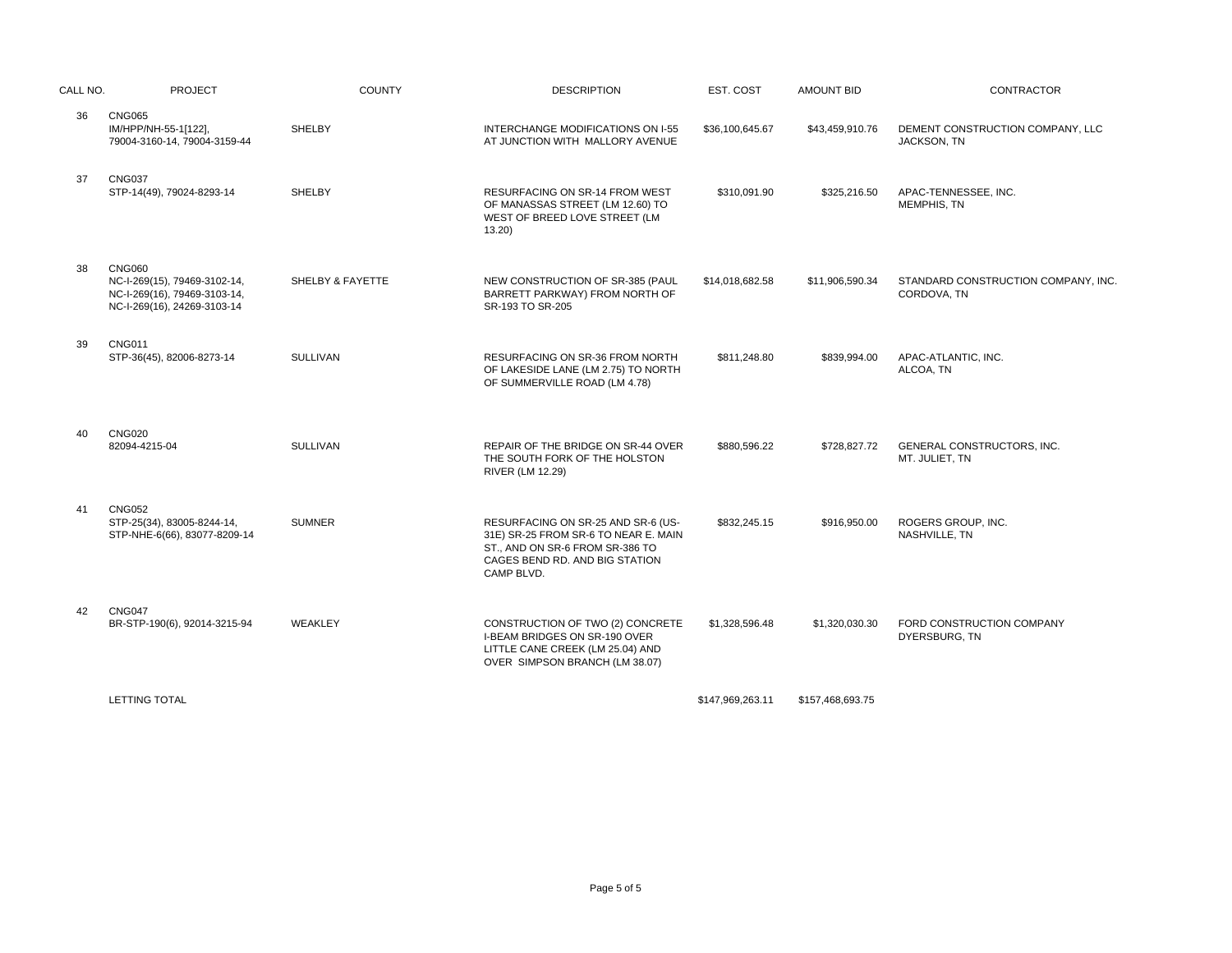| CALL NO. | <b>PROJECT</b>                                                                                               | <b>COUNTY</b>    | <b>DESCRIPTION</b>                                                                                                                                            | EST. COST        | <b>AMOUNT BID</b> | <b>CONTRACTOR</b>                                  |
|----------|--------------------------------------------------------------------------------------------------------------|------------------|---------------------------------------------------------------------------------------------------------------------------------------------------------------|------------------|-------------------|----------------------------------------------------|
| 36       | <b>CNG065</b><br>IM/HPP/NH-55-1[122],<br>79004-3160-14, 79004-3159-44                                        | SHELBY           | INTERCHANGE MODIFICATIONS ON I-55<br>AT JUNCTION WITH MALLORY AVENUE                                                                                          | \$36,100,645.67  | \$43,459,910.76   | DEMENT CONSTRUCTION COMPANY, LLC<br>JACKSON, TN    |
| 37       | <b>CNG037</b><br>STP-14(49), 79024-8293-14                                                                   | <b>SHELBY</b>    | <b>RESURFACING ON SR-14 FROM WEST</b><br>OF MANASSAS STREET (LM 12.60) TO<br>WEST OF BREED LOVE STREET (LM<br>13.20                                           | \$310,091.90     | \$325,216.50      | APAC-TENNESSEE. INC.<br>MEMPHIS, TN                |
| 38       | <b>CNG060</b><br>NC-I-269(15), 79469-3102-14,<br>NC-I-269(16), 79469-3103-14,<br>NC-I-269(16), 24269-3103-14 | SHELBY & FAYETTE | NEW CONSTRUCTION OF SR-385 (PAUL<br>BARRETT PARKWAY) FROM NORTH OF<br>SR-193 TO SR-205                                                                        | \$14,018,682.58  | \$11,906,590.34   | STANDARD CONSTRUCTION COMPANY, INC.<br>CORDOVA, TN |
| 39       | <b>CNG011</b><br>STP-36(45), 82006-8273-14                                                                   | <b>SULLIVAN</b>  | <b>RESURFACING ON SR-36 FROM NORTH</b><br>OF LAKESIDE LANE (LM 2.75) TO NORTH<br>OF SUMMERVILLE ROAD (LM 4.78)                                                | \$811,248.80     | \$839,994.00      | APAC-ATLANTIC, INC.<br>ALCOA, TN                   |
| 40       | <b>CNG020</b><br>82094-4215-04                                                                               | <b>SULLIVAN</b>  | REPAIR OF THE BRIDGE ON SR-44 OVER<br>THE SOUTH FORK OF THE HOLSTON<br>RIVER (LM 12.29)                                                                       | \$880,596.22     | \$728,827.72      | GENERAL CONSTRUCTORS, INC.<br>MT. JULIET, TN       |
| 41       | <b>CNG052</b><br>STP-25(34), 83005-8244-14,<br>STP-NHE-6(66), 83077-8209-14                                  | <b>SUMNER</b>    | RESURFACING ON SR-25 AND SR-6 (US-<br>31E) SR-25 FROM SR-6 TO NEAR E. MAIN<br>ST., AND ON SR-6 FROM SR-386 TO<br>CAGES BEND RD. AND BIG STATION<br>CAMP BLVD. | \$832,245.15     | \$916,950.00      | ROGERS GROUP, INC.<br>NASHVILLE, TN                |
| 42       | <b>CNG047</b><br>BR-STP-190(6), 92014-3215-94                                                                | WEAKLEY          | CONSTRUCTION OF TWO (2) CONCRETE<br><b>I-BEAM BRIDGES ON SR-190 OVER</b><br>LITTLE CANE CREEK (LM 25.04) AND<br>OVER SIMPSON BRANCH (LM 38.07)                | \$1,328,596.48   | \$1,320,030.30    | FORD CONSTRUCTION COMPANY<br>DYERSBURG, TN         |
|          | LETTING TOTAL                                                                                                |                  |                                                                                                                                                               | \$147,969,263.11 | \$157,468,693.75  |                                                    |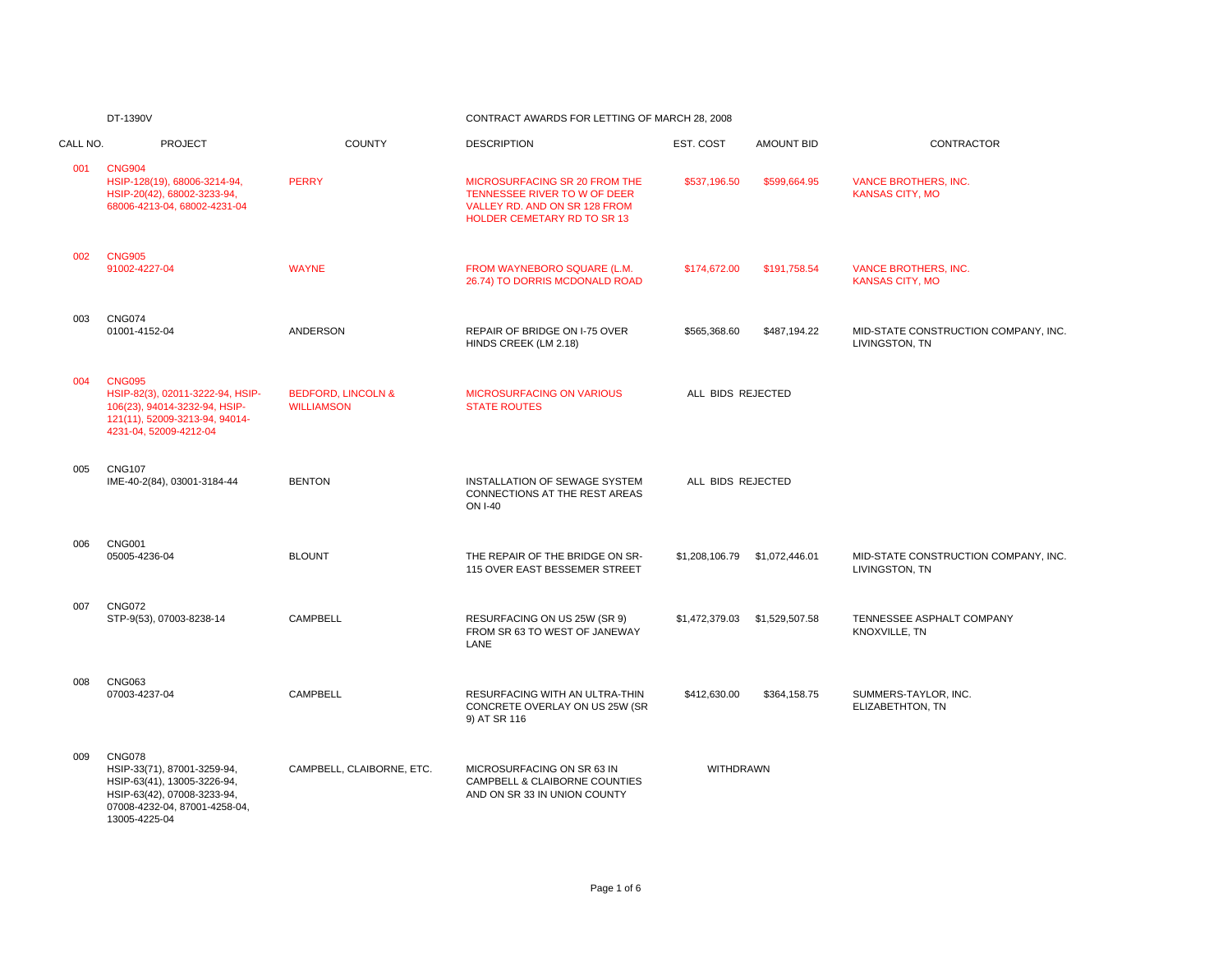#### DT-1390V CONTRACT AWARDS FOR LETTING OF MARCH 28, 2008

| CALL NO. | <b>PROJECT</b>                                                                                                                                               | <b>COUNTY</b>                                      | <b>DESCRIPTION</b>                                                                                                            | EST. COST         | <b>AMOUNT BID</b> | CONTRACTOR                                             |
|----------|--------------------------------------------------------------------------------------------------------------------------------------------------------------|----------------------------------------------------|-------------------------------------------------------------------------------------------------------------------------------|-------------------|-------------------|--------------------------------------------------------|
| 001      | <b>CNG904</b><br>HSIP-128(19), 68006-3214-94,<br>HSIP-20(42), 68002-3233-94,<br>68006-4213-04, 68002-4231-04                                                 | <b>PERRY</b>                                       | MICROSURFACING SR 20 FROM THE<br>TENNESSEE RIVER TO W OF DEER<br>VALLEY RD. AND ON SR 128 FROM<br>HOLDER CEMETARY RD TO SR 13 | \$537,196.50      | \$599,664.95      | <b>VANCE BROTHERS, INC.</b><br><b>KANSAS CITY, MO</b>  |
| 002      | <b>CNG905</b><br>91002-4227-04                                                                                                                               | <b>WAYNE</b>                                       | FROM WAYNEBORO SQUARE (L.M.<br>26.74) TO DORRIS MCDONALD ROAD                                                                 | \$174,672.00      | \$191,758.54      | <b>VANCE BROTHERS, INC.</b><br><b>KANSAS CITY, MO</b>  |
| 003      | <b>CNG074</b><br>01001-4152-04                                                                                                                               | <b>ANDERSON</b>                                    | REPAIR OF BRIDGE ON I-75 OVER<br>HINDS CREEK (LM 2.18)                                                                        | \$565,368.60      | \$487,194.22      | MID-STATE CONSTRUCTION COMPANY, INC.<br>LIVINGSTON, TN |
| 004      | <b>CNG095</b><br>HSIP-82(3), 02011-3222-94, HSIP-<br>106(23), 94014-3232-94, HSIP-<br>121(11), 52009-3213-94, 94014-<br>4231-04, 52009-4212-04               | <b>BEDFORD, LINCOLN &amp;</b><br><b>WILLIAMSON</b> | <b>MICROSURFACING ON VARIOUS</b><br><b>STATE ROUTES</b>                                                                       | ALL BIDS REJECTED |                   |                                                        |
| 005      | <b>CNG107</b><br>IME-40-2(84), 03001-3184-44                                                                                                                 | <b>BENTON</b>                                      | INSTALLATION OF SEWAGE SYSTEM<br>CONNECTIONS AT THE REST AREAS<br><b>ON I-40</b>                                              | ALL BIDS REJECTED |                   |                                                        |
| 006      | <b>CNG001</b><br>05005-4236-04                                                                                                                               | <b>BLOUNT</b>                                      | THE REPAIR OF THE BRIDGE ON SR-<br>115 OVER EAST BESSEMER STREET                                                              | \$1,208,106.79    | \$1,072,446.01    | MID-STATE CONSTRUCTION COMPANY, INC.<br>LIVINGSTON, TN |
| 007      | <b>CNG072</b><br>STP-9(53), 07003-8238-14                                                                                                                    | <b>CAMPBELL</b>                                    | RESURFACING ON US 25W (SR 9)<br>FROM SR 63 TO WEST OF JANEWAY<br>LANE                                                         | \$1,472,379.03    | \$1,529,507.58    | TENNESSEE ASPHALT COMPANY<br>KNOXVILLE, TN             |
| 008      | <b>CNG063</b><br>07003-4237-04                                                                                                                               | CAMPBELL                                           | RESURFACING WITH AN ULTRA-THIN<br>CONCRETE OVERLAY ON US 25W (SR<br>9) AT SR 116                                              | \$412,630.00      | \$364,158.75      | SUMMERS-TAYLOR, INC.<br>ELIZABETHTON, TN               |
| 009      | <b>CNG078</b><br>HSIP-33(71), 87001-3259-94,<br>HSIP-63(41), 13005-3226-94,<br>HSIP-63(42), 07008-3233-94,<br>07008-4232-04, 87001-4258-04,<br>13005-4225-04 | CAMPBELL, CLAIBORNE, ETC.                          | MICROSURFACING ON SR 63 IN<br>CAMPBELL & CLAIBORNE COUNTIES<br>AND ON SR 33 IN UNION COUNTY                                   | WITHDRAWN         |                   |                                                        |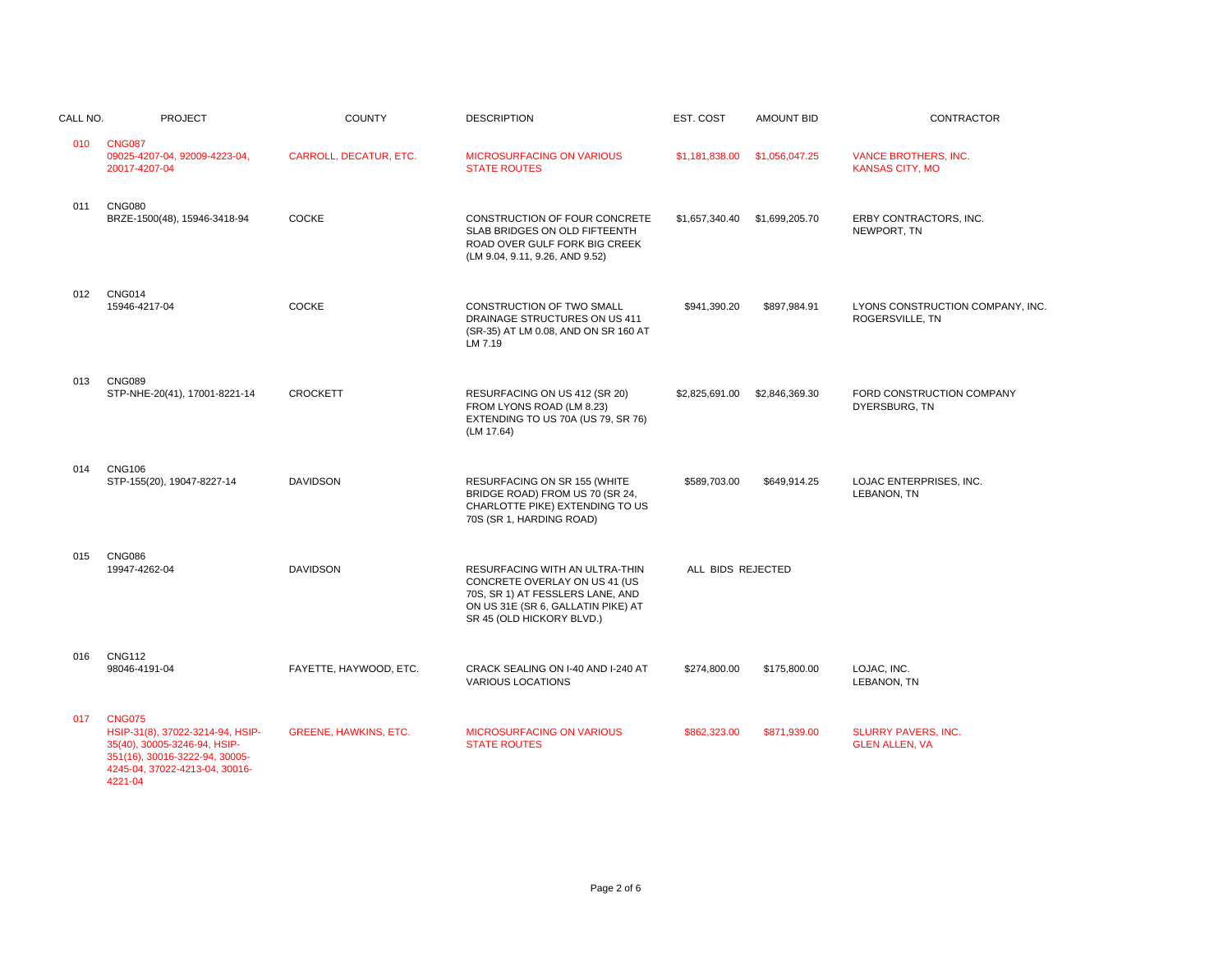| CALL NO. | <b>PROJECT</b>                                                                                                                                                   | <b>COUNTY</b>                | <b>DESCRIPTION</b>                                                                                                                                                     | EST. COST         | <b>AMOUNT BID</b> | <b>CONTRACTOR</b>                                     |
|----------|------------------------------------------------------------------------------------------------------------------------------------------------------------------|------------------------------|------------------------------------------------------------------------------------------------------------------------------------------------------------------------|-------------------|-------------------|-------------------------------------------------------|
| 010      | <b>CNG087</b><br>09025-4207-04, 92009-4223-04,<br>20017-4207-04                                                                                                  | CARROLL, DECATUR, ETC.       | <b>MICROSURFACING ON VARIOUS</b><br><b>STATE ROUTES</b>                                                                                                                | \$1.181.838.00    | \$1,056,047.25    | <b>VANCE BROTHERS, INC.</b><br><b>KANSAS CITY, MO</b> |
| 011      | <b>CNG080</b><br>BRZE-1500(48), 15946-3418-94                                                                                                                    | <b>COCKE</b>                 | CONSTRUCTION OF FOUR CONCRETE<br>SLAB BRIDGES ON OLD FIFTEENTH<br>ROAD OVER GULF FORK BIG CREEK<br>(LM 9.04, 9.11, 9.26, AND 9.52)                                     | \$1,657,340.40    | \$1,699,205.70    | ERBY CONTRACTORS, INC.<br>NEWPORT, TN                 |
| 012      | <b>CNG014</b><br>15946-4217-04                                                                                                                                   | <b>COCKE</b>                 | CONSTRUCTION OF TWO SMALL<br>DRAINAGE STRUCTURES ON US 411<br>(SR-35) AT LM 0.08, AND ON SR 160 AT<br>LM 7.19                                                          | \$941,390.20      | \$897,984.91      | LYONS CONSTRUCTION COMPANY, INC.<br>ROGERSVILLE, TN   |
| 013      | <b>CNG089</b><br>STP-NHE-20(41), 17001-8221-14                                                                                                                   | <b>CROCKETT</b>              | RESURFACING ON US 412 (SR 20)<br>FROM LYONS ROAD (LM 8.23)<br>EXTENDING TO US 70A (US 79, SR 76)<br>(LM 17.64)                                                         | \$2,825,691.00    | \$2,846,369.30    | FORD CONSTRUCTION COMPANY<br>DYERSBURG, TN            |
| 014      | <b>CNG106</b><br>STP-155(20), 19047-8227-14                                                                                                                      | <b>DAVIDSON</b>              | RESURFACING ON SR 155 (WHITE<br>BRIDGE ROAD) FROM US 70 (SR 24,<br>CHARLOTTE PIKE) EXTENDING TO US<br>70S (SR 1, HARDING ROAD)                                         | \$589,703.00      | \$649,914.25      | LOJAC ENTERPRISES, INC.<br>LEBANON. TN                |
| 015      | <b>CNG086</b><br>19947-4262-04                                                                                                                                   | <b>DAVIDSON</b>              | RESURFACING WITH AN ULTRA-THIN<br>CONCRETE OVERLAY ON US 41 (US<br>70S, SR 1) AT FESSLERS LANE, AND<br>ON US 31E (SR 6, GALLATIN PIKE) AT<br>SR 45 (OLD HICKORY BLVD.) | ALL BIDS REJECTED |                   |                                                       |
| 016      | <b>CNG112</b><br>98046-4191-04                                                                                                                                   | FAYETTE, HAYWOOD, ETC.       | CRACK SEALING ON I-40 AND I-240 AT<br><b>VARIOUS LOCATIONS</b>                                                                                                         | \$274,800.00      | \$175,800.00      | LOJAC, INC.<br>LEBANON, TN                            |
| 017      | <b>CNG075</b><br>HSIP-31(8), 37022-3214-94, HSIP-<br>35(40), 30005-3246-94, HSIP-<br>351(16), 30016-3222-94, 30005-<br>4245-04, 37022-4213-04, 30016-<br>4221-04 | <b>GREENE, HAWKINS, ETC.</b> | <b>MICROSURFACING ON VARIOUS</b><br><b>STATE ROUTES</b>                                                                                                                | \$862,323.00      | \$871,939.00      | SLURRY PAVERS, INC.<br><b>GLEN ALLEN, VA</b>          |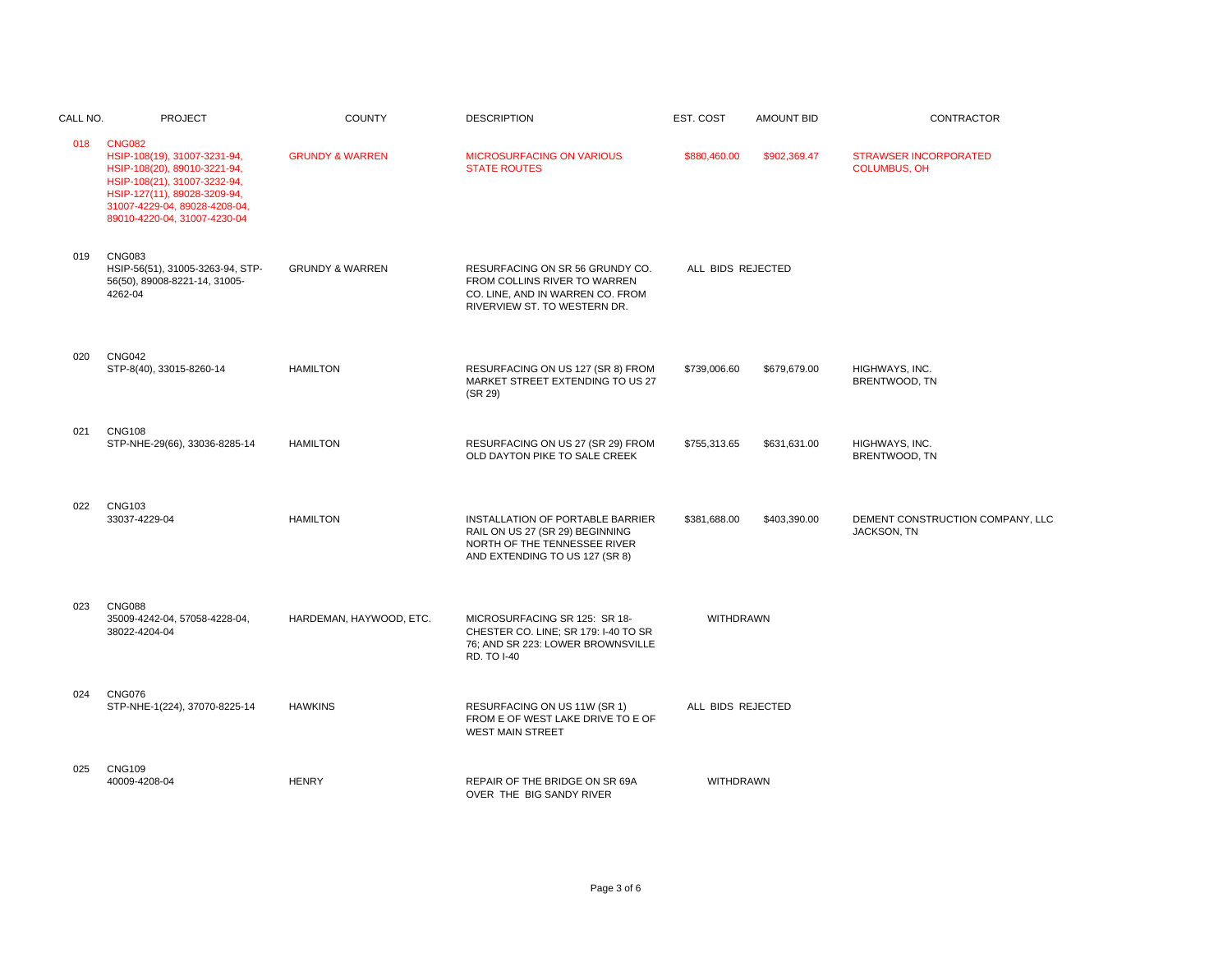| CALL NO. | <b>PROJECT</b>                                                                                                                                                                                                 | <b>COUNTY</b>              | <b>DESCRIPTION</b>                                                                                                                    | EST. COST         | <b>AMOUNT BID</b> | CONTRACTOR                                             |
|----------|----------------------------------------------------------------------------------------------------------------------------------------------------------------------------------------------------------------|----------------------------|---------------------------------------------------------------------------------------------------------------------------------------|-------------------|-------------------|--------------------------------------------------------|
| 018      | <b>CNG082</b><br>HSIP-108(19), 31007-3231-94,<br>HSIP-108(20), 89010-3221-94,<br>HSIP-108(21), 31007-3232-94,<br>HSIP-127(11), 89028-3209-94,<br>31007-4229-04, 89028-4208-04,<br>89010-4220-04, 31007-4230-04 | <b>GRUNDY &amp; WARREN</b> | <b>MICROSURFACING ON VARIOUS</b><br><b>STATE ROUTES</b>                                                                               | \$880,460.00      | \$902,369.47      | <b>STRAWSER INCORPORATED</b><br><b>COLUMBUS, OH</b>    |
| 019      | <b>CNG083</b><br>HSIP-56(51), 31005-3263-94, STP-<br>56(50), 89008-8221-14, 31005-<br>4262-04                                                                                                                  | <b>GRUNDY &amp; WARREN</b> | RESURFACING ON SR 56 GRUNDY CO.<br>FROM COLLINS RIVER TO WARREN<br>CO. LINE, AND IN WARREN CO. FROM<br>RIVERVIEW ST. TO WESTERN DR.   | ALL BIDS REJECTED |                   |                                                        |
| 020      | <b>CNG042</b><br>STP-8(40), 33015-8260-14                                                                                                                                                                      | <b>HAMILTON</b>            | RESURFACING ON US 127 (SR 8) FROM<br>MARKET STREET EXTENDING TO US 27<br>(SR 29)                                                      | \$739,006.60      | \$679,679.00      | HIGHWAYS, INC.<br>BRENTWOOD, TN                        |
| 021      | <b>CNG108</b><br>STP-NHE-29(66), 33036-8285-14                                                                                                                                                                 | <b>HAMILTON</b>            | RESURFACING ON US 27 (SR 29) FROM<br>OLD DAYTON PIKE TO SALE CREEK                                                                    | \$755,313.65      | \$631,631.00      | HIGHWAYS, INC.<br>BRENTWOOD, TN                        |
| 022      | <b>CNG103</b><br>33037-4229-04                                                                                                                                                                                 | <b>HAMILTON</b>            | INSTALLATION OF PORTABLE BARRIER<br>RAIL ON US 27 (SR 29) BEGINNING<br>NORTH OF THE TENNESSEE RIVER<br>AND EXTENDING TO US 127 (SR 8) | \$381,688.00      | \$403,390.00      | DEMENT CONSTRUCTION COMPANY, LLC<br><b>JACKSON, TN</b> |
| 023      | <b>CNG088</b><br>35009-4242-04, 57058-4228-04,<br>38022-4204-04                                                                                                                                                | HARDEMAN, HAYWOOD, ETC.    | MICROSURFACING SR 125: SR 18-<br>CHESTER CO. LINE; SR 179: I-40 TO SR<br>76; AND SR 223: LOWER BROWNSVILLE<br>RD. TO I-40             | WITHDRAWN         |                   |                                                        |
| 024      | <b>CNG076</b><br>STP-NHE-1(224), 37070-8225-14                                                                                                                                                                 | <b>HAWKINS</b>             | RESURFACING ON US 11W (SR 1)<br>FROM E OF WEST LAKE DRIVE TO E OF<br><b>WEST MAIN STREET</b>                                          | ALL BIDS REJECTED |                   |                                                        |
| 025      | <b>CNG109</b><br>40009-4208-04                                                                                                                                                                                 | <b>HENRY</b>               | REPAIR OF THE BRIDGE ON SR 69A<br>OVER THE BIG SANDY RIVER                                                                            | <b>WITHDRAWN</b>  |                   |                                                        |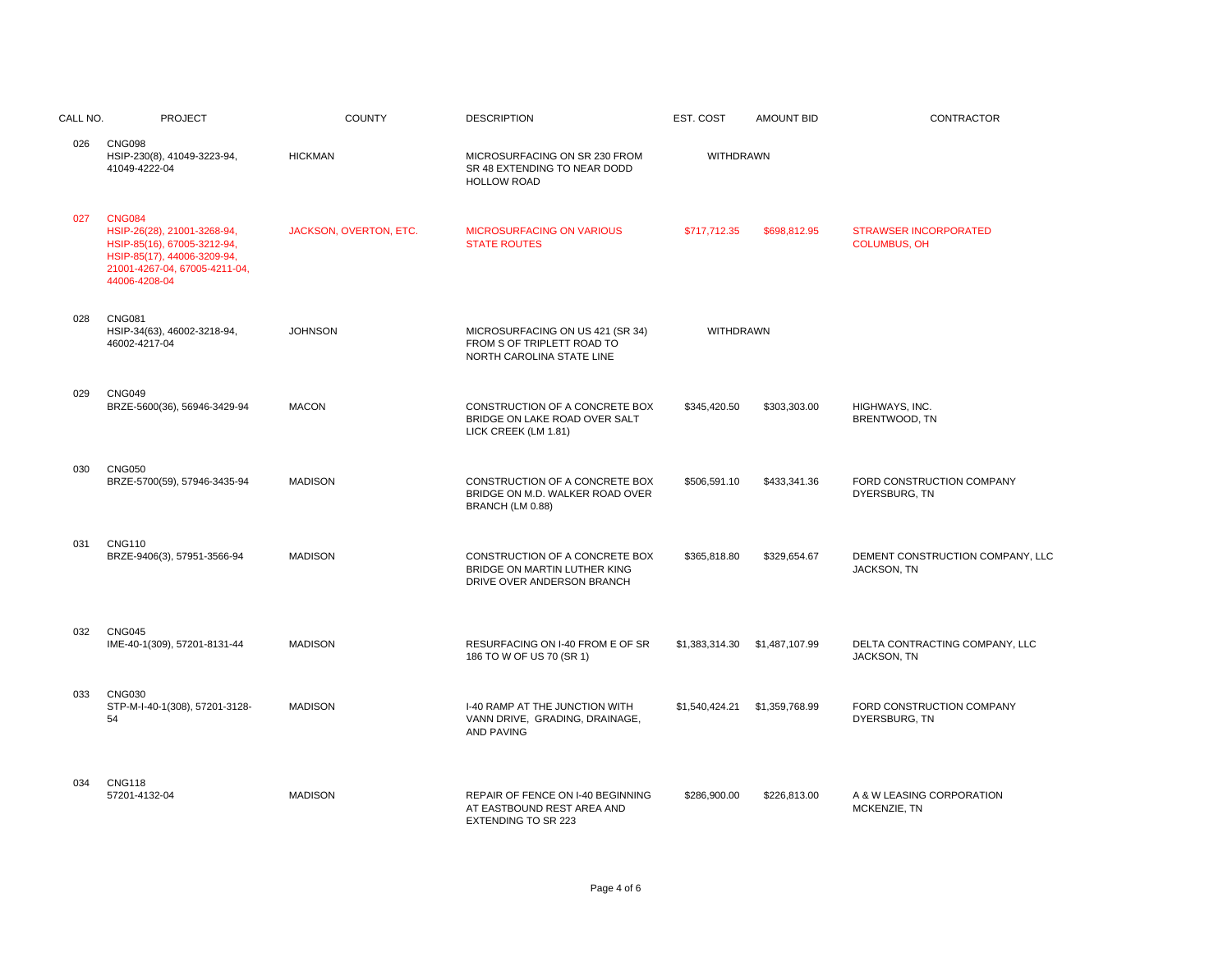| CALL NO. | <b>PROJECT</b>                                                                                                                                               | <b>COUNTY</b>          | <b>DESCRIPTION</b>                                                                            | EST. COST        | <b>AMOUNT BID</b> | <b>CONTRACTOR</b>                                   |
|----------|--------------------------------------------------------------------------------------------------------------------------------------------------------------|------------------------|-----------------------------------------------------------------------------------------------|------------------|-------------------|-----------------------------------------------------|
| 026      | <b>CNG098</b><br>HSIP-230(8), 41049-3223-94,<br>41049-4222-04                                                                                                | <b>HICKMAN</b>         | MICROSURFACING ON SR 230 FROM<br>SR 48 EXTENDING TO NEAR DODD<br><b>HOLLOW ROAD</b>           | <b>WITHDRAWN</b> |                   |                                                     |
| 027      | <b>CNG084</b><br>HSIP-26(28), 21001-3268-94,<br>HSIP-85(16), 67005-3212-94,<br>HSIP-85(17), 44006-3209-94,<br>21001-4267-04, 67005-4211-04,<br>44006-4208-04 | JACKSON, OVERTON, ETC. | <b>MICROSURFACING ON VARIOUS</b><br><b>STATE ROUTES</b>                                       | \$717,712.35     | \$698,812.95      | <b>STRAWSER INCORPORATED</b><br><b>COLUMBUS, OH</b> |
| 028      | <b>CNG081</b><br>HSIP-34(63), 46002-3218-94,<br>46002-4217-04                                                                                                | <b>JOHNSON</b>         | MICROSURFACING ON US 421 (SR 34)<br>FROM S OF TRIPLETT ROAD TO<br>NORTH CAROLINA STATE LINE   | WITHDRAWN        |                   |                                                     |
| 029      | <b>CNG049</b><br>BRZE-5600(36), 56946-3429-94                                                                                                                | <b>MACON</b>           | CONSTRUCTION OF A CONCRETE BOX<br>BRIDGE ON LAKE ROAD OVER SALT<br>LICK CREEK (LM 1.81)       | \$345,420.50     | \$303,303.00      | HIGHWAYS, INC.<br>BRENTWOOD, TN                     |
| 030      | <b>CNG050</b><br>BRZE-5700(59), 57946-3435-94                                                                                                                | <b>MADISON</b>         | CONSTRUCTION OF A CONCRETE BOX<br>BRIDGE ON M.D. WALKER ROAD OVER<br>BRANCH (LM 0.88)         | \$506,591.10     | \$433,341.36      | FORD CONSTRUCTION COMPANY<br>DYERSBURG, TN          |
| 031      | <b>CNG110</b><br>BRZE-9406(3), 57951-3566-94                                                                                                                 | <b>MADISON</b>         | CONSTRUCTION OF A CONCRETE BOX<br>BRIDGE ON MARTIN LUTHER KING<br>DRIVE OVER ANDERSON BRANCH  | \$365,818.80     | \$329,654.67      | DEMENT CONSTRUCTION COMPANY, LLC<br>JACKSON, TN     |
| 032      | <b>CNG045</b><br>IME-40-1(309), 57201-8131-44                                                                                                                | <b>MADISON</b>         | RESURFACING ON I-40 FROM E OF SR<br>186 TO W OF US 70 (SR 1)                                  |                  |                   | DELTA CONTRACTING COMPANY, LLC<br>JACKSON, TN       |
| 033      | <b>CNG030</b><br>STP-M-I-40-1(308), 57201-3128-<br>54                                                                                                        | <b>MADISON</b>         | I-40 RAMP AT THE JUNCTION WITH<br>VANN DRIVE, GRADING, DRAINAGE,<br><b>AND PAVING</b>         |                  |                   | FORD CONSTRUCTION COMPANY<br>DYERSBURG, TN          |
| 034      | <b>CNG118</b><br>57201-4132-04                                                                                                                               | <b>MADISON</b>         | REPAIR OF FENCE ON I-40 BEGINNING<br>AT EASTBOUND REST AREA AND<br><b>EXTENDING TO SR 223</b> | \$286,900.00     | \$226,813.00      | A & W LEASING CORPORATION<br>MCKENZIE, TN           |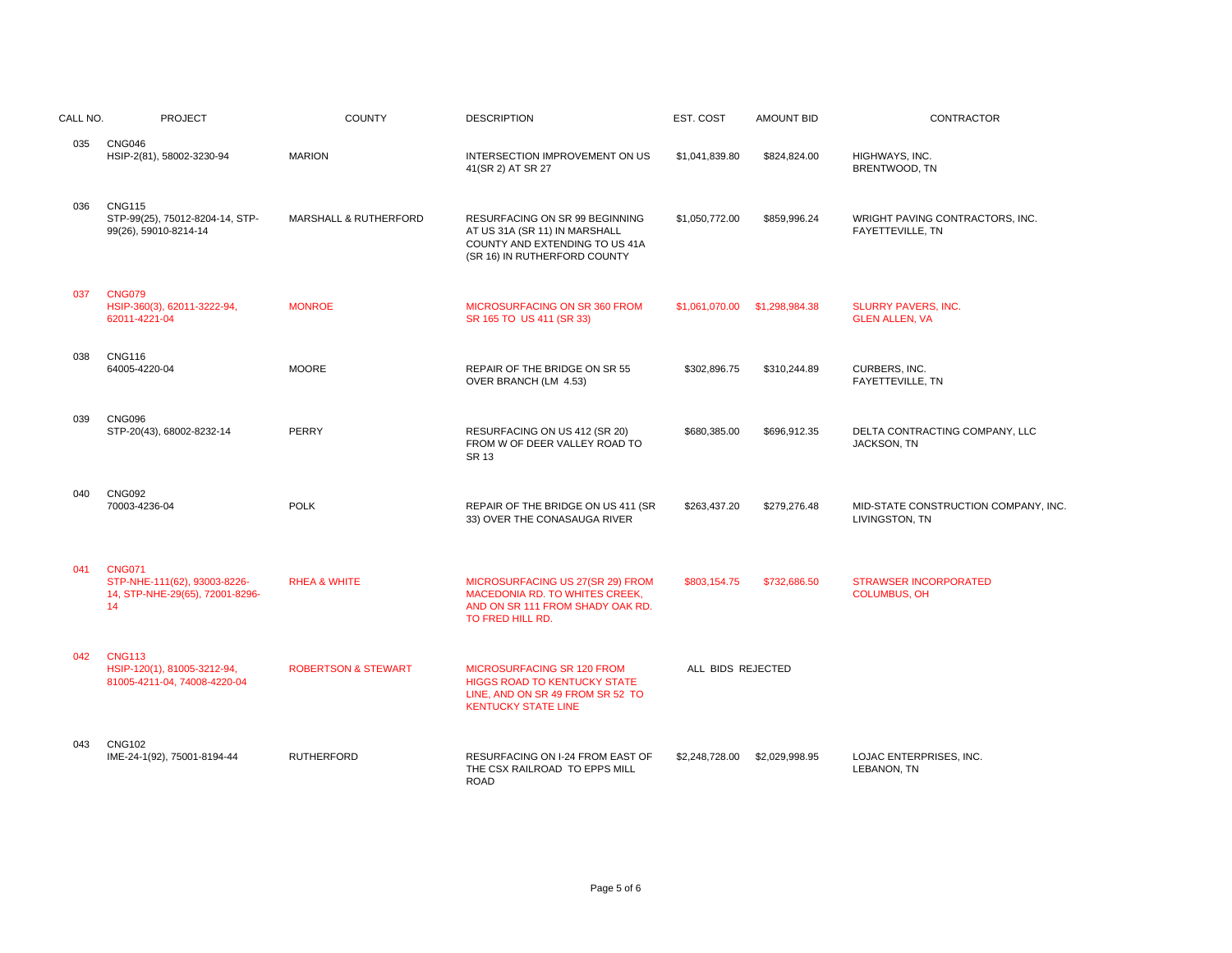| CALL NO. | <b>PROJECT</b>                                                                         | <b>COUNTY</b>                  | <b>DESCRIPTION</b>                                                                                                                         | EST. COST         | <b>AMOUNT BID</b>             | CONTRACTOR                                            |
|----------|----------------------------------------------------------------------------------------|--------------------------------|--------------------------------------------------------------------------------------------------------------------------------------------|-------------------|-------------------------------|-------------------------------------------------------|
| 035      | CNG046<br>HSIP-2(81), 58002-3230-94                                                    | <b>MARION</b>                  | INTERSECTION IMPROVEMENT ON US<br>41(SR 2) AT SR 27                                                                                        | \$1,041,839.80    | \$824,824.00                  | HIGHWAYS, INC.<br>BRENTWOOD, TN                       |
| 036      | <b>CNG115</b><br>STP-99(25), 75012-8204-14, STP-<br>99(26), 59010-8214-14              | MARSHALL & RUTHERFORD          | RESURFACING ON SR 99 BEGINNING<br>AT US 31A (SR 11) IN MARSHALL<br>COUNTY AND EXTENDING TO US 41A<br>(SR 16) IN RUTHERFORD COUNTY          | \$1,050,772.00    | \$859,996.24                  | WRIGHT PAVING CONTRACTORS, INC.<br>FAYETTEVILLE, TN   |
| 037      | <b>CNG079</b><br>HSIP-360(3), 62011-3222-94,<br>62011-4221-04                          | <b>MONROE</b>                  | MICROSURFACING ON SR 360 FROM<br>SR 165 TO US 411 (SR 33)                                                                                  |                   | \$1,061,070.00 \$1,298,984.38 | <b>SLURRY PAVERS, INC.</b><br><b>GLEN ALLEN, VA</b>   |
| 038      | <b>CNG116</b><br>64005-4220-04                                                         | <b>MOORE</b>                   | REPAIR OF THE BRIDGE ON SR 55<br>OVER BRANCH (LM 4.53)                                                                                     | \$302,896.75      | \$310,244.89                  | CURBERS, INC.<br>FAYETTEVILLE, TN                     |
| 039      | <b>CNG096</b><br>STP-20(43), 68002-8232-14                                             | PERRY                          | RESURFACING ON US 412 (SR 20)<br>FROM W OF DEER VALLEY ROAD TO<br><b>SR 13</b>                                                             | \$680,385.00      | \$696,912.35                  | DELTA CONTRACTING COMPANY, LLC<br>JACKSON, TN         |
| 040      | <b>CNG092</b><br>70003-4236-04                                                         | <b>POLK</b>                    | REPAIR OF THE BRIDGE ON US 411 (SR<br>33) OVER THE CONASAUGA RIVER                                                                         | \$263,437.20      | \$279,276.48                  | MID-STATE CONSTRUCTION COMPANY, INC<br>LIVINGSTON, TN |
| 041      | <b>CNG071</b><br>STP-NHE-111(62), 93003-8226-<br>14, STP-NHE-29(65), 72001-8296-<br>14 | <b>RHEA &amp; WHITE</b>        | MICROSURFACING US 27(SR 29) FROM<br>MACEDONIA RD. TO WHITES CREEK,<br>AND ON SR 111 FROM SHADY OAK RD.<br>TO FRED HILL RD.                 | \$803.154.75      | \$732,686.50                  | <b>STRAWSER INCORPORATED</b><br><b>COLUMBUS, OH</b>   |
| 042      | <b>CNG113</b><br>HSIP-120(1), 81005-3212-94,<br>81005-4211-04, 74008-4220-04           | <b>ROBERTSON &amp; STEWART</b> | <b>MICROSURFACING SR 120 FROM</b><br><b>HIGGS ROAD TO KENTUCKY STATE</b><br>LINE, AND ON SR 49 FROM SR 52 TO<br><b>KENTUCKY STATE LINE</b> | ALL BIDS REJECTED |                               |                                                       |
| 043      | <b>CNG102</b><br>IME-24-1(92), 75001-8194-44                                           | <b>RUTHERFORD</b>              | RESURFACING ON I-24 FROM EAST OF<br>THE CSX RAILROAD TO EPPS MILL<br><b>ROAD</b>                                                           | \$2,248,728.00    | \$2,029,998.95                | LOJAC ENTERPRISES, INC.<br>LEBANON, TN                |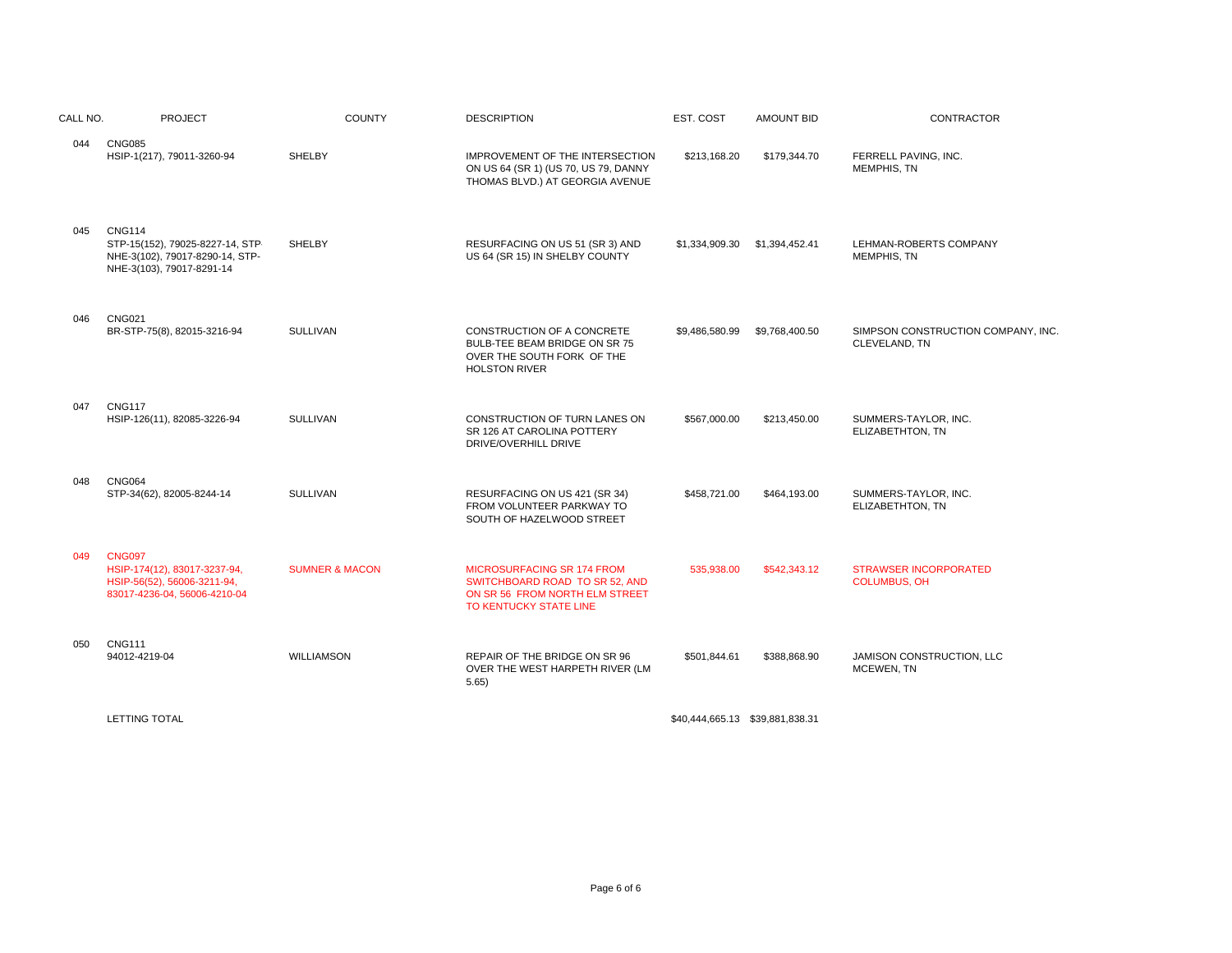| CALL NO. | <b>PROJECT</b>                                                                                                   | <b>COUNTY</b>             | <b>DESCRIPTION</b>                                                                                                       | EST. COST                       | <b>AMOUNT BID</b> | CONTRACTOR                                          |
|----------|------------------------------------------------------------------------------------------------------------------|---------------------------|--------------------------------------------------------------------------------------------------------------------------|---------------------------------|-------------------|-----------------------------------------------------|
| 044      | <b>CNG085</b><br>HSIP-1(217), 79011-3260-94                                                                      | <b>SHELBY</b>             | IMPROVEMENT OF THE INTERSECTION<br>ON US 64 (SR 1) (US 70, US 79, DANNY<br>THOMAS BLVD.) AT GEORGIA AVENUE               | \$213,168.20                    | \$179,344.70      | FERRELL PAVING, INC.<br>MEMPHIS, TN                 |
| 045      | <b>CNG114</b><br>STP-15(152), 79025-8227-14, STP<br>NHE-3(102), 79017-8290-14, STP-<br>NHE-3(103), 79017-8291-14 | SHELBY                    | RESURFACING ON US 51 (SR 3) AND<br>US 64 (SR 15) IN SHELBY COUNTY                                                        | \$1,334,909.30                  | \$1,394,452.41    | LEHMAN-ROBERTS COMPANY<br><b>MEMPHIS, TN</b>        |
| 046      | <b>CNG021</b><br>BR-STP-75(8), 82015-3216-94                                                                     | <b>SULLIVAN</b>           | CONSTRUCTION OF A CONCRETE<br>BULB-TEE BEAM BRIDGE ON SR 75<br>OVER THE SOUTH FORK OF THE<br><b>HOLSTON RIVER</b>        | \$9,486,580.99                  | \$9,768,400.50    | SIMPSON CONSTRUCTION COMPANY, INC.<br>CLEVELAND, TN |
| 047      | <b>CNG117</b><br>HSIP-126(11), 82085-3226-94                                                                     | <b>SULLIVAN</b>           | CONSTRUCTION OF TURN LANES ON<br>SR 126 AT CAROLINA POTTERY<br>DRIVE/OVERHILL DRIVE                                      | \$567,000.00                    | \$213,450.00      | SUMMERS-TAYLOR, INC.<br>ELIZABETHTON, TN            |
| 048      | <b>CNG064</b><br>STP-34(62), 82005-8244-14                                                                       | <b>SULLIVAN</b>           | RESURFACING ON US 421 (SR 34)<br>FROM VOLUNTEER PARKWAY TO<br>SOUTH OF HAZELWOOD STREET                                  | \$458,721.00                    | \$464,193.00      | SUMMERS-TAYLOR, INC.<br>ELIZABETHTON, TN            |
| 049      | <b>CNG097</b><br>HSIP-174(12), 83017-3237-94,<br>HSIP-56(52), 56006-3211-94,<br>83017-4236-04, 56006-4210-04     | <b>SUMNER &amp; MACON</b> | MICROSURFACING SR 174 FROM<br>SWITCHBOARD ROAD TO SR 52, AND<br>ON SR 56 FROM NORTH ELM STREET<br>TO KENTUCKY STATE LINE | 535,938.00                      | \$542,343.12      | <b>STRAWSER INCORPORATED</b><br><b>COLUMBUS, OH</b> |
| 050      | <b>CNG111</b><br>94012-4219-04                                                                                   | <b>WILLIAMSON</b>         | REPAIR OF THE BRIDGE ON SR 96<br>OVER THE WEST HARPETH RIVER (LM<br>5.65)                                                | \$501,844.61                    | \$388,868.90      | JAMISON CONSTRUCTION, LLC<br>MCEWEN, TN             |
|          | <b>LETTING TOTAL</b>                                                                                             |                           |                                                                                                                          | \$40,444,665.13 \$39,881,838.31 |                   |                                                     |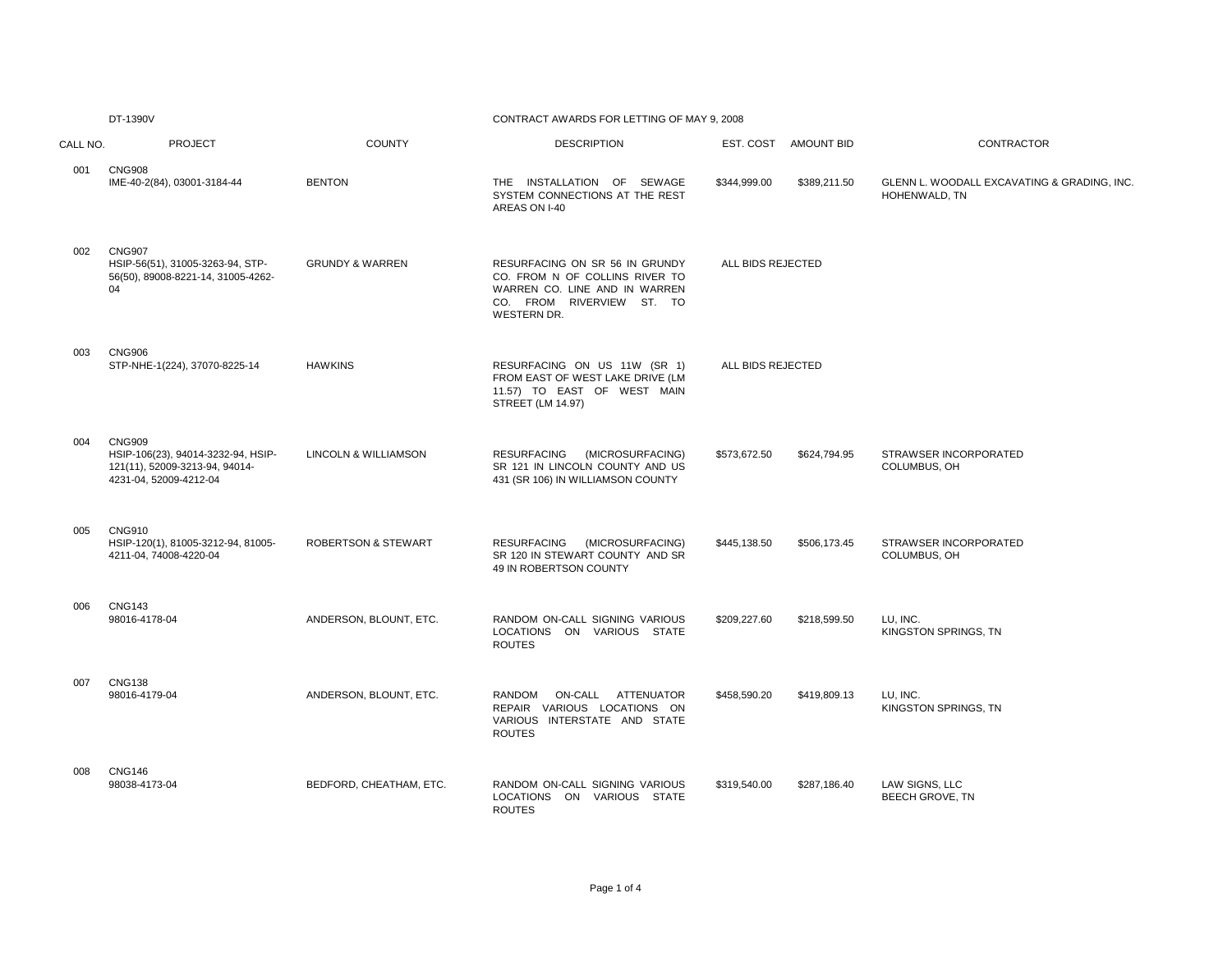DT-1390V

## CONTRACT AWARDS FOR LETTING OF MAY 9, 2008

| CALL NO. | <b>PROJECT</b>                                                                                                  | <b>COUNTY</b>                  | <b>DESCRIPTION</b>                                                                                                                            | EST. COST AMOUNT BID         | CONTRACTOR                                                   |
|----------|-----------------------------------------------------------------------------------------------------------------|--------------------------------|-----------------------------------------------------------------------------------------------------------------------------------------------|------------------------------|--------------------------------------------------------------|
| 001      | <b>CNG908</b><br>IME-40-2(84), 03001-3184-44                                                                    | <b>BENTON</b>                  | THE INSTALLATION OF SEWAGE<br>SYSTEM CONNECTIONS AT THE REST<br>AREAS ON I-40                                                                 | \$344,999.00<br>\$389,211.50 | GLENN L. WOODALL EXCAVATING & GRADING, INC.<br>HOHENWALD, TN |
| 002      | <b>CNG907</b><br>HSIP-56(51), 31005-3263-94, STP-<br>56(50), 89008-8221-14, 31005-4262-<br>04                   | <b>GRUNDY &amp; WARREN</b>     | RESURFACING ON SR 56 IN GRUNDY<br>CO. FROM N OF COLLINS RIVER TO<br>WARREN CO. LINE AND IN WARREN<br>CO. FROM RIVERVIEW ST. TO<br>WESTERN DR. | ALL BIDS REJECTED            |                                                              |
| 003      | <b>CNG906</b><br>STP-NHE-1(224), 37070-8225-14                                                                  | <b>HAWKINS</b>                 | RESURFACING ON US 11W (SR 1)<br>FROM EAST OF WEST LAKE DRIVE (LM<br>11.57) TO EAST OF WEST MAIN<br><b>STREET (LM 14.97)</b>                   | ALL BIDS REJECTED            |                                                              |
| 004      | <b>CNG909</b><br>HSIP-106(23), 94014-3232-94, HSIP-<br>121(11), 52009-3213-94, 94014-<br>4231-04, 52009-4212-04 | LINCOLN & WILLIAMSON           | RESURFACING (MICROSURFACING)<br>SR 121 IN LINCOLN COUNTY AND US<br>431 (SR 106) IN WILLIAMSON COUNTY                                          | \$573,672.50<br>\$624,794.95 | STRAWSER INCORPORATED<br>COLUMBUS, OH                        |
| 005      | <b>CNG910</b><br>HSIP-120(1), 81005-3212-94, 81005-<br>4211-04, 74008-4220-04                                   | <b>ROBERTSON &amp; STEWART</b> | RESURFACING<br>(MICROSURFACING)<br>SR 120 IN STEWART COUNTY AND SR<br>49 IN ROBERTSON COUNTY                                                  | \$445.138.50<br>\$506,173.45 | STRAWSER INCORPORATED<br>COLUMBUS, OH                        |
| 006      | <b>CNG143</b><br>98016-4178-04                                                                                  | ANDERSON, BLOUNT, ETC.         | RANDOM ON-CALL SIGNING VARIOUS<br>LOCATIONS ON VARIOUS STATE<br><b>ROUTES</b>                                                                 | \$209,227.60<br>\$218,599.50 | LU, INC.<br>KINGSTON SPRINGS, TN                             |
| 007      | <b>CNG138</b><br>98016-4179-04                                                                                  | ANDERSON, BLOUNT, ETC.         | RANDOM ON-CALL ATTENUATOR<br>REPAIR VARIOUS LOCATIONS ON<br>VARIOUS INTERSTATE AND STATE<br><b>ROUTES</b>                                     | \$458,590.20<br>\$419,809.13 | LU, INC.<br>KINGSTON SPRINGS, TN                             |
| 008      | <b>CNG146</b><br>98038-4173-04                                                                                  | BEDFORD, CHEATHAM, ETC.        | RANDOM ON-CALL SIGNING VARIOUS<br>LOCATIONS ON VARIOUS STATE<br><b>ROUTES</b>                                                                 | \$319,540.00<br>\$287,186.40 | LAW SIGNS, LLC<br><b>BEECH GROVE, TN</b>                     |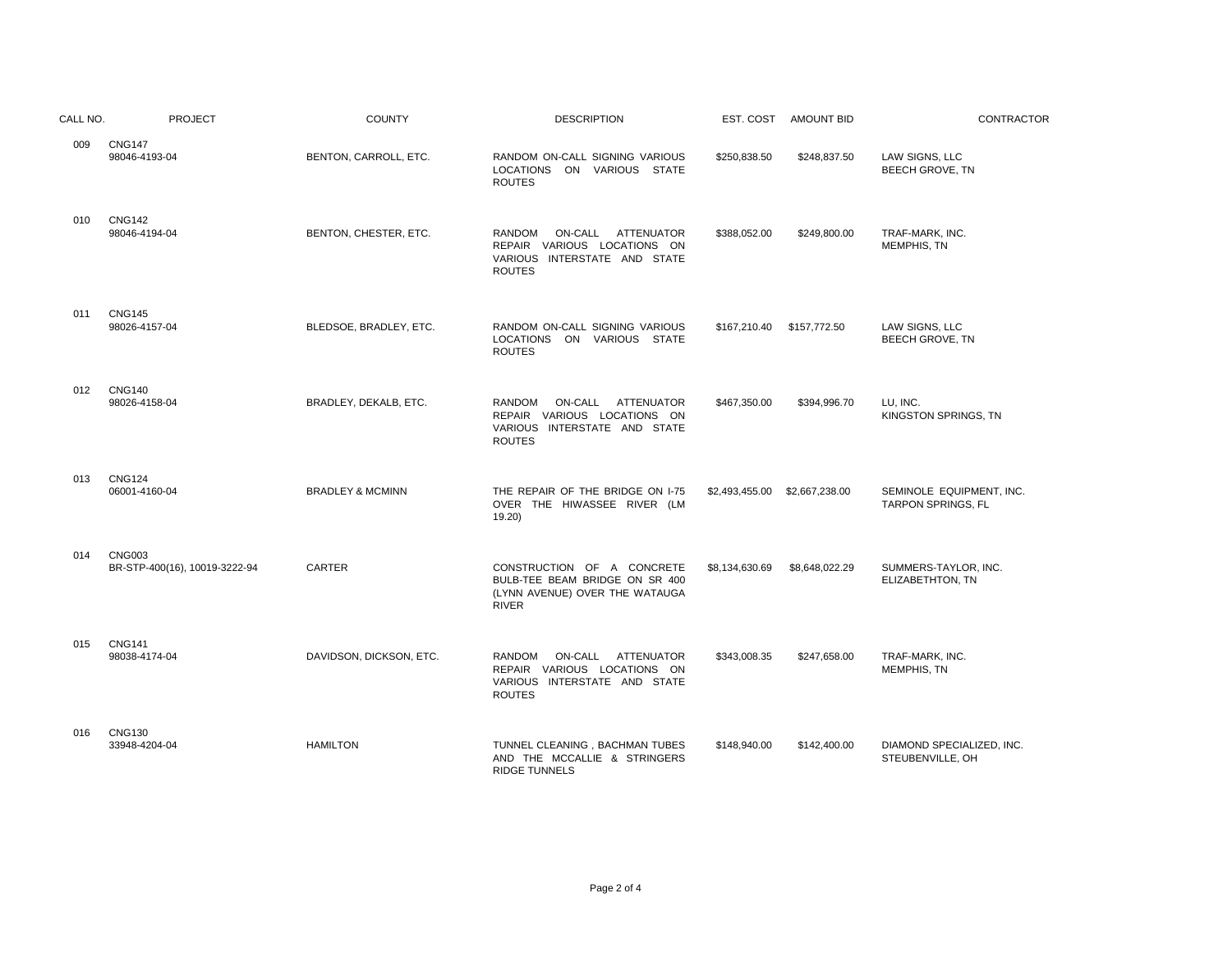| CALL NO. | <b>PROJECT</b>                                 | <b>COUNTY</b>               | <b>DESCRIPTION</b>                                                                                             |                | EST. COST AMOUNT BID | <b>CONTRACTOR</b>                              |
|----------|------------------------------------------------|-----------------------------|----------------------------------------------------------------------------------------------------------------|----------------|----------------------|------------------------------------------------|
| 009      | <b>CNG147</b><br>98046-4193-04                 | BENTON, CARROLL, ETC.       | RANDOM ON-CALL SIGNING VARIOUS<br>LOCATIONS ON VARIOUS STATE<br><b>ROUTES</b>                                  | \$250,838.50   | \$248,837.50         | LAW SIGNS, LLC<br><b>BEECH GROVE, TN</b>       |
| 010      | <b>CNG142</b><br>98046-4194-04                 | BENTON, CHESTER, ETC.       | ON-CALL ATTENUATOR<br>RANDOM<br>REPAIR VARIOUS LOCATIONS ON<br>VARIOUS INTERSTATE AND STATE<br><b>ROUTES</b>   | \$388,052.00   | \$249,800.00         | TRAF-MARK, INC.<br>MEMPHIS, TN                 |
| 011      | <b>CNG145</b><br>98026-4157-04                 | BLEDSOE, BRADLEY, ETC.      | RANDOM ON-CALL SIGNING VARIOUS<br>LOCATIONS ON VARIOUS STATE<br><b>ROUTES</b>                                  | \$167,210.40   | \$157,772.50         | LAW SIGNS, LLC<br>BEECH GROVE, TN              |
| 012      | <b>CNG140</b><br>98026-4158-04                 | BRADLEY, DEKALB, ETC.       | RANDOM<br>ON-CALL ATTENUATOR<br>REPAIR VARIOUS LOCATIONS ON<br>VARIOUS INTERSTATE AND STATE<br><b>ROUTES</b>   | \$467,350.00   | \$394,996.70         | LU. INC.<br>KINGSTON SPRINGS, TN               |
| 013      | <b>CNG124</b><br>06001-4160-04                 | <b>BRADLEY &amp; MCMINN</b> | THE REPAIR OF THE BRIDGE ON I-75<br>OVER THE HIWASSEE RIVER (LM<br>19.20                                       | \$2,493,455.00 | \$2,667,238.00       | SEMINOLE EQUIPMENT, INC.<br>TARPON SPRINGS, FL |
| 014      | <b>CNG003</b><br>BR-STP-400(16), 10019-3222-94 | <b>CARTER</b>               | CONSTRUCTION OF A CONCRETE<br>BULB-TEE BEAM BRIDGE ON SR 400<br>(LYNN AVENUE) OVER THE WATAUGA<br><b>RIVER</b> | \$8,134,630.69 | \$8,648,022.29       | SUMMERS-TAYLOR, INC.<br>ELIZABETHTON, TN       |
| 015      | <b>CNG141</b><br>98038-4174-04                 | DAVIDSON, DICKSON, ETC.     | ON-CALL ATTENUATOR<br>RANDOM<br>REPAIR VARIOUS LOCATIONS ON<br>VARIOUS INTERSTATE AND STATE<br><b>ROUTES</b>   | \$343.008.35   | \$247.658.00         | TRAF-MARK, INC.<br>MEMPHIS, TN                 |
| 016      | <b>CNG130</b><br>33948-4204-04                 | <b>HAMILTON</b>             | TUNNEL CLEANING, BACHMAN TUBES<br>AND THE MCCALLIE & STRINGERS<br><b>RIDGE TUNNELS</b>                         | \$148,940.00   | \$142,400.00         | DIAMOND SPECIALIZED, INC.<br>STEUBENVILLE, OH  |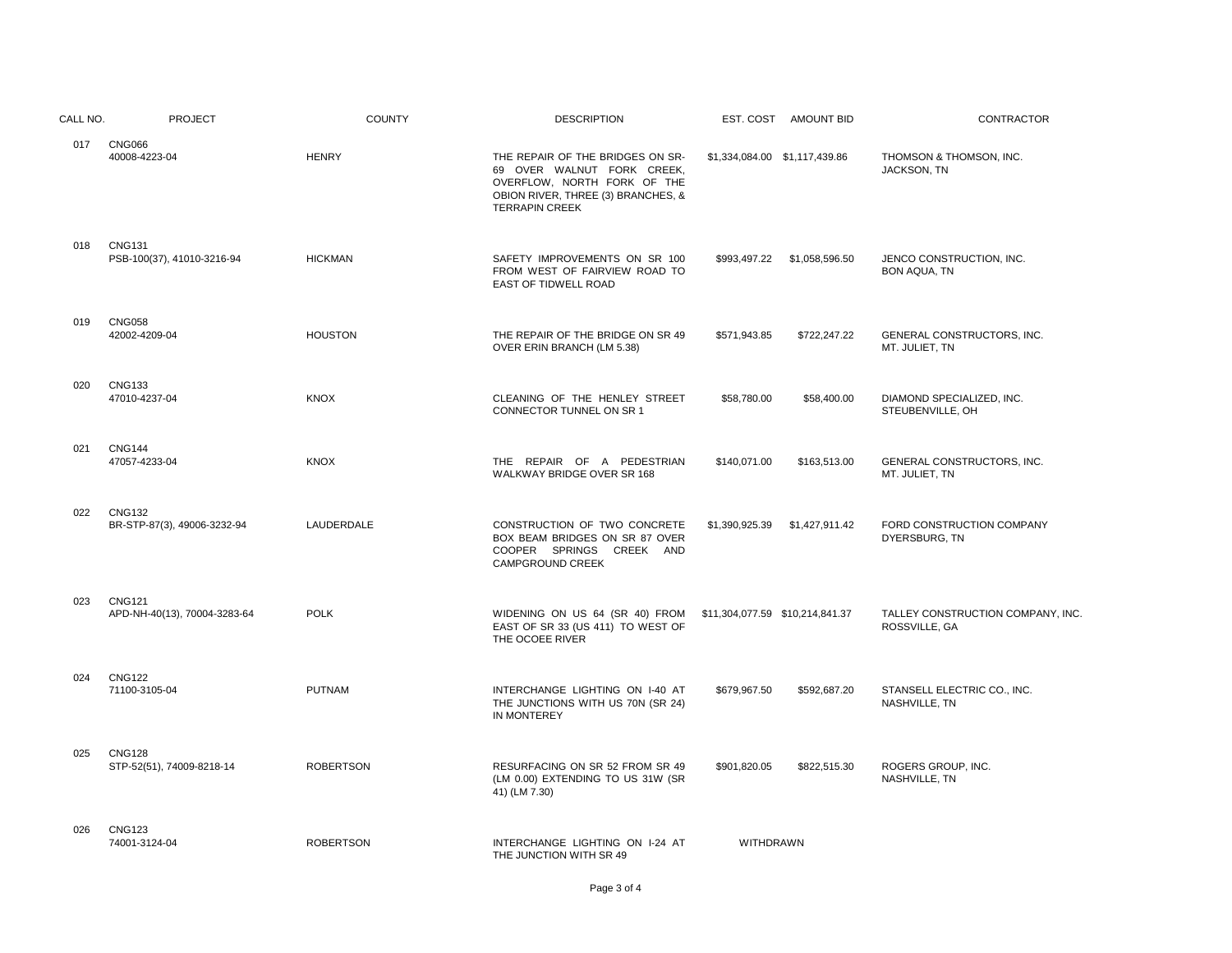| CALL NO. | <b>PROJECT</b>                                | <b>COUNTY</b>    | <b>DESCRIPTION</b>                                                                                                                                           |                                 | EST. COST AMOUNT BID          | CONTRACTOR                                        |
|----------|-----------------------------------------------|------------------|--------------------------------------------------------------------------------------------------------------------------------------------------------------|---------------------------------|-------------------------------|---------------------------------------------------|
| 017      | <b>CNG066</b><br>40008-4223-04                | <b>HENRY</b>     | THE REPAIR OF THE BRIDGES ON SR-<br>69 OVER WALNUT FORK CREEK,<br>OVERFLOW, NORTH FORK OF THE<br>OBION RIVER, THREE (3) BRANCHES, &<br><b>TERRAPIN CREEK</b> |                                 | \$1,334,084.00 \$1,117,439.86 | THOMSON & THOMSON, INC.<br>JACKSON, TN            |
| 018      | <b>CNG131</b><br>PSB-100(37), 41010-3216-94   | <b>HICKMAN</b>   | SAFETY IMPROVEMENTS ON SR 100<br>FROM WEST OF FAIRVIEW ROAD TO<br>EAST OF TIDWELL ROAD                                                                       | \$993,497.22                    | \$1,058,596.50                | JENCO CONSTRUCTION, INC.<br><b>BON AQUA, TN</b>   |
| 019      | <b>CNG058</b><br>42002-4209-04                | <b>HOUSTON</b>   | THE REPAIR OF THE BRIDGE ON SR 49<br>OVER ERIN BRANCH (LM 5.38)                                                                                              | \$571,943.85                    | \$722,247.22                  | GENERAL CONSTRUCTORS, INC.<br>MT. JULIET, TN      |
| 020      | <b>CNG133</b><br>47010-4237-04                | <b>KNOX</b>      | CLEANING OF THE HENLEY STREET<br>CONNECTOR TUNNEL ON SR 1                                                                                                    | \$58,780.00                     | \$58,400.00                   | DIAMOND SPECIALIZED. INC.<br>STEUBENVILLE, OH     |
| 021      | <b>CNG144</b><br>47057-4233-04                | <b>KNOX</b>      | THE REPAIR OF A PEDESTRIAN<br>WALKWAY BRIDGE OVER SR 168                                                                                                     | \$140,071.00                    | \$163,513.00                  | GENERAL CONSTRUCTORS, INC.<br>MT. JULIET, TN      |
| 022      | <b>CNG132</b><br>BR-STP-87(3), 49006-3232-94  | LAUDERDALE       | CONSTRUCTION OF TWO CONCRETE<br>BOX BEAM BRIDGES ON SR 87 OVER<br>COOPER SPRINGS CREEK AND<br>CAMPGROUND CREEK                                               | \$1,390,925.39                  | \$1,427,911.42                | FORD CONSTRUCTION COMPANY<br>DYERSBURG, TN        |
| 023      | <b>CNG121</b><br>APD-NH-40(13), 70004-3283-64 | <b>POLK</b>      | WIDENING ON US 64 (SR 40) FROM<br>EAST OF SR 33 (US 411) TO WEST OF<br>THE OCOEE RIVER                                                                       | \$11,304,077.59 \$10,214,841.37 |                               | TALLEY CONSTRUCTION COMPANY, INC<br>ROSSVILLE, GA |
| 024      | <b>CNG122</b><br>71100-3105-04                | <b>PUTNAM</b>    | INTERCHANGE LIGHTING ON I-40 AT<br>THE JUNCTIONS WITH US 70N (SR 24)<br>IN MONTEREY                                                                          | \$679.967.50                    | \$592,687.20                  | STANSELL ELECTRIC CO., INC.<br>NASHVILLE, TN      |
| 025      | <b>CNG128</b><br>STP-52(51), 74009-8218-14    | <b>ROBERTSON</b> | RESURFACING ON SR 52 FROM SR 49<br>(LM 0.00) EXTENDING TO US 31W (SR<br>41) (LM 7.30)                                                                        | \$901,820.05                    | \$822,515.30                  | ROGERS GROUP, INC.<br>NASHVILLE, TN               |
| 026      | <b>CNG123</b><br>74001-3124-04                | <b>ROBERTSON</b> | INTERCHANGE LIGHTING ON I-24 AT<br>THE JUNCTION WITH SR 49                                                                                                   | WITHDRAWN                       |                               |                                                   |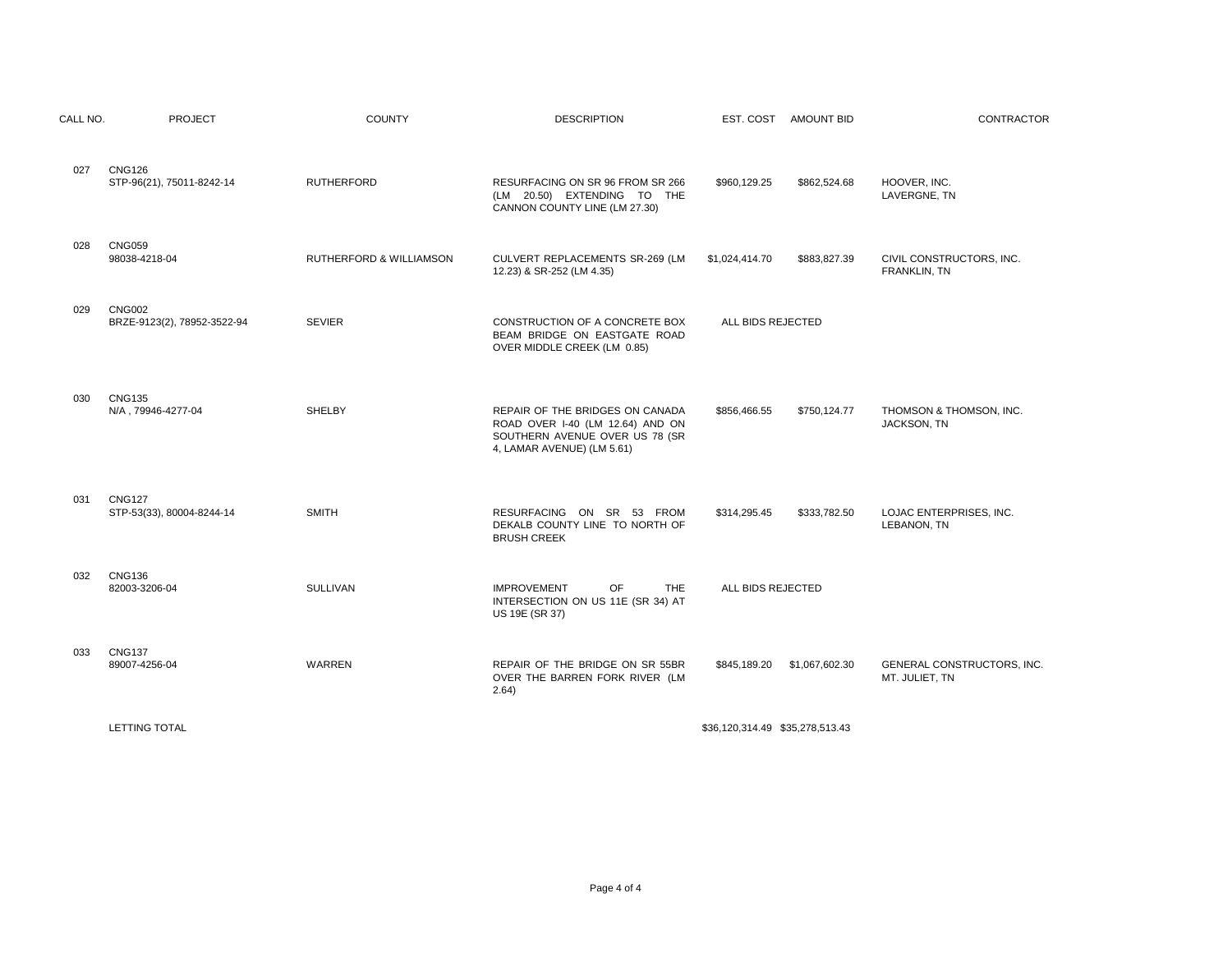| CALL NO. | <b>PROJECT</b>                               | <b>COUNTY</b>           | <b>DESCRIPTION</b>                                                                                                                  | EST. COST AMOUNT BID            | CONTRACTOR                                   |
|----------|----------------------------------------------|-------------------------|-------------------------------------------------------------------------------------------------------------------------------------|---------------------------------|----------------------------------------------|
| 027      | <b>CNG126</b><br>STP-96(21), 75011-8242-14   | <b>RUTHERFORD</b>       | RESURFACING ON SR 96 FROM SR 266<br>(LM 20.50) EXTENDING TO THE<br>CANNON COUNTY LINE (LM 27.30)                                    | \$960,129.25<br>\$862,524.68    | HOOVER, INC.<br>LAVERGNE, TN                 |
| 028      | <b>CNG059</b><br>98038-4218-04               | RUTHERFORD & WILLIAMSON | CULVERT REPLACEMENTS SR-269 (LM<br>12.23) & SR-252 (LM 4.35)                                                                        | \$1,024,414.70<br>\$883,827.39  | CIVIL CONSTRUCTORS, INC.<br>FRANKLIN, TN     |
| 029      | <b>CNG002</b><br>BRZE-9123(2), 78952-3522-94 | <b>SEVIER</b>           | CONSTRUCTION OF A CONCRETE BOX<br>BEAM BRIDGE ON EASTGATE ROAD<br>OVER MIDDLE CREEK (LM 0.85)                                       | ALL BIDS REJECTED               |                                              |
| 030      | <b>CNG135</b><br>N/A, 79946-4277-04          | <b>SHELBY</b>           | REPAIR OF THE BRIDGES ON CANADA<br>ROAD OVER I-40 (LM 12.64) AND ON<br>SOUTHERN AVENUE OVER US 78 (SR<br>4, LAMAR AVENUE) (LM 5.61) | \$856,466.55<br>\$750,124.77    | THOMSON & THOMSON, INC.<br>JACKSON, TN       |
| 031      | <b>CNG127</b><br>STP-53(33), 80004-8244-14   | <b>SMITH</b>            | RESURFACING ON SR 53 FROM<br>DEKALB COUNTY LINE TO NORTH OF<br><b>BRUSH CREEK</b>                                                   | \$314,295.45<br>\$333,782.50    | LOJAC ENTERPRISES, INC.<br>LEBANON, TN       |
| 032      | <b>CNG136</b><br>82003-3206-04               | SULLIVAN                | <b>OF</b><br><b>IMPROVEMENT</b><br><b>THE</b><br>INTERSECTION ON US 11E (SR 34) AT<br>US 19E (SR 37)                                | ALL BIDS REJECTED               |                                              |
| 033      | <b>CNG137</b><br>89007-4256-04               | <b>WARREN</b>           | REPAIR OF THE BRIDGE ON SR 55BR<br>OVER THE BARREN FORK RIVER (LM<br>2.64)                                                          | \$845,189.20<br>\$1,067,602.30  | GENERAL CONSTRUCTORS, INC.<br>MT. JULIET, TN |
|          | <b>LETTING TOTAL</b>                         |                         |                                                                                                                                     | \$36.120.314.49 \$35.278.513.43 |                                              |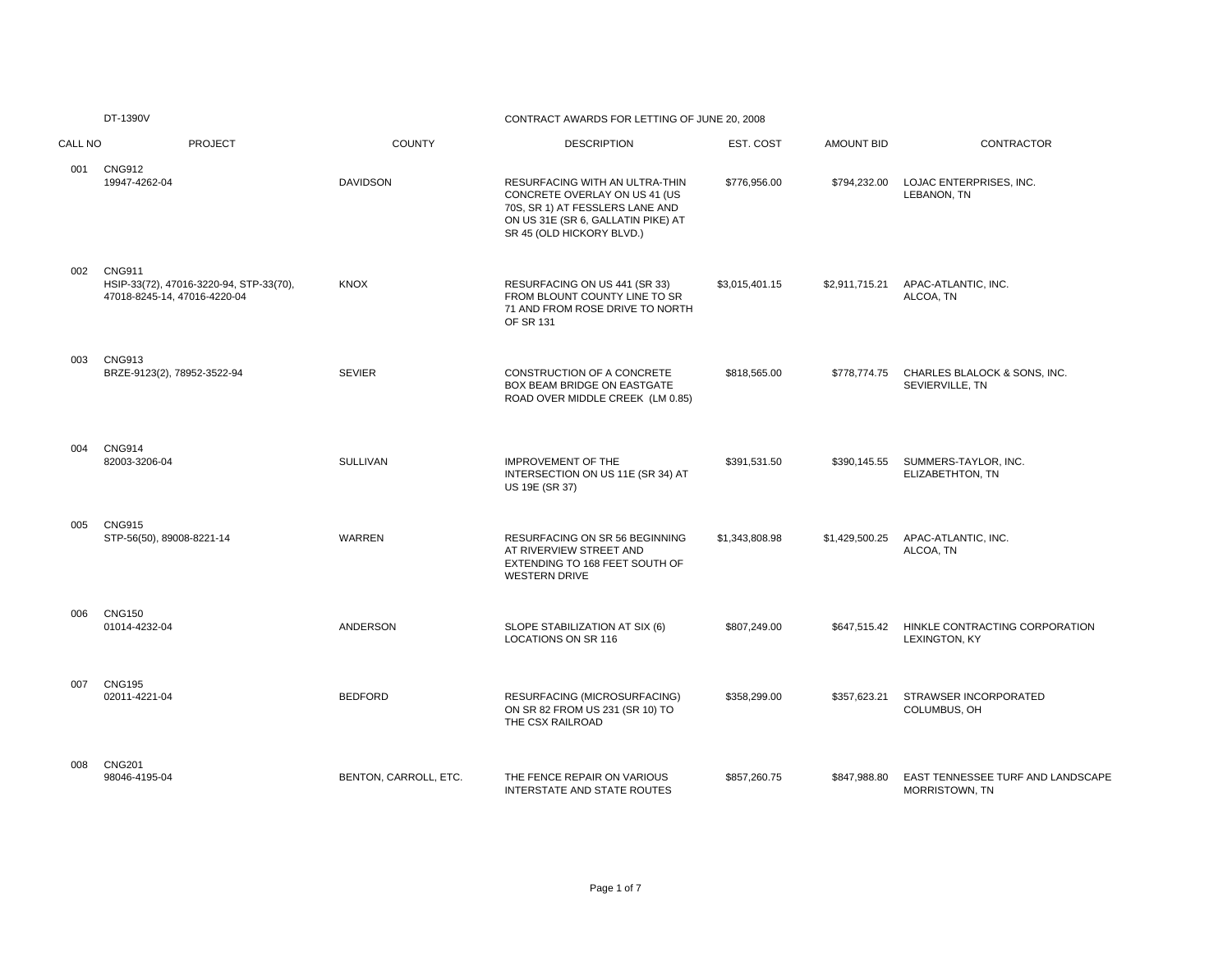DT-1390V

#### CONTRACT AWARDS FOR LETTING OF JUNE 20, 2008

| CALL NO | <b>PROJECT</b>                                                                           | <b>COUNTY</b>         | <b>DESCRIPTION</b>                                                                                                                                                    | EST. COST      | <b>AMOUNT BID</b> | <b>CONTRACTOR</b>                                   |
|---------|------------------------------------------------------------------------------------------|-----------------------|-----------------------------------------------------------------------------------------------------------------------------------------------------------------------|----------------|-------------------|-----------------------------------------------------|
| 001     | <b>CNG912</b><br>19947-4262-04                                                           | <b>DAVIDSON</b>       | RESURFACING WITH AN ULTRA-THIN<br>CONCRETE OVERLAY ON US 41 (US<br>70S, SR 1) AT FESSLERS LANE AND<br>ON US 31E (SR 6, GALLATIN PIKE) AT<br>SR 45 (OLD HICKORY BLVD.) | \$776,956.00   | \$794,232.00      | LOJAC ENTERPRISES, INC.<br>LEBANON. TN              |
| 002     | <b>CNG911</b><br>HSIP-33(72), 47016-3220-94, STP-33(70),<br>47018-8245-14, 47016-4220-04 | <b>KNOX</b>           | RESURFACING ON US 441 (SR 33)<br>FROM BLOUNT COUNTY LINE TO SR<br>71 AND FROM ROSE DRIVE TO NORTH<br>OF SR 131                                                        | \$3,015,401.15 | \$2,911,715.21    | APAC-ATLANTIC, INC.<br>ALCOA, TN                    |
| 003     | <b>CNG913</b><br>BRZE-9123(2), 78952-3522-94                                             | <b>SEVIER</b>         | CONSTRUCTION OF A CONCRETE<br>BOX BEAM BRIDGE ON EASTGATE<br>ROAD OVER MIDDLE CREEK (LM 0.85)                                                                         | \$818,565.00   | \$778,774.75      | CHARLES BLALOCK & SONS, INC.<br>SEVIERVILLE, TN     |
| 004     | <b>CNG914</b><br>82003-3206-04                                                           | <b>SULLIVAN</b>       | <b>IMPROVEMENT OF THE</b><br>INTERSECTION ON US 11E (SR 34) AT<br>US 19E (SR 37)                                                                                      | \$391,531.50   | \$390,145.55      | SUMMERS-TAYLOR, INC.<br>ELIZABETHTON, TN            |
| 005     | <b>CNG915</b><br>STP-56(50), 89008-8221-14                                               | WARREN                | RESURFACING ON SR 56 BEGINNING<br>AT RIVERVIEW STREET AND<br>EXTENDING TO 168 FEET SOUTH OF<br><b>WESTERN DRIVE</b>                                                   | \$1,343,808.98 | \$1,429,500.25    | APAC-ATLANTIC, INC.<br>ALCOA, TN                    |
| 006     | <b>CNG150</b><br>01014-4232-04                                                           | ANDERSON              | SLOPE STABILIZATION AT SIX (6)<br><b>LOCATIONS ON SR 116</b>                                                                                                          | \$807,249.00   | \$647,515.42      | HINKLE CONTRACTING CORPORATION<br>LEXINGTON, KY     |
| 007     | <b>CNG195</b><br>02011-4221-04                                                           | <b>BEDFORD</b>        | RESURFACING (MICROSURFACING)<br>ON SR 82 FROM US 231 (SR 10) TO<br>THE CSX RAILROAD                                                                                   | \$358,299.00   | \$357,623.21      | STRAWSER INCORPORATED<br>COLUMBUS, OH               |
| 008     | <b>CNG201</b><br>98046-4195-04                                                           | BENTON, CARROLL, ETC. | THE FENCE REPAIR ON VARIOUS<br>INTERSTATE AND STATE ROUTES                                                                                                            | \$857,260.75   | \$847,988.80      | EAST TENNESSEE TURF AND LANDSCAPE<br>MORRISTOWN, TN |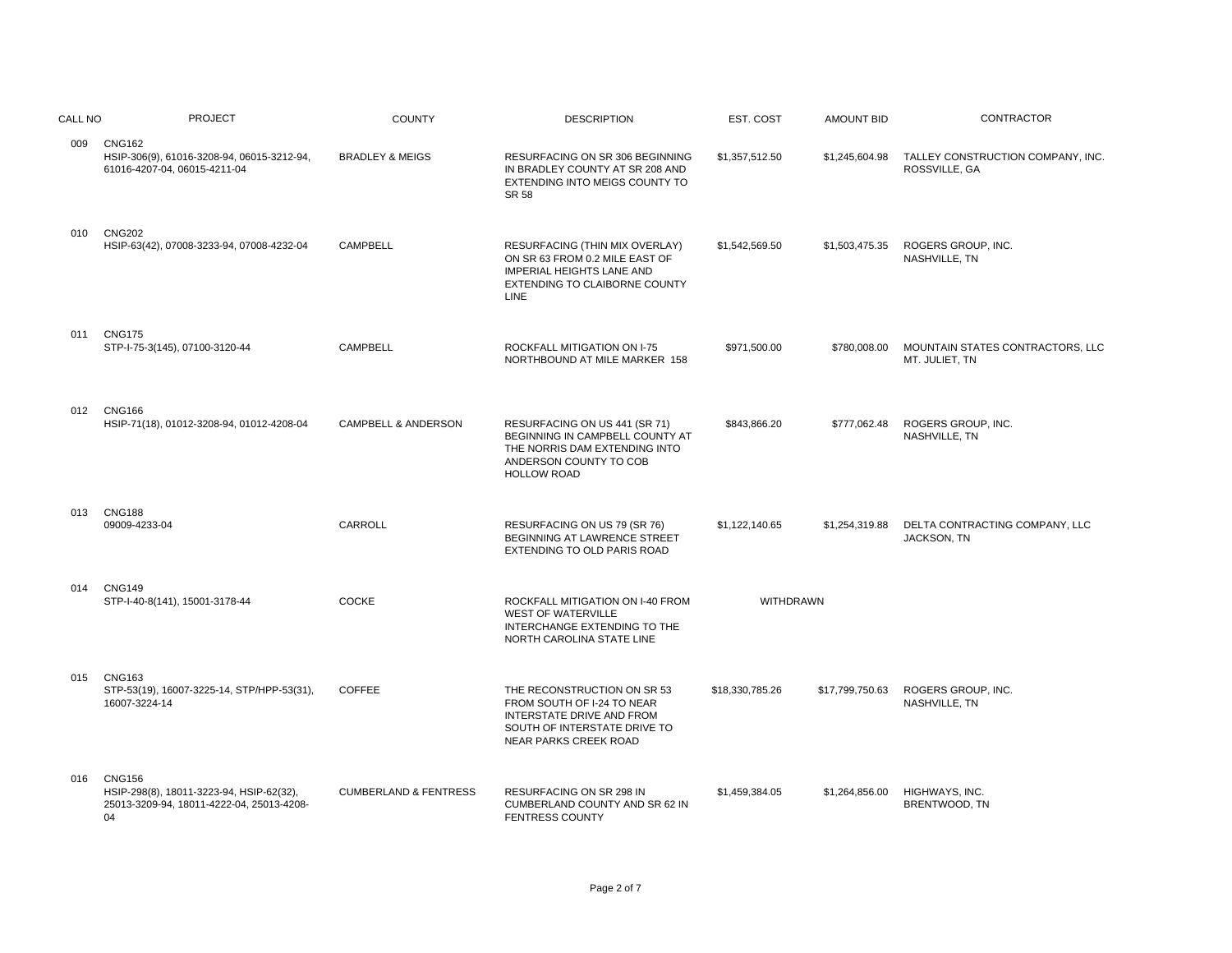| CALL NO | <b>PROJECT</b>                                                                                               | <b>COUNTY</b>                    | <b>DESCRIPTION</b>                                                                                                                                          | EST. COST        | <b>AMOUNT BID</b> | CONTRACTOR                                         |
|---------|--------------------------------------------------------------------------------------------------------------|----------------------------------|-------------------------------------------------------------------------------------------------------------------------------------------------------------|------------------|-------------------|----------------------------------------------------|
| 009     | <b>CNG162</b><br>HSIP-306(9), 61016-3208-94, 06015-3212-94,<br>61016-4207-04, 06015-4211-04                  | <b>BRADLEY &amp; MEIGS</b>       | RESURFACING ON SR 306 BEGINNING<br>IN BRADLEY COUNTY AT SR 208 AND<br>EXTENDING INTO MEIGS COUNTY TO<br><b>SR 58</b>                                        | \$1,357,512.50   | \$1,245,604.98    | TALLEY CONSTRUCTION COMPANY, INC.<br>ROSSVILLE, GA |
| 010     | <b>CNG202</b><br>HSIP-63(42), 07008-3233-94, 07008-4232-04                                                   | <b>CAMPBELL</b>                  | RESURFACING (THIN MIX OVERLAY)<br>ON SR 63 FROM 0.2 MILE EAST OF<br><b>IMPERIAL HEIGHTS LANE AND</b><br><b>EXTENDING TO CLAIBORNE COUNTY</b><br><b>LINE</b> | \$1,542,569.50   | \$1,503,475.35    | ROGERS GROUP, INC.<br>NASHVILLE, TN                |
| 011     | <b>CNG175</b><br>STP-I-75-3(145), 07100-3120-44                                                              | <b>CAMPBELL</b>                  | ROCKFALL MITIGATION ON I-75<br>NORTHBOUND AT MILE MARKER 158                                                                                                | \$971,500.00     | \$780,008.00      | MOUNTAIN STATES CONTRACTORS, LLC<br>MT. JULIET, TN |
| 012     | <b>CNG166</b><br>HSIP-71(18), 01012-3208-94, 01012-4208-04                                                   | <b>CAMPBELL &amp; ANDERSON</b>   | RESURFACING ON US 441 (SR 71)<br>BEGINNING IN CAMPBELL COUNTY AT<br>THE NORRIS DAM EXTENDING INTO<br>ANDERSON COUNTY TO COB<br><b>HOLLOW ROAD</b>           | \$843,866.20     | \$777,062.48      | ROGERS GROUP, INC.<br>NASHVILLE, TN                |
| 013     | <b>CNG188</b><br>09009-4233-04                                                                               | CARROLL                          | RESURFACING ON US 79 (SR 76)<br>BEGINNING AT LAWRENCE STREET<br><b>EXTENDING TO OLD PARIS ROAD</b>                                                          | \$1,122,140.65   | \$1,254,319.88    | DELTA CONTRACTING COMPANY, LLC<br>JACKSON, TN      |
| 014     | <b>CNG149</b><br>STP-I-40-8(141), 15001-3178-44                                                              | <b>COCKE</b>                     | ROCKFALL MITIGATION ON I-40 FROM<br><b>WEST OF WATERVILLE</b><br>INTERCHANGE EXTENDING TO THE<br>NORTH CAROLINA STATE LINE                                  | <b>WITHDRAWN</b> |                   |                                                    |
| 015     | <b>CNG163</b><br>STP-53(19), 16007-3225-14, STP/HPP-53(31),<br>16007-3224-14                                 | <b>COFFEE</b>                    | THE RECONSTRUCTION ON SR 53<br>FROM SOUTH OF I-24 TO NEAR<br>INTERSTATE DRIVE AND FROM<br>SOUTH OF INTERSTATE DRIVE TO<br><b>NEAR PARKS CREEK ROAD</b>      | \$18,330,785.26  | \$17,799,750.63   | ROGERS GROUP, INC.<br>NASHVILLE, TN                |
| 016     | <b>CNG156</b><br>HSIP-298(8), 18011-3223-94, HSIP-62(32),<br>25013-3209-94, 18011-4222-04, 25013-4208-<br>04 | <b>CUMBERLAND &amp; FENTRESS</b> | RESURFACING ON SR 298 IN<br>CUMBERLAND COUNTY AND SR 62 IN<br><b>FENTRESS COUNTY</b>                                                                        | \$1,459,384.05   | \$1,264,856.00    | HIGHWAYS, INC.<br>BRENTWOOD, TN                    |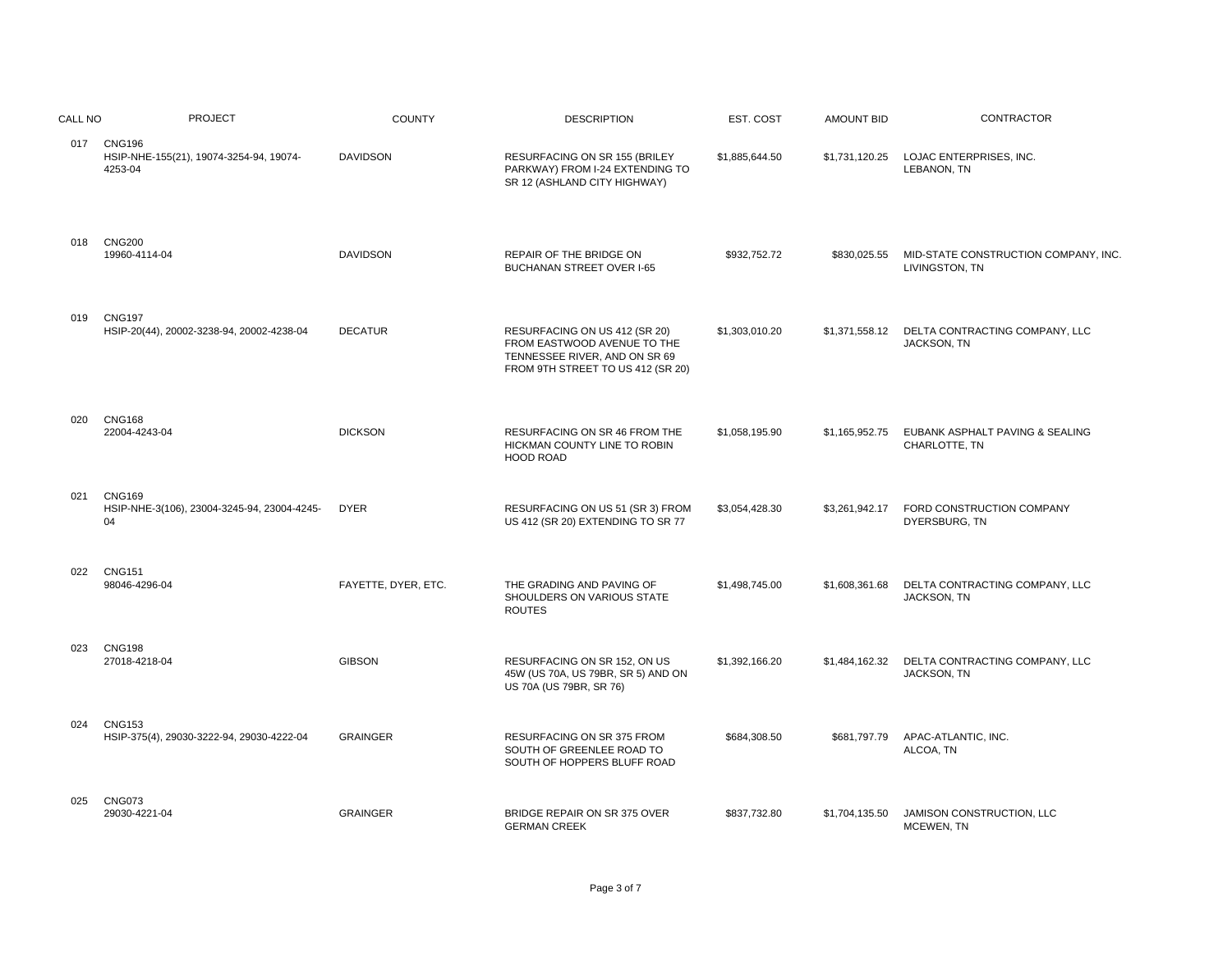| CALL NO | <b>PROJECT</b>                                                     | <b>COUNTY</b>       | <b>DESCRIPTION</b>                                                                                                                 | EST. COST      | <b>AMOUNT BID</b> | CONTRACTOR                                            |
|---------|--------------------------------------------------------------------|---------------------|------------------------------------------------------------------------------------------------------------------------------------|----------------|-------------------|-------------------------------------------------------|
|         | 017 CNG196<br>HSIP-NHE-155(21), 19074-3254-94, 19074-<br>4253-04   | <b>DAVIDSON</b>     | RESURFACING ON SR 155 (BRILEY<br>PARKWAY) FROM I-24 EXTENDING TO<br>SR 12 (ASHLAND CITY HIGHWAY)                                   | \$1,885,644.50 | \$1,731,120.25    | LOJAC ENTERPRISES, INC.<br>LEBANON, TN                |
| 018     | <b>CNG200</b><br>19960-4114-04                                     | <b>DAVIDSON</b>     | REPAIR OF THE BRIDGE ON<br><b>BUCHANAN STREET OVER I-65</b>                                                                        | \$932,752.72   | \$830,025.55      | MID-STATE CONSTRUCTION COMPANY, INC<br>LIVINGSTON, TN |
| 019     | <b>CNG197</b><br>HSIP-20(44), 20002-3238-94, 20002-4238-04         | <b>DECATUR</b>      | RESURFACING ON US 412 (SR 20)<br>FROM EASTWOOD AVENUE TO THE<br>TENNESSEE RIVER, AND ON SR 69<br>FROM 9TH STREET TO US 412 (SR 20) | \$1,303,010.20 | \$1,371,558.12    | DELTA CONTRACTING COMPANY, LLC<br>JACKSON, TN         |
| 020     | <b>CNG168</b><br>22004-4243-04                                     | <b>DICKSON</b>      | RESURFACING ON SR 46 FROM THE<br>HICKMAN COUNTY LINE TO ROBIN<br><b>HOOD ROAD</b>                                                  | \$1,058,195.90 | \$1,165,952.75    | EUBANK ASPHALT PAVING & SEALING<br>CHARLOTTE, TN      |
| 021     | <b>CNG169</b><br>HSIP-NHE-3(106), 23004-3245-94, 23004-4245-<br>04 | <b>DYER</b>         | RESURFACING ON US 51 (SR 3) FROM<br>US 412 (SR 20) EXTENDING TO SR 77                                                              | \$3,054,428.30 | \$3,261,942.17    | FORD CONSTRUCTION COMPANY<br>DYERSBURG, TN            |
| 022     | <b>CNG151</b><br>98046-4296-04                                     | FAYETTE, DYER, ETC. | THE GRADING AND PAVING OF<br>SHOULDERS ON VARIOUS STATE<br><b>ROUTES</b>                                                           | \$1,498,745.00 | \$1,608,361.68    | DELTA CONTRACTING COMPANY, LLC<br>JACKSON, TN         |
| 023     | <b>CNG198</b><br>27018-4218-04                                     | <b>GIBSON</b>       | RESURFACING ON SR 152, ON US<br>45W (US 70A, US 79BR, SR 5) AND ON<br>US 70A (US 79BR, SR 76)                                      | \$1,392,166.20 | \$1,484,162.32    | DELTA CONTRACTING COMPANY, LLC<br>JACKSON, TN         |
| 024     | <b>CNG153</b><br>HSIP-375(4), 29030-3222-94, 29030-4222-04         | <b>GRAINGER</b>     | RESURFACING ON SR 375 FROM<br>SOUTH OF GREENLEE ROAD TO<br>SOUTH OF HOPPERS BLUFF ROAD                                             | \$684,308.50   | \$681,797.79      | APAC-ATLANTIC, INC.<br>ALCOA, TN                      |
| 025     | <b>CNG073</b><br>29030-4221-04                                     | <b>GRAINGER</b>     | BRIDGE REPAIR ON SR 375 OVER<br><b>GERMAN CREEK</b>                                                                                | \$837,732.80   | \$1,704,135.50    | JAMISON CONSTRUCTION, LLC<br>MCEWEN, TN               |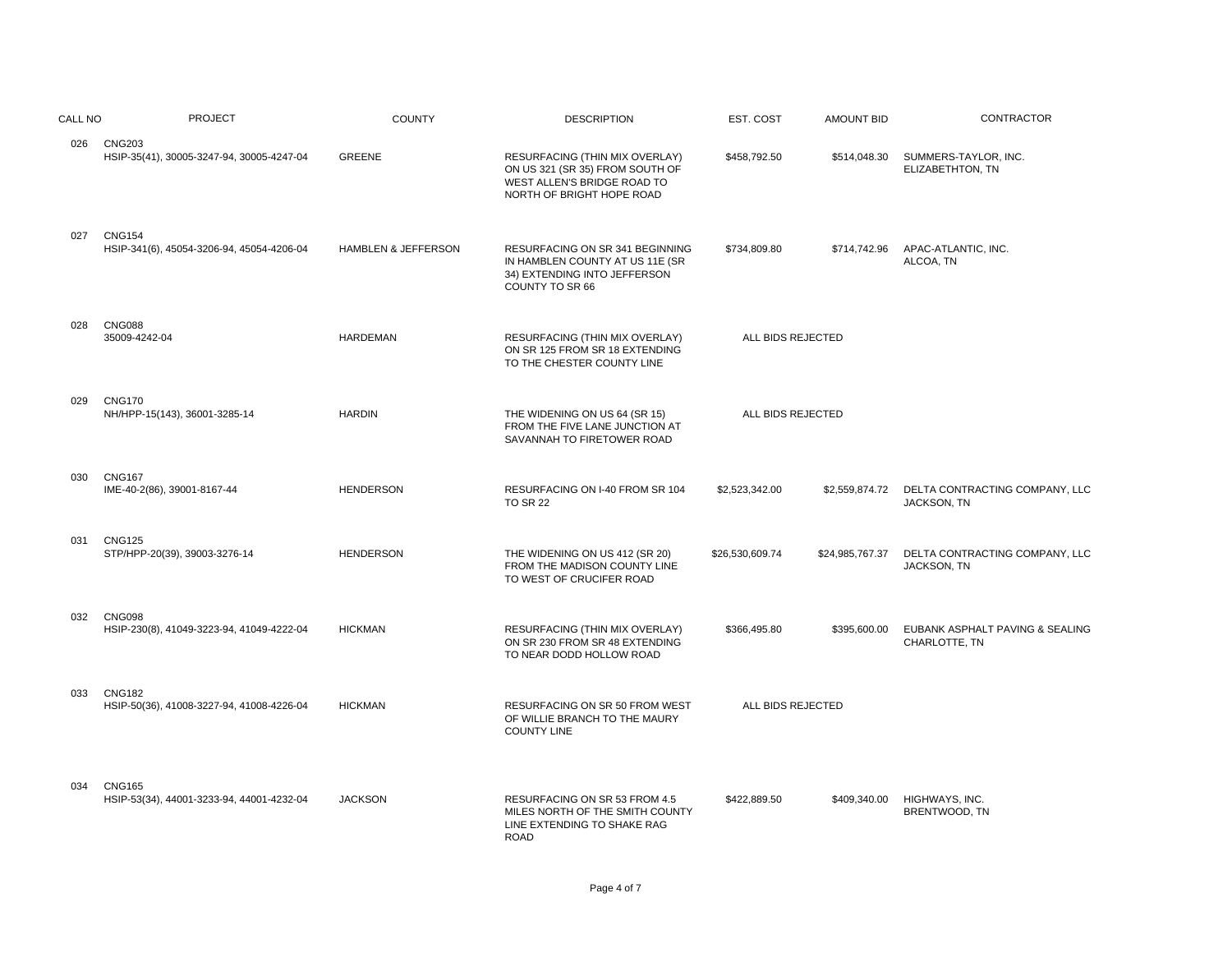| CALL NO | <b>PROJECT</b>                                             | <b>COUNTY</b>       | <b>DESCRIPTION</b>                                                                                                            | EST. COST         | <b>AMOUNT BID</b> | <b>CONTRACTOR</b>                                |
|---------|------------------------------------------------------------|---------------------|-------------------------------------------------------------------------------------------------------------------------------|-------------------|-------------------|--------------------------------------------------|
|         | 026 CNG203<br>HSIP-35(41), 30005-3247-94, 30005-4247-04    | <b>GREENE</b>       | RESURFACING (THIN MIX OVERLAY)<br>ON US 321 (SR 35) FROM SOUTH OF<br>WEST ALLEN'S BRIDGE ROAD TO<br>NORTH OF BRIGHT HOPE ROAD | \$458,792.50      | \$514,048.30      | SUMMERS-TAYLOR, INC.<br>ELIZABETHTON, TN         |
| 027     | <b>CNG154</b><br>HSIP-341(6), 45054-3206-94, 45054-4206-04 | HAMBLEN & JEFFERSON | RESURFACING ON SR 341 BEGINNING<br>IN HAMBLEN COUNTY AT US 11E (SR<br>34) EXTENDING INTO JEFFERSON<br>COUNTY TO SR 66         | \$734,809.80      | \$714,742.96      | APAC-ATLANTIC, INC.<br>ALCOA, TN                 |
| 028     | <b>CNG088</b><br>35009-4242-04                             | <b>HARDEMAN</b>     | RESURFACING (THIN MIX OVERLAY)<br>ON SR 125 FROM SR 18 EXTENDING<br>TO THE CHESTER COUNTY LINE                                | ALL BIDS REJECTED |                   |                                                  |
| 029     | <b>CNG170</b><br>NH/HPP-15(143), 36001-3285-14             | <b>HARDIN</b>       | THE WIDENING ON US 64 (SR 15)<br>FROM THE FIVE LANE JUNCTION AT<br>SAVANNAH TO FIRETOWER ROAD                                 | ALL BIDS REJECTED |                   |                                                  |
| 030     | <b>CNG167</b><br>IME-40-2(86), 39001-8167-44               | <b>HENDERSON</b>    | RESURFACING ON I-40 FROM SR 104<br><b>TO SR 22</b>                                                                            | \$2,523,342.00    | \$2,559,874.72    | DELTA CONTRACTING COMPANY, LLC<br>JACKSON, TN    |
| 031     | <b>CNG125</b><br>STP/HPP-20(39), 39003-3276-14             | <b>HENDERSON</b>    | THE WIDENING ON US 412 (SR 20)<br>FROM THE MADISON COUNTY LINE<br>TO WEST OF CRUCIFER ROAD                                    | \$26,530,609.74   | \$24,985,767.37   | DELTA CONTRACTING COMPANY, LLC<br>JACKSON, TN    |
| 032     | <b>CNG098</b><br>HSIP-230(8), 41049-3223-94, 41049-4222-04 | <b>HICKMAN</b>      | RESURFACING (THIN MIX OVERLAY)<br>ON SR 230 FROM SR 48 EXTENDING<br>TO NEAR DODD HOLLOW ROAD                                  | \$366,495.80      | \$395,600.00      | EUBANK ASPHALT PAVING & SEALING<br>CHARLOTTE, TN |
| 033     | <b>CNG182</b><br>HSIP-50(36), 41008-3227-94, 41008-4226-04 | <b>HICKMAN</b>      | RESURFACING ON SR 50 FROM WEST<br>OF WILLIE BRANCH TO THE MAURY<br><b>COUNTY LINE</b>                                         | ALL BIDS REJECTED |                   |                                                  |
| 034     | <b>CNG165</b><br>HSIP-53(34), 44001-3233-94, 44001-4232-04 | <b>JACKSON</b>      | RESURFACING ON SR 53 FROM 4.5<br>MILES NORTH OF THE SMITH COUNTY<br>LINE EXTENDING TO SHAKE RAG<br><b>ROAD</b>                | \$422,889.50      | \$409,340.00      | HIGHWAYS, INC.<br>BRENTWOOD, TN                  |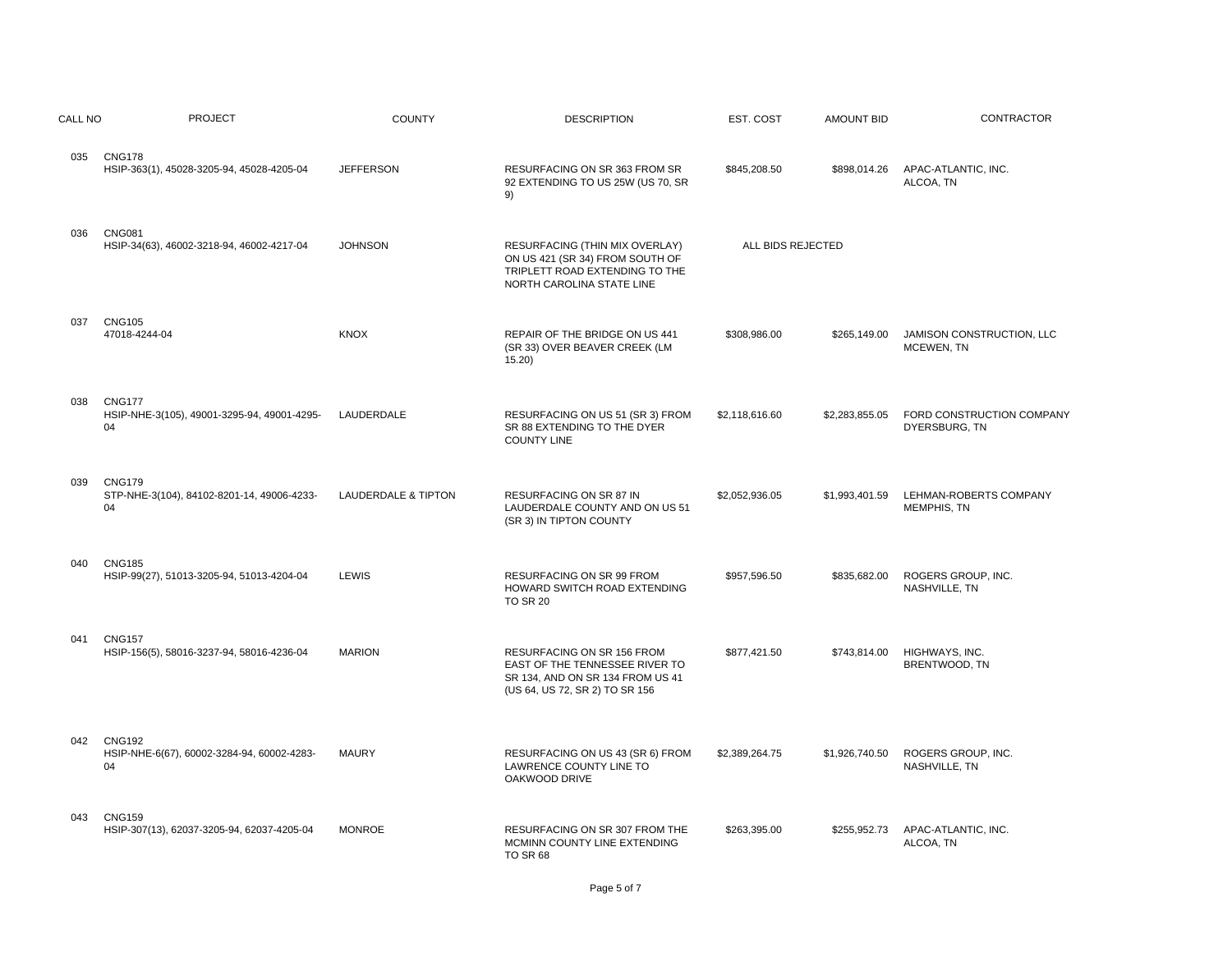| CALL NO | <b>PROJECT</b>                                                     | <b>COUNTY</b>                  | <b>DESCRIPTION</b>                                                                                                                 | EST. COST         | <b>AMOUNT BID</b> | CONTRACTOR                                 |
|---------|--------------------------------------------------------------------|--------------------------------|------------------------------------------------------------------------------------------------------------------------------------|-------------------|-------------------|--------------------------------------------|
| 035     | <b>CNG178</b><br>HSIP-363(1), 45028-3205-94, 45028-4205-04         | <b>JEFFERSON</b>               | RESURFACING ON SR 363 FROM SR<br>92 EXTENDING TO US 25W (US 70, SR<br>9)                                                           | \$845,208.50      | \$898,014.26      | APAC-ATLANTIC, INC.<br>ALCOA, TN           |
| 036     | <b>CNG081</b><br>HSIP-34(63), 46002-3218-94, 46002-4217-04         | <b>JOHNSON</b>                 | RESURFACING (THIN MIX OVERLAY)<br>ON US 421 (SR 34) FROM SOUTH OF<br>TRIPLETT ROAD EXTENDING TO THE<br>NORTH CAROLINA STATE LINE   | ALL BIDS REJECTED |                   |                                            |
| 037     | <b>CNG105</b><br>47018-4244-04                                     | <b>KNOX</b>                    | REPAIR OF THE BRIDGE ON US 441<br>(SR 33) OVER BEAVER CREEK (LM<br>15.20                                                           | \$308,986.00      | \$265,149.00      | JAMISON CONSTRUCTION, LLC<br>MCEWEN, TN    |
| 038     | <b>CNG177</b><br>HSIP-NHE-3(105), 49001-3295-94, 49001-4295-<br>04 | LAUDERDALE                     | RESURFACING ON US 51 (SR 3) FROM<br>SR 88 EXTENDING TO THE DYER<br><b>COUNTY LINE</b>                                              | \$2,118,616.60    | \$2,283,855.05    | FORD CONSTRUCTION COMPANY<br>DYERSBURG, TN |
| 039     | <b>CNG179</b><br>STP-NHE-3(104), 84102-8201-14, 49006-4233-<br>04  | <b>LAUDERDALE &amp; TIPTON</b> | RESURFACING ON SR 87 IN<br>LAUDERDALE COUNTY AND ON US 51<br>(SR 3) IN TIPTON COUNTY                                               | \$2,052,936.05    | \$1,993,401.59    | LEHMAN-ROBERTS COMPANY<br>MEMPHIS, TN      |
| 040     | <b>CNG185</b><br>HSIP-99(27), 51013-3205-94, 51013-4204-04         | LEWIS                          | <b>RESURFACING ON SR 99 FROM</b><br>HOWARD SWITCH ROAD EXTENDING<br><b>TO SR 20</b>                                                | \$957,596.50      | \$835,682.00      | ROGERS GROUP, INC.<br>NASHVILLE, TN        |
| 041     | <b>CNG157</b><br>HSIP-156(5), 58016-3237-94, 58016-4236-04         | <b>MARION</b>                  | RESURFACING ON SR 156 FROM<br>EAST OF THE TENNESSEE RIVER TO<br>SR 134, AND ON SR 134 FROM US 41<br>(US 64, US 72, SR 2) TO SR 156 | \$877,421.50      | \$743,814.00      | HIGHWAYS, INC.<br>BRENTWOOD, TN            |
| 042     | <b>CNG192</b><br>HSIP-NHE-6(67), 60002-3284-94, 60002-4283-<br>04  | <b>MAURY</b>                   | RESURFACING ON US 43 (SR 6) FROM<br>LAWRENCE COUNTY LINE TO<br>OAKWOOD DRIVE                                                       | \$2,389,264.75    | \$1,926,740.50    | ROGERS GROUP, INC.<br>NASHVILLE, TN        |
| 043     | <b>CNG159</b><br>HSIP-307(13), 62037-3205-94, 62037-4205-04        | <b>MONROE</b>                  | RESURFACING ON SR 307 FROM THE<br>MCMINN COUNTY LINE EXTENDING<br><b>TO SR 68</b>                                                  | \$263,395.00      | \$255,952.73      | APAC-ATLANTIC, INC.<br>ALCOA, TN           |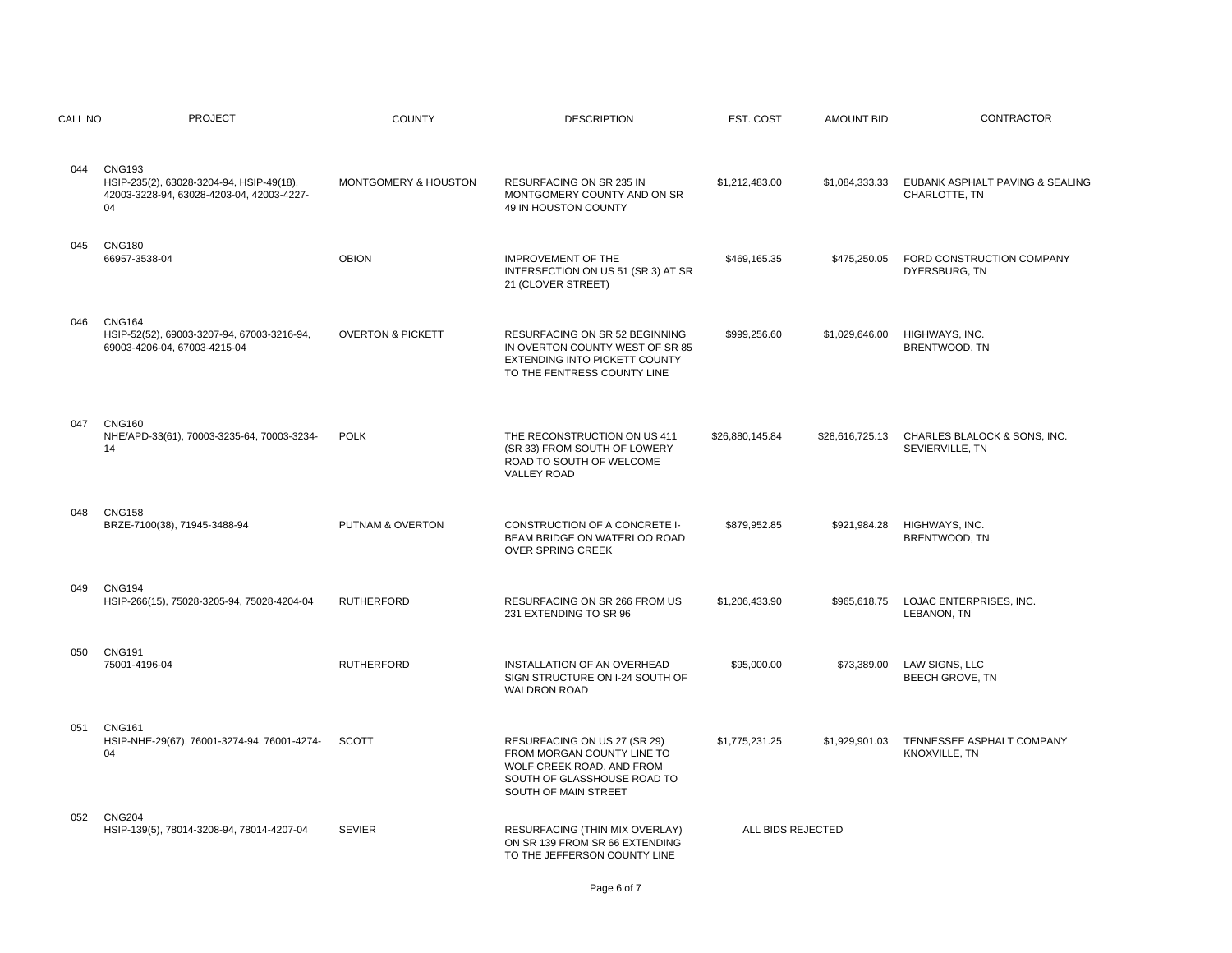| CALL NO | <b>PROJECT</b>                                                                                               | <b>COUNTY</b>                | <b>DESCRIPTION</b>                                                                                                                             | EST. COST         | <b>AMOUNT BID</b> | <b>CONTRACTOR</b>                                |
|---------|--------------------------------------------------------------------------------------------------------------|------------------------------|------------------------------------------------------------------------------------------------------------------------------------------------|-------------------|-------------------|--------------------------------------------------|
| 044     | <b>CNG193</b><br>HSIP-235(2), 63028-3204-94, HSIP-49(18),<br>42003-3228-94, 63028-4203-04, 42003-4227-<br>04 | MONTGOMERY & HOUSTON         | RESURFACING ON SR 235 IN<br>MONTGOMERY COUNTY AND ON SR<br>49 IN HOUSTON COUNTY                                                                | \$1,212,483.00    | \$1,084,333.33    | EUBANK ASPHALT PAVING & SEALING<br>CHARLOTTE. TN |
| 045     | <b>CNG180</b><br>66957-3538-04                                                                               | <b>OBION</b>                 | <b>IMPROVEMENT OF THE</b><br>INTERSECTION ON US 51 (SR 3) AT SR<br>21 (CLOVER STREET)                                                          | \$469,165.35      | \$475,250.05      | FORD CONSTRUCTION COMPANY<br>DYERSBURG, TN       |
| 046     | <b>CNG164</b><br>HSIP-52(52), 69003-3207-94, 67003-3216-94,<br>69003-4206-04, 67003-4215-04                  | <b>OVERTON &amp; PICKETT</b> | <b>RESURFACING ON SR 52 BEGINNING</b><br>IN OVERTON COUNTY WEST OF SR 85<br>EXTENDING INTO PICKETT COUNTY<br>TO THE FENTRESS COUNTY LINE       | \$999,256.60      | \$1,029,646.00    | HIGHWAYS, INC.<br>BRENTWOOD, TN                  |
| 047     | <b>CNG160</b><br>NHE/APD-33(61), 70003-3235-64, 70003-3234-<br>14                                            | <b>POLK</b>                  | THE RECONSTRUCTION ON US 411<br>(SR 33) FROM SOUTH OF LOWERY<br>ROAD TO SOUTH OF WELCOME<br><b>VALLEY ROAD</b>                                 | \$26,880,145.84   | \$28,616,725.13   | CHARLES BLALOCK & SONS, INC.<br>SEVIERVILLE, TN  |
| 048     | <b>CNG158</b><br>BRZE-7100(38), 71945-3488-94                                                                | PUTNAM & OVERTON             | CONSTRUCTION OF A CONCRETE I-<br>BEAM BRIDGE ON WATERLOO ROAD<br>OVER SPRING CREEK                                                             | \$879,952.85      | \$921,984.28      | HIGHWAYS, INC.<br>BRENTWOOD, TN                  |
| 049     | <b>CNG194</b><br>HSIP-266(15), 75028-3205-94, 75028-4204-04                                                  | <b>RUTHERFORD</b>            | <b>RESURFACING ON SR 266 FROM US</b><br>231 EXTENDING TO SR 96                                                                                 | \$1,206,433.90    | \$965.618.75      | LOJAC ENTERPRISES, INC.<br>LEBANON, TN           |
| 050     | <b>CNG191</b><br>75001-4196-04                                                                               | <b>RUTHERFORD</b>            | INSTALLATION OF AN OVERHEAD<br>SIGN STRUCTURE ON I-24 SOUTH OF<br><b>WALDRON ROAD</b>                                                          | \$95,000.00       | \$73,389.00       | LAW SIGNS, LLC<br><b>BEECH GROVE, TN</b>         |
| 051     | <b>CNG161</b><br>HSIP-NHE-29(67), 76001-3274-94, 76001-4274-<br>04                                           | <b>SCOTT</b>                 | RESURFACING ON US 27 (SR 29)<br>FROM MORGAN COUNTY LINE TO<br>WOLF CREEK ROAD, AND FROM<br>SOUTH OF GLASSHOUSE ROAD TO<br>SOUTH OF MAIN STREET | \$1,775,231.25    | \$1,929,901.03    | TENNESSEE ASPHALT COMPANY<br>KNOXVILLE, TN       |
| 052     | <b>CNG204</b><br>HSIP-139(5), 78014-3208-94, 78014-4207-04                                                   | <b>SEVIER</b>                | RESURFACING (THIN MIX OVERLAY)<br>ON SR 139 FROM SR 66 EXTENDING<br>TO THE JEFFERSON COUNTY LINE                                               | ALL BIDS REJECTED |                   |                                                  |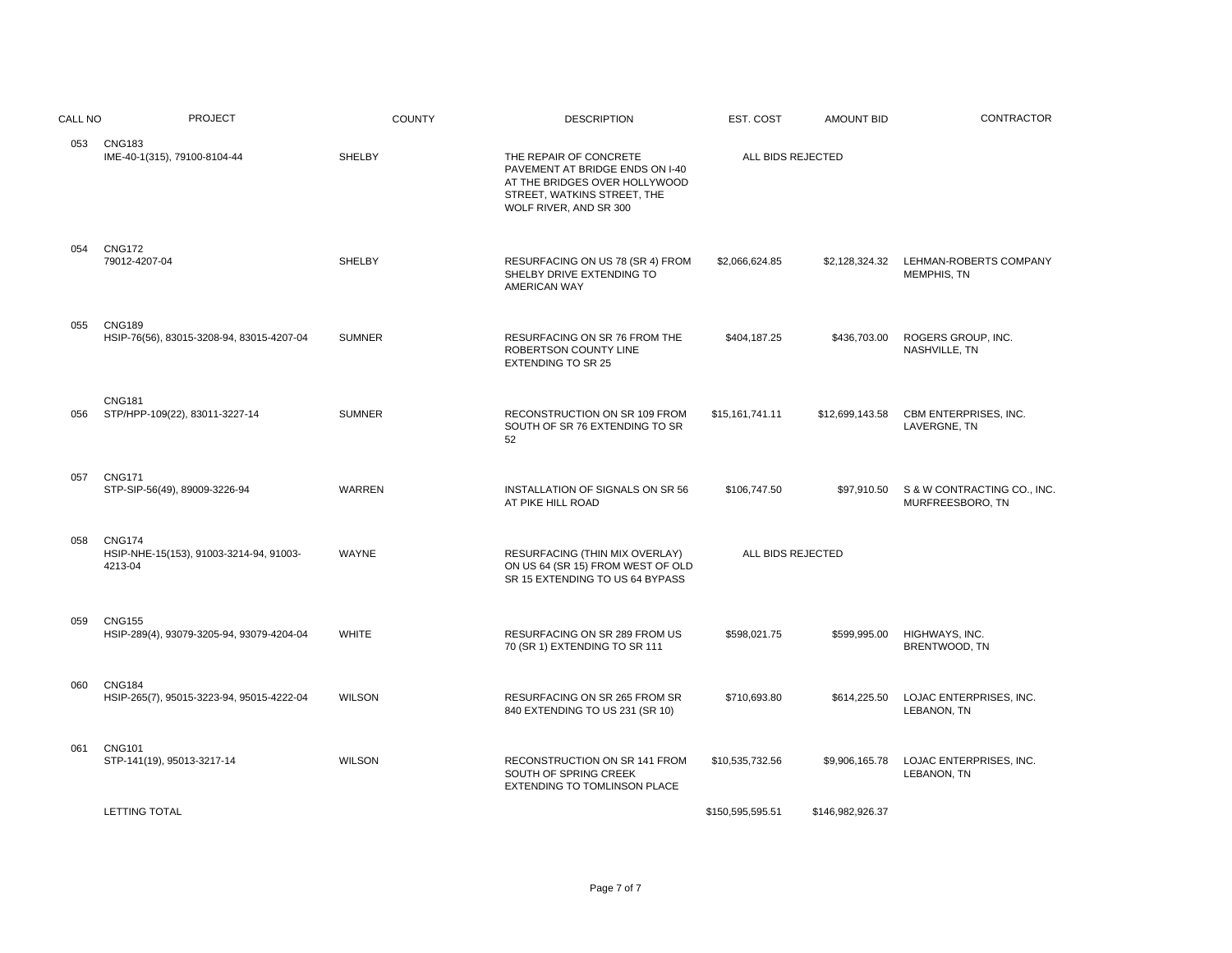| CALL NO | <b>PROJECT</b>                                                      | <b>COUNTY</b> | <b>DESCRIPTION</b>                                                                                                                                  | EST. COST         | <b>AMOUNT BID</b> | <b>CONTRACTOR</b>                               |
|---------|---------------------------------------------------------------------|---------------|-----------------------------------------------------------------------------------------------------------------------------------------------------|-------------------|-------------------|-------------------------------------------------|
|         | 053 CNG183<br>IME-40-1(315), 79100-8104-44                          | <b>SHELBY</b> | THE REPAIR OF CONCRETE<br>PAVEMENT AT BRIDGE ENDS ON I-40<br>AT THE BRIDGES OVER HOLLYWOOD<br>STREET, WATKINS STREET, THE<br>WOLF RIVER, AND SR 300 | ALL BIDS REJECTED |                   |                                                 |
| 054     | <b>CNG172</b><br>79012-4207-04                                      | <b>SHELBY</b> | RESURFACING ON US 78 (SR 4) FROM<br>SHELBY DRIVE EXTENDING TO<br><b>AMERICAN WAY</b>                                                                | \$2,066,624.85    | \$2,128,324.32    | LEHMAN-ROBERTS COMPANY<br>MEMPHIS, TN           |
| 055     | <b>CNG189</b><br>HSIP-76(56), 83015-3208-94, 83015-4207-04          | <b>SUMNER</b> | RESURFACING ON SR 76 FROM THE<br>ROBERTSON COUNTY LINE<br><b>EXTENDING TO SR 25</b>                                                                 | \$404,187.25      | \$436,703.00      | ROGERS GROUP, INC.<br>NASHVILLE, TN             |
| 056     | <b>CNG181</b><br>STP/HPP-109(22), 83011-3227-14                     | <b>SUMNER</b> | RECONSTRUCTION ON SR 109 FROM<br>SOUTH OF SR 76 EXTENDING TO SR<br>52                                                                               | \$15,161,741.11   | \$12,699,143.58   | CBM ENTERPRISES, INC.<br>LAVERGNE, TN           |
| 057     | <b>CNG171</b><br>STP-SIP-56(49), 89009-3226-94                      | WARREN        | INSTALLATION OF SIGNALS ON SR 56<br>AT PIKE HILL ROAD                                                                                               | \$106,747.50      | \$97,910.50       | S & W CONTRACTING CO., INC.<br>MURFREESBORO, TN |
| 058     | <b>CNG174</b><br>HSIP-NHE-15(153), 91003-3214-94, 91003-<br>4213-04 | WAYNE         | RESURFACING (THIN MIX OVERLAY)<br>ON US 64 (SR 15) FROM WEST OF OLD<br>SR 15 EXTENDING TO US 64 BYPASS                                              | ALL BIDS REJECTED |                   |                                                 |
| 059     | <b>CNG155</b><br>HSIP-289(4), 93079-3205-94, 93079-4204-04          | <b>WHITE</b>  | RESURFACING ON SR 289 FROM US<br>70 (SR 1) EXTENDING TO SR 111                                                                                      | \$598,021.75      | \$599,995.00      | HIGHWAYS, INC.<br>BRENTWOOD, TN                 |
| 060     | <b>CNG184</b><br>HSIP-265(7), 95015-3223-94, 95015-4222-04          | <b>WILSON</b> | RESURFACING ON SR 265 FROM SR<br>840 EXTENDING TO US 231 (SR 10)                                                                                    | \$710,693.80      | \$614,225.50      | LOJAC ENTERPRISES, INC.<br>LEBANON, TN          |
| 061     | <b>CNG101</b><br>STP-141(19), 95013-3217-14                         | <b>WILSON</b> | RECONSTRUCTION ON SR 141 FROM<br>SOUTH OF SPRING CREEK<br>EXTENDING TO TOMLINSON PLACE                                                              | \$10,535,732.56   | \$9,906,165.78    | LOJAC ENTERPRISES, INC.<br>LEBANON, TN          |
|         | <b>LETTING TOTAL</b>                                                |               |                                                                                                                                                     | \$150,595,595.51  | \$146,982,926.37  |                                                 |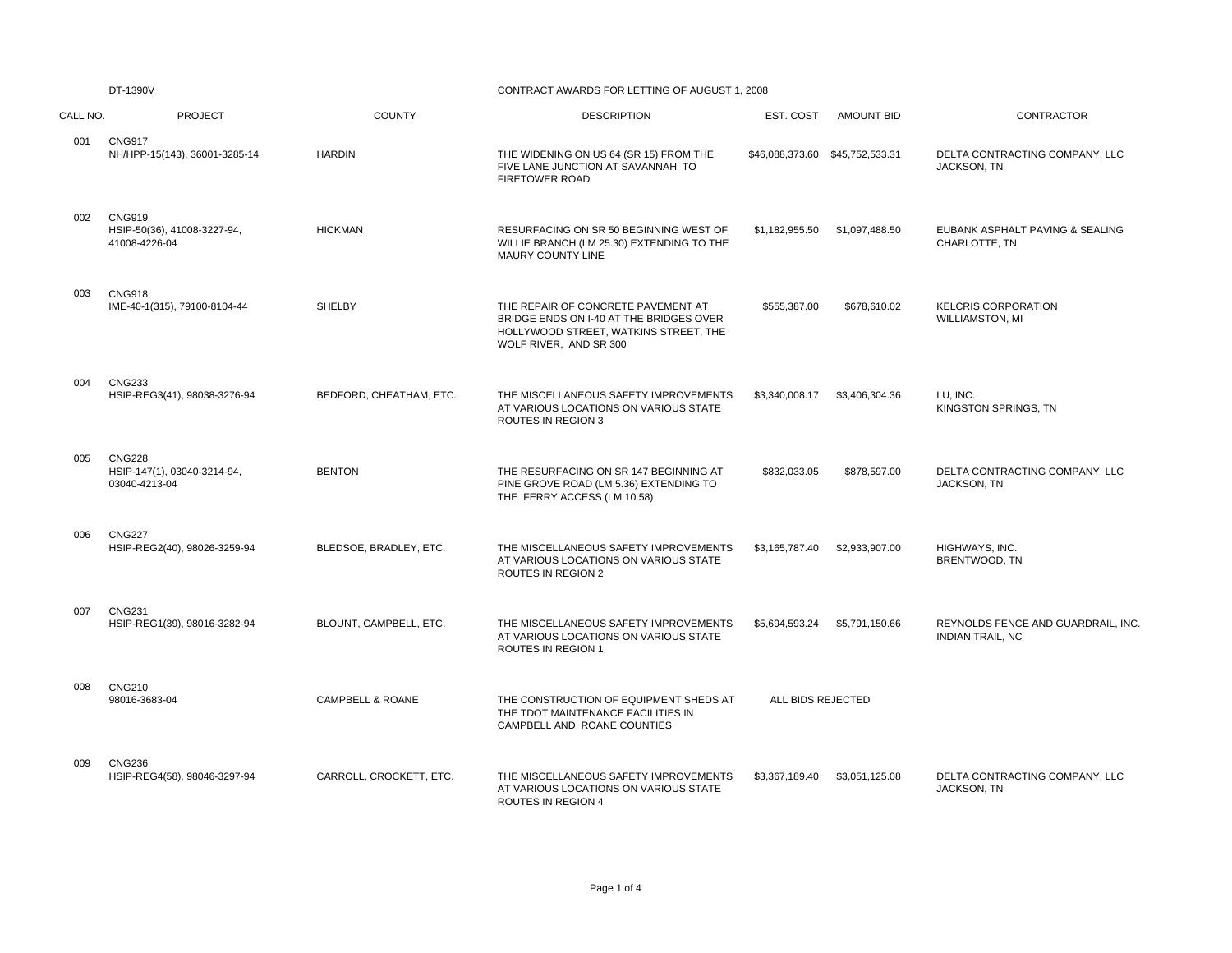|          | DT-1390V                                                      |                             | CONTRACT AWARDS FOR LETTING OF AUGUST 1, 2008                                                                                                    |                   |                   |                                                               |  |  |
|----------|---------------------------------------------------------------|-----------------------------|--------------------------------------------------------------------------------------------------------------------------------------------------|-------------------|-------------------|---------------------------------------------------------------|--|--|
| CALL NO. | <b>PROJECT</b>                                                | <b>COUNTY</b>               | <b>DESCRIPTION</b>                                                                                                                               | EST. COST         | <b>AMOUNT BID</b> | <b>CONTRACTOR</b>                                             |  |  |
| 001      | <b>CNG917</b><br>NH/HPP-15(143), 36001-3285-14                | <b>HARDIN</b>               | THE WIDENING ON US 64 (SR 15) FROM THE<br>FIVE LANE JUNCTION AT SAVANNAH TO<br><b>FIRETOWER ROAD</b>                                             |                   |                   | DELTA CONTRACTING COMPANY, LLC<br>JACKSON, TN                 |  |  |
| 002      | <b>CNG919</b><br>HSIP-50(36), 41008-3227-94,<br>41008-4226-04 | <b>HICKMAN</b>              | RESURFACING ON SR 50 BEGINNING WEST OF<br>WILLIE BRANCH (LM 25.30) EXTENDING TO THE<br>MAURY COUNTY LINE                                         | \$1,182,955.50    | \$1,097,488.50    | EUBANK ASPHALT PAVING & SEALING<br>CHARLOTTE, TN              |  |  |
| 003      | <b>CNG918</b><br>IME-40-1(315), 79100-8104-44                 | <b>SHELBY</b>               | THE REPAIR OF CONCRETE PAVEMENT AT<br>BRIDGE ENDS ON I-40 AT THE BRIDGES OVER<br>HOLLYWOOD STREET, WATKINS STREET, THE<br>WOLF RIVER, AND SR 300 | \$555,387.00      | \$678,610.02      | <b>KELCRIS CORPORATION</b><br><b>WILLIAMSTON, MI</b>          |  |  |
| 004      | <b>CNG233</b><br>HSIP-REG3(41), 98038-3276-94                 | BEDFORD, CHEATHAM, ETC.     | THE MISCELLANEOUS SAFETY IMPROVEMENTS<br>AT VARIOUS LOCATIONS ON VARIOUS STATE<br>ROUTES IN REGION 3                                             | \$3,340,008.17    | \$3,406,304.36    | LU, INC.<br>KINGSTON SPRINGS, TN                              |  |  |
| 005      | <b>CNG228</b><br>HSIP-147(1), 03040-3214-94,<br>03040-4213-04 | <b>BENTON</b>               | THE RESURFACING ON SR 147 BEGINNING AT<br>PINE GROVE ROAD (LM 5.36) EXTENDING TO<br>THE FERRY ACCESS (LM 10.58)                                  | \$832,033.05      | \$878,597.00      | DELTA CONTRACTING COMPANY, LLC<br><b>JACKSON, TN</b>          |  |  |
| 006      | <b>CNG227</b><br>HSIP-REG2(40), 98026-3259-94                 | BLEDSOE, BRADLEY, ETC.      | THE MISCELLANEOUS SAFETY IMPROVEMENTS<br>AT VARIOUS LOCATIONS ON VARIOUS STATE<br><b>ROUTES IN REGION 2</b>                                      | \$3,165,787.40    | \$2,933,907.00    | HIGHWAYS, INC.<br>BRENTWOOD, TN                               |  |  |
| 007      | <b>CNG231</b><br>HSIP-REG1(39), 98016-3282-94                 | BLOUNT, CAMPBELL, ETC.      | THE MISCELLANEOUS SAFETY IMPROVEMENTS<br>AT VARIOUS LOCATIONS ON VARIOUS STATE<br><b>ROUTES IN REGION 1</b>                                      | \$5,694,593.24    | \$5,791,150.66    | REYNOLDS FENCE AND GUARDRAIL, INC.<br><b>INDIAN TRAIL, NC</b> |  |  |
| 008      | <b>CNG210</b><br>98016-3683-04                                | <b>CAMPBELL &amp; ROANE</b> | THE CONSTRUCTION OF EQUIPMENT SHEDS AT<br>THE TDOT MAINTENANCE FACILITIES IN<br>CAMPBELL AND ROANE COUNTIES                                      | ALL BIDS REJECTED |                   |                                                               |  |  |
| 009      | <b>CNG236</b><br>HSIP-REG4(58), 98046-3297-94                 | CARROLL, CROCKETT, ETC.     | THE MISCELLANEOUS SAFETY IMPROVEMENTS<br>AT VARIOUS LOCATIONS ON VARIOUS STATE<br>ROUTES IN REGION 4                                             | \$3,367,189.40    | \$3,051,125.08    | DELTA CONTRACTING COMPANY, LLC<br>JACKSON, TN                 |  |  |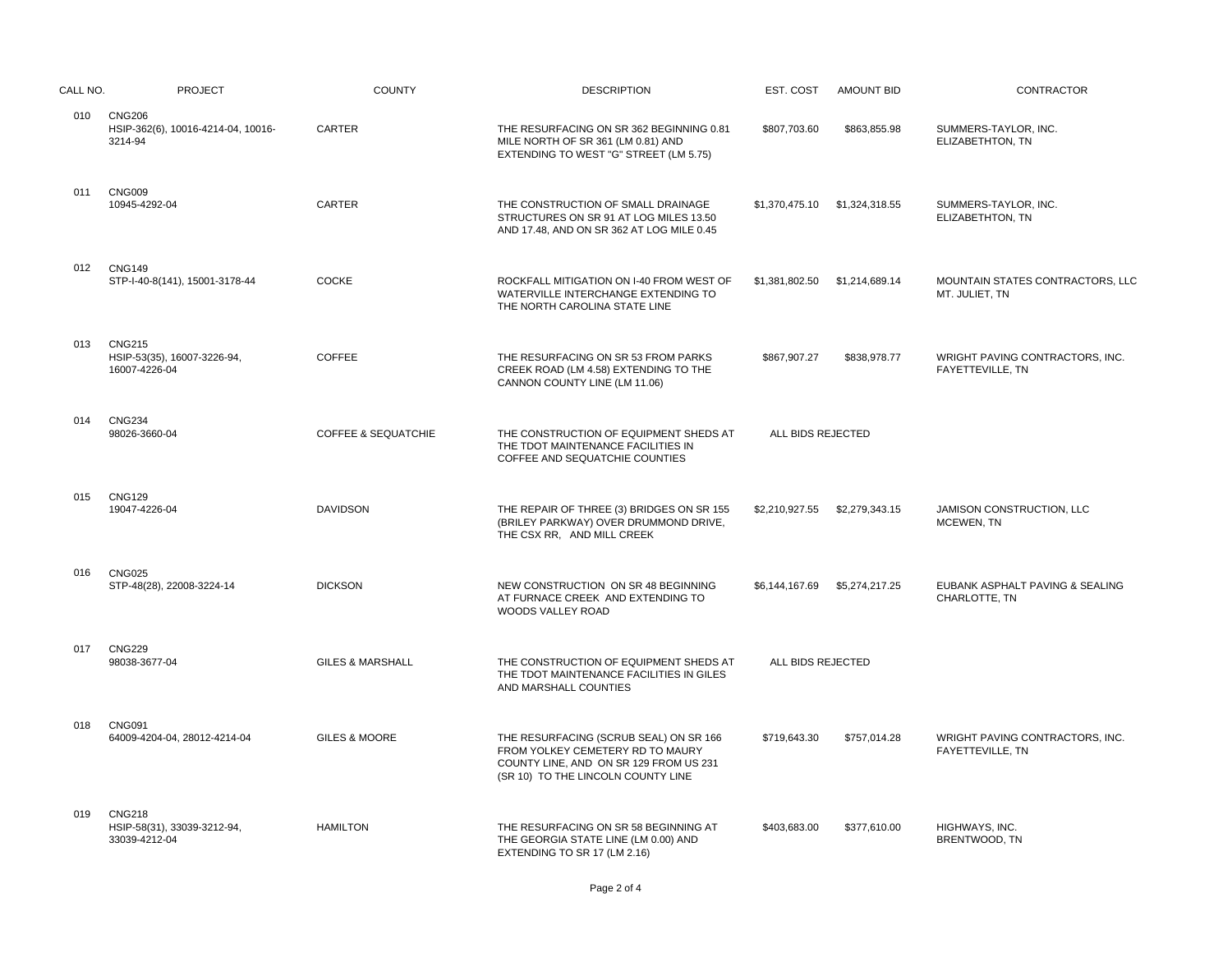| CALL NO. | <b>PROJECT</b>                                                 | <b>COUNTY</b>                  | <b>DESCRIPTION</b>                                                                                                                                         | EST. COST         | <b>AMOUNT BID</b> | CONTRACTOR                                          |
|----------|----------------------------------------------------------------|--------------------------------|------------------------------------------------------------------------------------------------------------------------------------------------------------|-------------------|-------------------|-----------------------------------------------------|
| 010      | <b>CNG206</b><br>HSIP-362(6), 10016-4214-04, 10016-<br>3214-94 | <b>CARTER</b>                  | THE RESURFACING ON SR 362 BEGINNING 0.81<br>MILE NORTH OF SR 361 (LM 0.81) AND<br>EXTENDING TO WEST "G" STREET (LM 5.75)                                   | \$807,703.60      | \$863,855.98      | SUMMERS-TAYLOR, INC.<br>ELIZABETHTON, TN            |
| 011      | <b>CNG009</b><br>10945-4292-04                                 | CARTER                         | THE CONSTRUCTION OF SMALL DRAINAGE<br>STRUCTURES ON SR 91 AT LOG MILES 13.50<br>AND 17.48, AND ON SR 362 AT LOG MILE 0.45                                  | \$1,370,475.10    | \$1,324,318.55    | SUMMERS-TAYLOR, INC.<br>ELIZABETHTON, TN            |
| 012      | <b>CNG149</b><br>STP-I-40-8(141), 15001-3178-44                | COCKE                          | ROCKFALL MITIGATION ON I-40 FROM WEST OF<br>WATERVILLE INTERCHANGE EXTENDING TO<br>THE NORTH CAROLINA STATE LINE                                           | \$1,381,802.50    | \$1,214,689.14    | MOUNTAIN STATES CONTRACTORS, LLC<br>MT. JULIET, TN  |
| 013      | <b>CNG215</b><br>HSIP-53(35), 16007-3226-94,<br>16007-4226-04  | <b>COFFEE</b>                  | THE RESURFACING ON SR 53 FROM PARKS<br>CREEK ROAD (LM 4.58) EXTENDING TO THE<br>CANNON COUNTY LINE (LM 11.06)                                              | \$867,907.27      | \$838,978.77      | WRIGHT PAVING CONTRACTORS, INC.<br>FAYETTEVILLE, TN |
| 014      | <b>CNG234</b><br>98026-3660-04                                 | <b>COFFEE &amp; SEQUATCHIE</b> | THE CONSTRUCTION OF EQUIPMENT SHEDS AT<br>THE TDOT MAINTENANCE FACILITIES IN<br>COFFEE AND SEQUATCHIE COUNTIES                                             | ALL BIDS REJECTED |                   |                                                     |
| 015      | <b>CNG129</b><br>19047-4226-04                                 | <b>DAVIDSON</b>                | THE REPAIR OF THREE (3) BRIDGES ON SR 155<br>(BRILEY PARKWAY) OVER DRUMMOND DRIVE,<br>THE CSX RR. AND MILL CREEK                                           | \$2,210,927.55    | \$2,279,343.15    | JAMISON CONSTRUCTION, LLC<br>MCEWEN, TN             |
| 016      | <b>CNG025</b><br>STP-48(28), 22008-3224-14                     | <b>DICKSON</b>                 | NEW CONSTRUCTION ON SR 48 BEGINNING<br>AT FURNACE CREEK AND EXTENDING TO<br>WOODS VALLEY ROAD                                                              | \$6,144,167.69    | \$5,274,217.25    | EUBANK ASPHALT PAVING & SEALING<br>CHARLOTTE, TN    |
| 017      | <b>CNG229</b><br>98038-3677-04                                 | <b>GILES &amp; MARSHALL</b>    | THE CONSTRUCTION OF EQUIPMENT SHEDS AT<br>THE TDOT MAINTENANCE FACILITIES IN GILES<br>AND MARSHALL COUNTIES                                                | ALL BIDS REJECTED |                   |                                                     |
| 018      | <b>CNG091</b><br>64009-4204-04, 28012-4214-04                  | <b>GILES &amp; MOORE</b>       | THE RESURFACING (SCRUB SEAL) ON SR 166<br>FROM YOLKEY CEMETERY RD TO MAURY<br>COUNTY LINE, AND ON SR 129 FROM US 231<br>(SR 10) TO THE LINCOLN COUNTY LINE | \$719,643.30      | \$757,014.28      | WRIGHT PAVING CONTRACTORS, INC.<br>FAYETTEVILLE, TN |
| 019      | <b>CNG218</b><br>HSIP-58(31), 33039-3212-94,<br>33039-4212-04  | <b>HAMILTON</b>                | THE RESURFACING ON SR 58 BEGINNING AT<br>THE GEORGIA STATE LINE (LM 0.00) AND<br>EXTENDING TO SR 17 (LM 2.16)                                              | \$403,683.00      | \$377,610.00      | HIGHWAYS, INC.<br>BRENTWOOD, TN                     |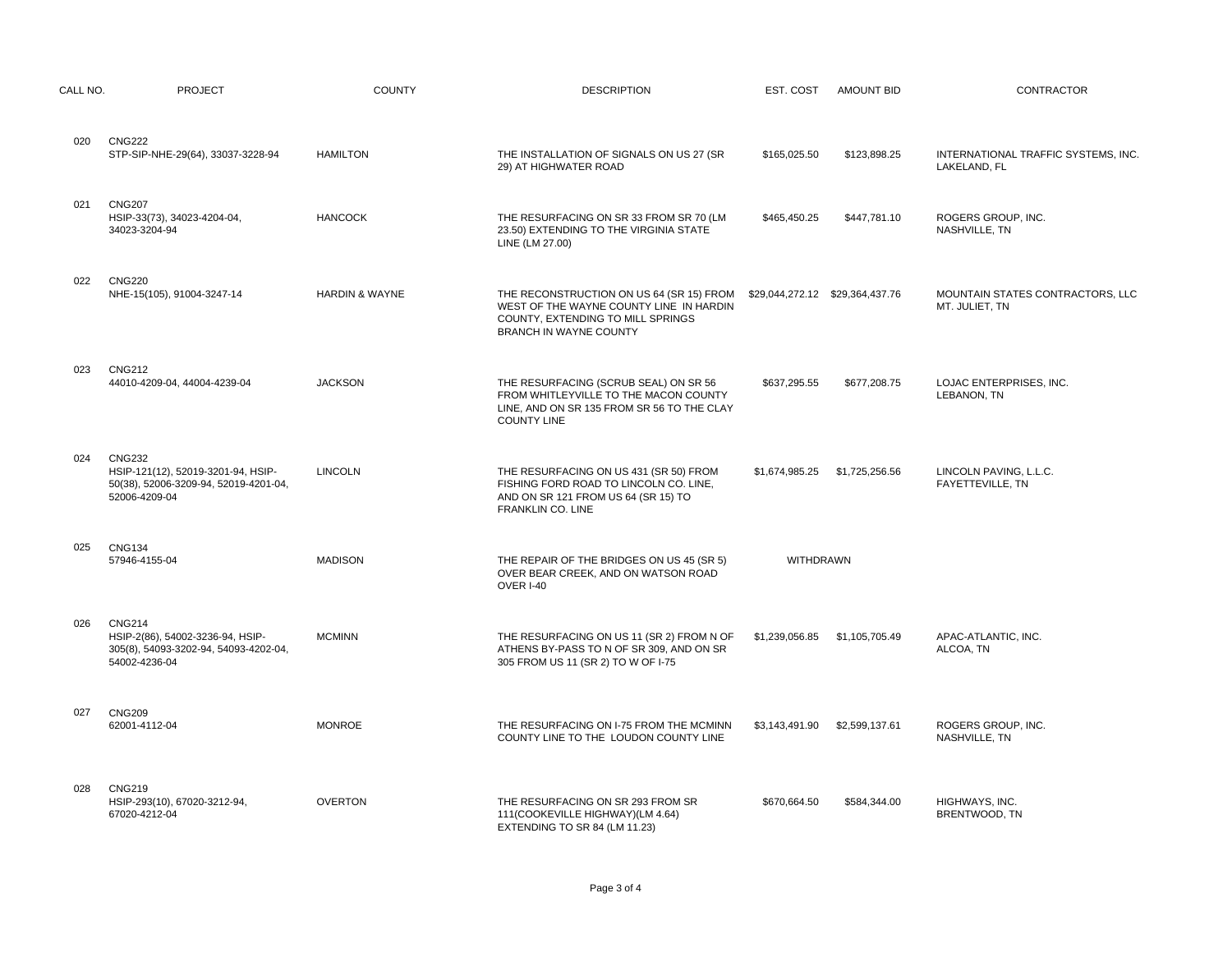| CALL NO. | <b>PROJECT</b>                                                                                                | <b>COUNTY</b>             | <b>DESCRIPTION</b>                                                                                                                                 |                  | EST. COST AMOUNT BID          | CONTRACTOR                                          |
|----------|---------------------------------------------------------------------------------------------------------------|---------------------------|----------------------------------------------------------------------------------------------------------------------------------------------------|------------------|-------------------------------|-----------------------------------------------------|
| 020      | <b>CNG222</b><br>STP-SIP-NHE-29(64), 33037-3228-94                                                            | <b>HAMILTON</b>           | THE INSTALLATION OF SIGNALS ON US 27 (SR<br>29) AT HIGHWATER ROAD                                                                                  | \$165,025.50     | \$123,898.25                  | INTERNATIONAL TRAFFIC SYSTEMS, INC.<br>LAKELAND, FL |
| 021      | <b>CNG207</b><br>HSIP-33(73), 34023-4204-04,<br>34023-3204-94                                                 | <b>HANCOCK</b>            | THE RESURFACING ON SR 33 FROM SR 70 (LM<br>23.50) EXTENDING TO THE VIRGINIA STATE<br>LINE (LM 27.00)                                               | \$465,450.25     | \$447,781.10                  | ROGERS GROUP, INC.<br>NASHVILLE, TN                 |
| 022      | <b>CNG220</b><br>NHE-15(105), 91004-3247-14                                                                   | <b>HARDIN &amp; WAYNE</b> | THE RECONSTRUCTION ON US 64 (SR 15) FROM<br>WEST OF THE WAYNE COUNTY LINE IN HARDIN<br>COUNTY, EXTENDING TO MILL SPRINGS<br>BRANCH IN WAYNE COUNTY |                  |                               | MOUNTAIN STATES CONTRACTORS, LLC<br>MT. JULIET, TN  |
| 023      | <b>CNG212</b><br>44010-4209-04, 44004-4239-04                                                                 | <b>JACKSON</b>            | THE RESURFACING (SCRUB SEAL) ON SR 56<br>FROM WHITLEYVILLE TO THE MACON COUNTY<br>LINE, AND ON SR 135 FROM SR 56 TO THE CLAY<br><b>COUNTY LINE</b> | \$637,295.55     | \$677,208.75                  | LOJAC ENTERPRISES, INC.<br>LEBANON, TN              |
| 024      | <b>CNG232</b><br>HSIP-121(12), 52019-3201-94, HSIP-<br>50(38), 52006-3209-94, 52019-4201-04,<br>52006-4209-04 | <b>LINCOLN</b>            | THE RESURFACING ON US 431 (SR 50) FROM<br>FISHING FORD ROAD TO LINCOLN CO. LINE,<br>AND ON SR 121 FROM US 64 (SR 15) TO<br>FRANKLIN CO. LINE       | \$1,674,985.25   | \$1,725,256.56                | LINCOLN PAVING, L.L.C.<br>FAYETTEVILLE, TN          |
| 025      | <b>CNG134</b><br>57946-4155-04                                                                                | <b>MADISON</b>            | THE REPAIR OF THE BRIDGES ON US 45 (SR 5)<br>OVER BEAR CREEK, AND ON WATSON ROAD<br>OVER I-40                                                      | <b>WITHDRAWN</b> |                               |                                                     |
| 026      | <b>CNG214</b><br>HSIP-2(86), 54002-3236-94, HSIP-<br>305(8), 54093-3202-94, 54093-4202-04,<br>54002-4236-04   | <b>MCMINN</b>             | THE RESURFACING ON US 11 (SR 2) FROM N OF<br>ATHENS BY-PASS TO N OF SR 309, AND ON SR<br>305 FROM US 11 (SR 2) TO W OF I-75                        |                  | \$1,239,056.85 \$1,105,705.49 | APAC-ATLANTIC, INC.<br>ALCOA, TN                    |
| 027      | <b>CNG209</b><br>62001-4112-04                                                                                | <b>MONROE</b>             | THE RESURFACING ON I-75 FROM THE MCMINN<br>COUNTY LINE TO THE LOUDON COUNTY LINE                                                                   | \$3,143,491.90   | \$2,599,137.61                | ROGERS GROUP, INC.<br>NASHVILLE, TN                 |
| 028      | <b>CNG219</b><br>HSIP-293(10), 67020-3212-94,<br>67020-4212-04                                                | <b>OVERTON</b>            | THE RESURFACING ON SR 293 FROM SR<br>111(COOKEVILLE HIGHWAY)(LM 4.64)<br>EXTENDING TO SR 84 (LM 11.23)                                             | \$670.664.50     | \$584,344.00                  | HIGHWAYS, INC.<br>BRENTWOOD, TN                     |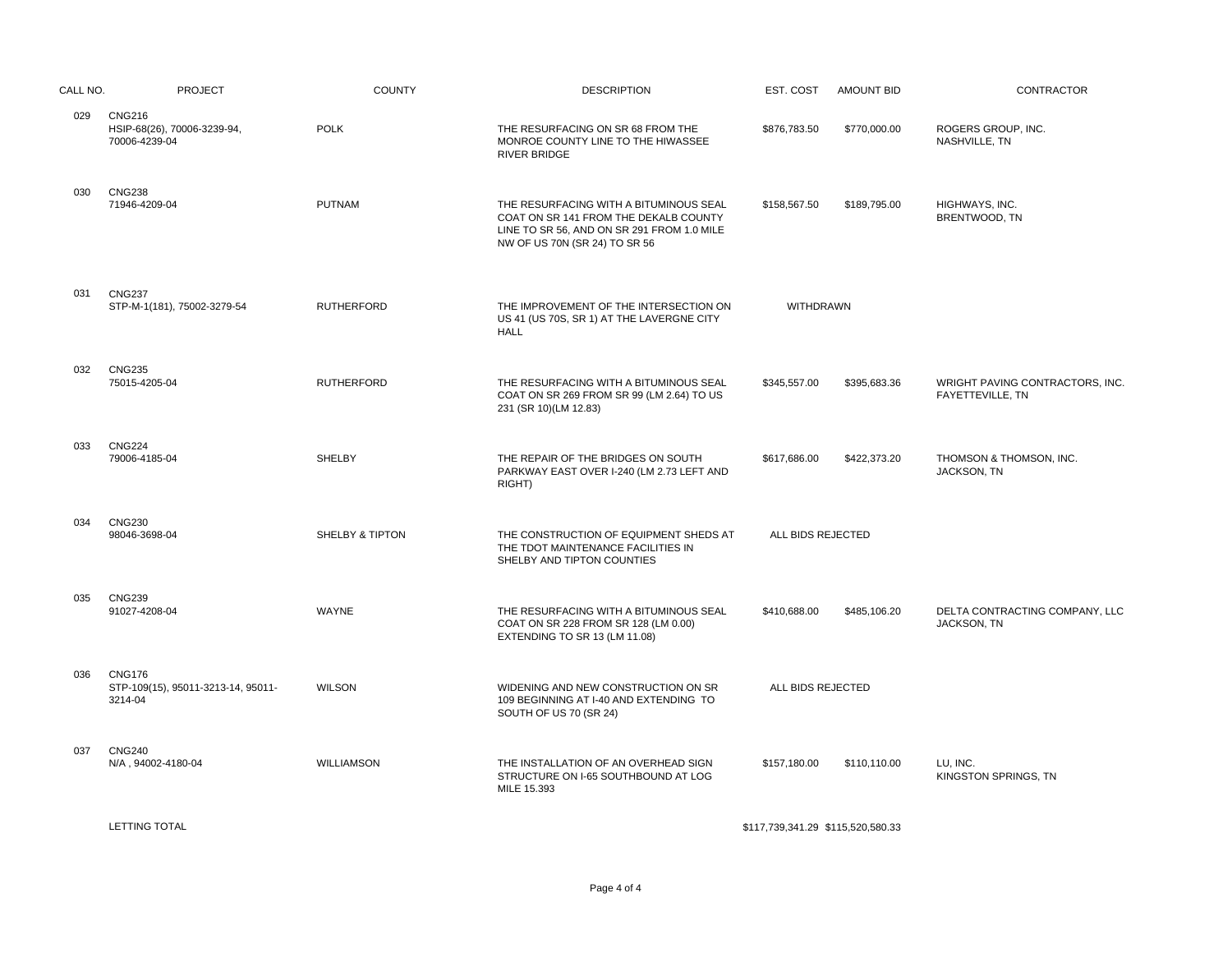| CALL NO. | <b>PROJECT</b>                                                 | <b>COUNTY</b>              | <b>DESCRIPTION</b>                                                                                                                                             | EST. COST         | <b>AMOUNT BID</b> | CONTRACTOR                                           |
|----------|----------------------------------------------------------------|----------------------------|----------------------------------------------------------------------------------------------------------------------------------------------------------------|-------------------|-------------------|------------------------------------------------------|
| 029      | <b>CNG216</b><br>HSIP-68(26), 70006-3239-94,<br>70006-4239-04  | <b>POLK</b>                | THE RESURFACING ON SR 68 FROM THE<br>MONROE COUNTY LINE TO THE HIWASSEE<br><b>RIVER BRIDGE</b>                                                                 | \$876,783.50      | \$770,000.00      | ROGERS GROUP, INC.<br>NASHVILLE, TN                  |
| 030      | <b>CNG238</b><br>71946-4209-04                                 | <b>PUTNAM</b>              | THE RESURFACING WITH A BITUMINOUS SEAL<br>COAT ON SR 141 FROM THE DEKALB COUNTY<br>LINE TO SR 56, AND ON SR 291 FROM 1.0 MILE<br>NW OF US 70N (SR 24) TO SR 56 | \$158,567.50      | \$189,795.00      | HIGHWAYS, INC.<br>BRENTWOOD, TN                      |
| 031      | <b>CNG237</b><br>STP-M-1(181), 75002-3279-54                   | <b>RUTHERFORD</b>          | THE IMPROVEMENT OF THE INTERSECTION ON<br>US 41 (US 70S, SR 1) AT THE LAVERGNE CITY<br><b>HALL</b>                                                             | WITHDRAWN         |                   |                                                      |
| 032      | <b>CNG235</b><br>75015-4205-04                                 | <b>RUTHERFORD</b>          | THE RESURFACING WITH A BITUMINOUS SEAL<br>COAT ON SR 269 FROM SR 99 (LM 2.64) TO US<br>231 (SR 10)(LM 12.83)                                                   | \$345,557.00      | \$395,683.36      | WRIGHT PAVING CONTRACTORS, INC.<br>FAYETTEVILLE, TN  |
| 033      | <b>CNG224</b><br>79006-4185-04                                 | SHELBY                     | THE REPAIR OF THE BRIDGES ON SOUTH<br>PARKWAY EAST OVER I-240 (LM 2.73 LEFT AND<br>RIGHT)                                                                      | \$617,686.00      | \$422,373.20      | THOMSON & THOMSON, INC.<br>JACKSON, TN               |
| 034      | <b>CNG230</b><br>98046-3698-04                                 | <b>SHELBY &amp; TIPTON</b> | THE CONSTRUCTION OF EQUIPMENT SHEDS AT<br>THE TDOT MAINTENANCE FACILITIES IN<br>SHELBY AND TIPTON COUNTIES                                                     | ALL BIDS REJECTED |                   |                                                      |
| 035      | <b>CNG239</b><br>91027-4208-04                                 | WAYNE                      | THE RESURFACING WITH A BITUMINOUS SEAL<br>COAT ON SR 228 FROM SR 128 (LM 0.00)<br>EXTENDING TO SR 13 (LM 11.08)                                                | \$410,688.00      | \$485,106.20      | DELTA CONTRACTING COMPANY, LLC<br><b>JACKSON, TN</b> |
| 036      | <b>CNG176</b><br>STP-109(15), 95011-3213-14, 95011-<br>3214-04 | <b>WILSON</b>              | WIDENING AND NEW CONSTRUCTION ON SR<br>109 BEGINNING AT I-40 AND EXTENDING TO<br>SOUTH OF US 70 (SR 24)                                                        | ALL BIDS REJECTED |                   |                                                      |
| 037      | <b>CNG240</b><br>N/A, 94002-4180-04                            | <b>WILLIAMSON</b>          | THE INSTALLATION OF AN OVERHEAD SIGN<br>STRUCTURE ON I-65 SOUTHBOUND AT LOG<br>MILE 15.393                                                                     | \$157,180.00      | \$110,110.00      | LU, INC.<br>KINGSTON SPRINGS, TN                     |
|          |                                                                |                            |                                                                                                                                                                |                   |                   |                                                      |

\$117,739,341.29 \$115,520,580.33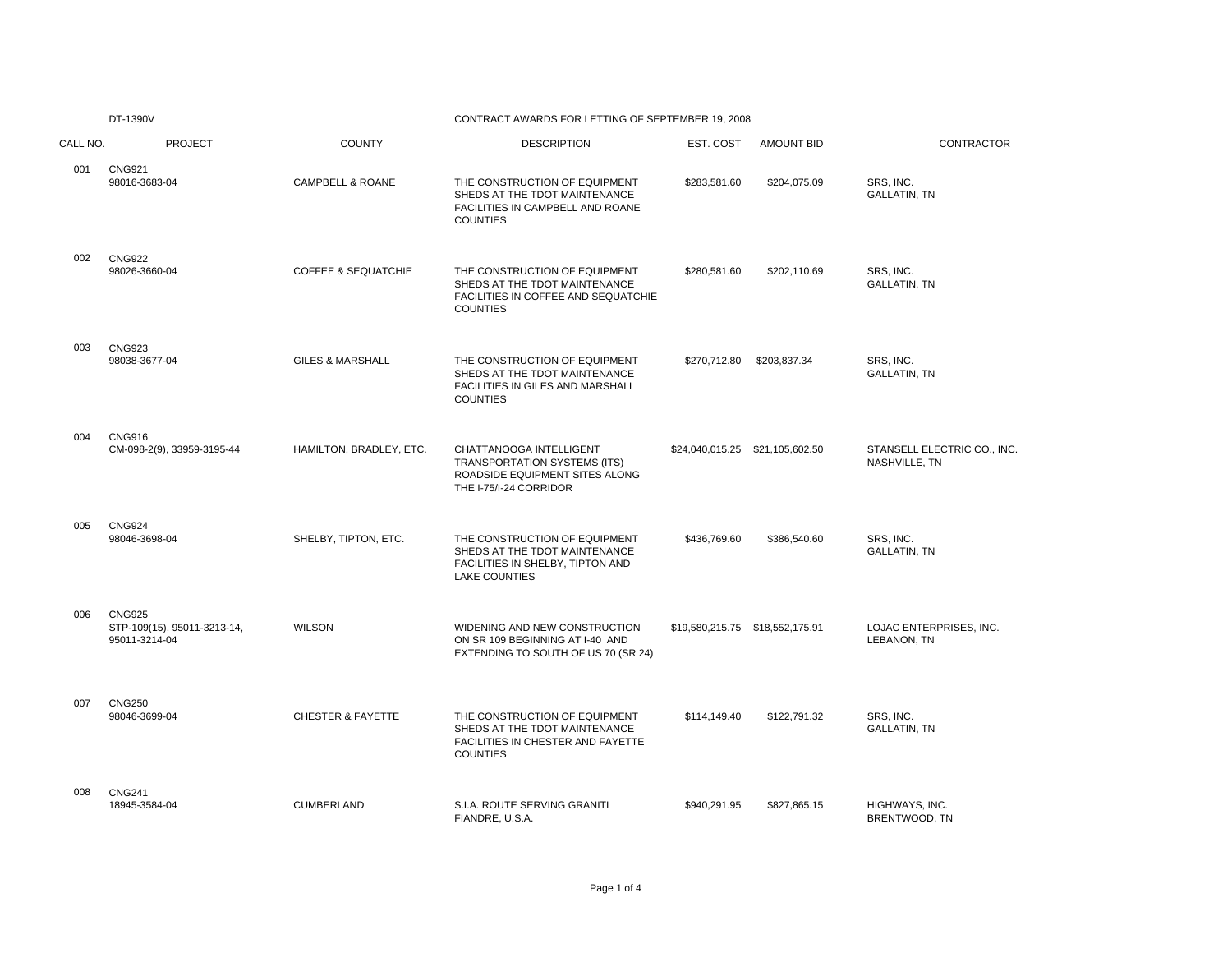|          | DT-1390V                                                      |                                | CONTRACT AWARDS FOR LETTING OF SEPTEMBER 19, 2008                                                                          |                                 |                                 |                                              |
|----------|---------------------------------------------------------------|--------------------------------|----------------------------------------------------------------------------------------------------------------------------|---------------------------------|---------------------------------|----------------------------------------------|
| CALL NO. | <b>PROJECT</b>                                                | <b>COUNTY</b>                  | <b>DESCRIPTION</b>                                                                                                         | EST. COST                       | <b>AMOUNT BID</b>               | CONTRACTOR                                   |
| 001      | <b>CNG921</b><br>98016-3683-04                                | <b>CAMPBELL &amp; ROANE</b>    | THE CONSTRUCTION OF EQUIPMENT<br>SHEDS AT THE TDOT MAINTENANCE<br>FACILITIES IN CAMPBELL AND ROANE<br><b>COUNTIES</b>      | \$283,581.60                    | \$204,075.09                    | SRS. INC.<br><b>GALLATIN, TN</b>             |
| 002      | <b>CNG922</b><br>98026-3660-04                                | <b>COFFEE &amp; SEQUATCHIE</b> | THE CONSTRUCTION OF EQUIPMENT<br>SHEDS AT THE TDOT MAINTENANCE<br>FACILITIES IN COFFEE AND SEQUATCHIE<br><b>COUNTIES</b>   | \$280,581.60                    | \$202,110.69                    | SRS, INC.<br><b>GALLATIN, TN</b>             |
| 003      | <b>CNG923</b><br>98038-3677-04                                | <b>GILES &amp; MARSHALL</b>    | THE CONSTRUCTION OF EQUIPMENT<br>SHEDS AT THE TDOT MAINTENANCE<br>FACILITIES IN GILES AND MARSHALL<br><b>COUNTIES</b>      | \$270,712.80                    | \$203.837.34                    | SRS. INC.<br><b>GALLATIN, TN</b>             |
| 004      | <b>CNG916</b><br>CM-098-2(9), 33959-3195-44                   | HAMILTON, BRADLEY, ETC.        | CHATTANOOGA INTELLIGENT<br>TRANSPORTATION SYSTEMS (ITS)<br>ROADSIDE EQUIPMENT SITES ALONG<br>THE I-75/I-24 CORRIDOR        |                                 | \$24,040,015.25 \$21,105,602.50 | STANSELL ELECTRIC CO., INC.<br>NASHVILLE, TN |
| 005      | <b>CNG924</b><br>98046-3698-04                                | SHELBY, TIPTON, ETC.           | THE CONSTRUCTION OF EQUIPMENT<br>SHEDS AT THE TDOT MAINTENANCE<br>FACILITIES IN SHELBY, TIPTON AND<br><b>LAKE COUNTIES</b> | \$436,769.60                    | \$386,540.60                    | SRS, INC.<br><b>GALLATIN, TN</b>             |
| 006      | <b>CNG925</b><br>STP-109(15), 95011-3213-14,<br>95011-3214-04 | <b>WILSON</b>                  | WIDENING AND NEW CONSTRUCTION<br>ON SR 109 BEGINNING AT I-40 AND<br>EXTENDING TO SOUTH OF US 70 (SR 24)                    | \$19,580,215.75 \$18,552,175.91 |                                 | LOJAC ENTERPRISES, INC.<br>LEBANON, TN       |
| 007      | <b>CNG250</b><br>98046-3699-04                                | <b>CHESTER &amp; FAYETTE</b>   | THE CONSTRUCTION OF EQUIPMENT<br>SHEDS AT THE TDOT MAINTENANCE<br>FACILITIES IN CHESTER AND FAYETTE<br><b>COUNTIES</b>     | \$114,149.40                    | \$122,791.32                    | SRS. INC.<br><b>GALLATIN, TN</b>             |
| 008      | <b>CNG241</b><br>18945-3584-04                                | CUMBERLAND                     | S.I.A. ROUTE SERVING GRANITI<br>FIANDRE, U.S.A.                                                                            | \$940,291.95                    | \$827,865.15                    | HIGHWAYS, INC.<br>BRENTWOOD, TN              |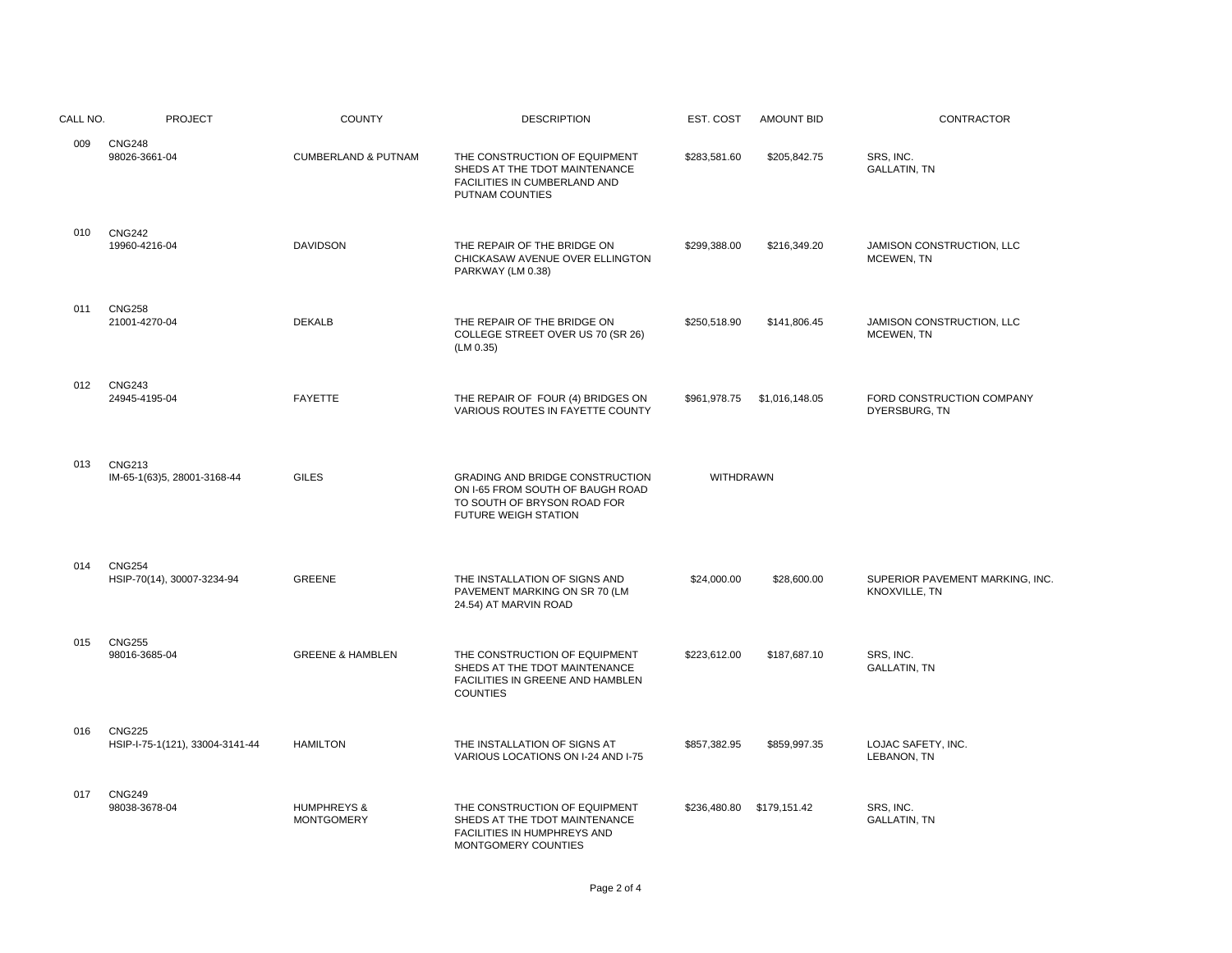| CALL NO. | <b>PROJECT</b>                                   | <b>COUNTY</b>                               | <b>DESCRIPTION</b>                                                                                                                       | EST. COST                 | <b>AMOUNT BID</b> | CONTRACTOR                                       |
|----------|--------------------------------------------------|---------------------------------------------|------------------------------------------------------------------------------------------------------------------------------------------|---------------------------|-------------------|--------------------------------------------------|
| 009      | <b>CNG248</b><br>98026-3661-04                   | <b>CUMBERLAND &amp; PUTNAM</b>              | THE CONSTRUCTION OF EQUIPMENT<br>SHEDS AT THE TDOT MAINTENANCE<br>FACILITIES IN CUMBERLAND AND<br>PUTNAM COUNTIES                        | \$283,581.60              | \$205,842.75      | SRS. INC.<br><b>GALLATIN, TN</b>                 |
| 010      | <b>CNG242</b><br>19960-4216-04                   | <b>DAVIDSON</b>                             | THE REPAIR OF THE BRIDGE ON<br>CHICKASAW AVENUE OVER ELLINGTON<br>PARKWAY (LM 0.38)                                                      | \$299,388.00              | \$216,349.20      | JAMISON CONSTRUCTION, LLC<br>MCEWEN, TN          |
| 011      | <b>CNG258</b><br>21001-4270-04                   | <b>DEKALB</b>                               | THE REPAIR OF THE BRIDGE ON<br>COLLEGE STREET OVER US 70 (SR 26)<br>(LM 0.35)                                                            | \$250,518.90              | \$141,806.45      | JAMISON CONSTRUCTION, LLC<br>MCEWEN, TN          |
| 012      | <b>CNG243</b><br>24945-4195-04                   | <b>FAYETTE</b>                              | THE REPAIR OF FOUR (4) BRIDGES ON<br>VARIOUS ROUTES IN FAYETTE COUNTY                                                                    | \$961,978.75              | \$1,016,148.05    | FORD CONSTRUCTION COMPANY<br>DYERSBURG, TN       |
| 013      | <b>CNG213</b><br>IM-65-1(63)5, 28001-3168-44     | <b>GILES</b>                                | <b>GRADING AND BRIDGE CONSTRUCTION</b><br>ON I-65 FROM SOUTH OF BAUGH ROAD<br>TO SOUTH OF BRYSON ROAD FOR<br><b>FUTURE WEIGH STATION</b> | WITHDRAWN                 |                   |                                                  |
| 014      | <b>CNG254</b><br>HSIP-70(14), 30007-3234-94      | <b>GREENE</b>                               | THE INSTALLATION OF SIGNS AND<br>PAVEMENT MARKING ON SR 70 (LM<br>24.54) AT MARVIN ROAD                                                  | \$24,000.00               | \$28,600.00       | SUPERIOR PAVEMENT MARKING, INC.<br>KNOXVILLE, TN |
| 015      | <b>CNG255</b><br>98016-3685-04                   | <b>GREENE &amp; HAMBLEN</b>                 | THE CONSTRUCTION OF EQUIPMENT<br>SHEDS AT THE TDOT MAINTENANCE<br>FACILITIES IN GREENE AND HAMBLEN<br><b>COUNTIES</b>                    | \$223,612.00              | \$187,687.10      | SRS, INC.<br><b>GALLATIN, TN</b>                 |
| 016      | <b>CNG225</b><br>HSIP-I-75-1(121), 33004-3141-44 | <b>HAMILTON</b>                             | THE INSTALLATION OF SIGNS AT<br>VARIOUS LOCATIONS ON I-24 AND I-75                                                                       | \$857,382.95              | \$859,997.35      | LOJAC SAFETY, INC.<br>LEBANON, TN                |
| 017      | <b>CNG249</b><br>98038-3678-04                   | <b>HUMPHREYS &amp;</b><br><b>MONTGOMERY</b> | THE CONSTRUCTION OF EQUIPMENT<br>SHEDS AT THE TDOT MAINTENANCE<br>FACILITIES IN HUMPHREYS AND<br>MONTGOMERY COUNTIES                     | \$236,480.80 \$179,151.42 |                   | SRS, INC.<br><b>GALLATIN, TN</b>                 |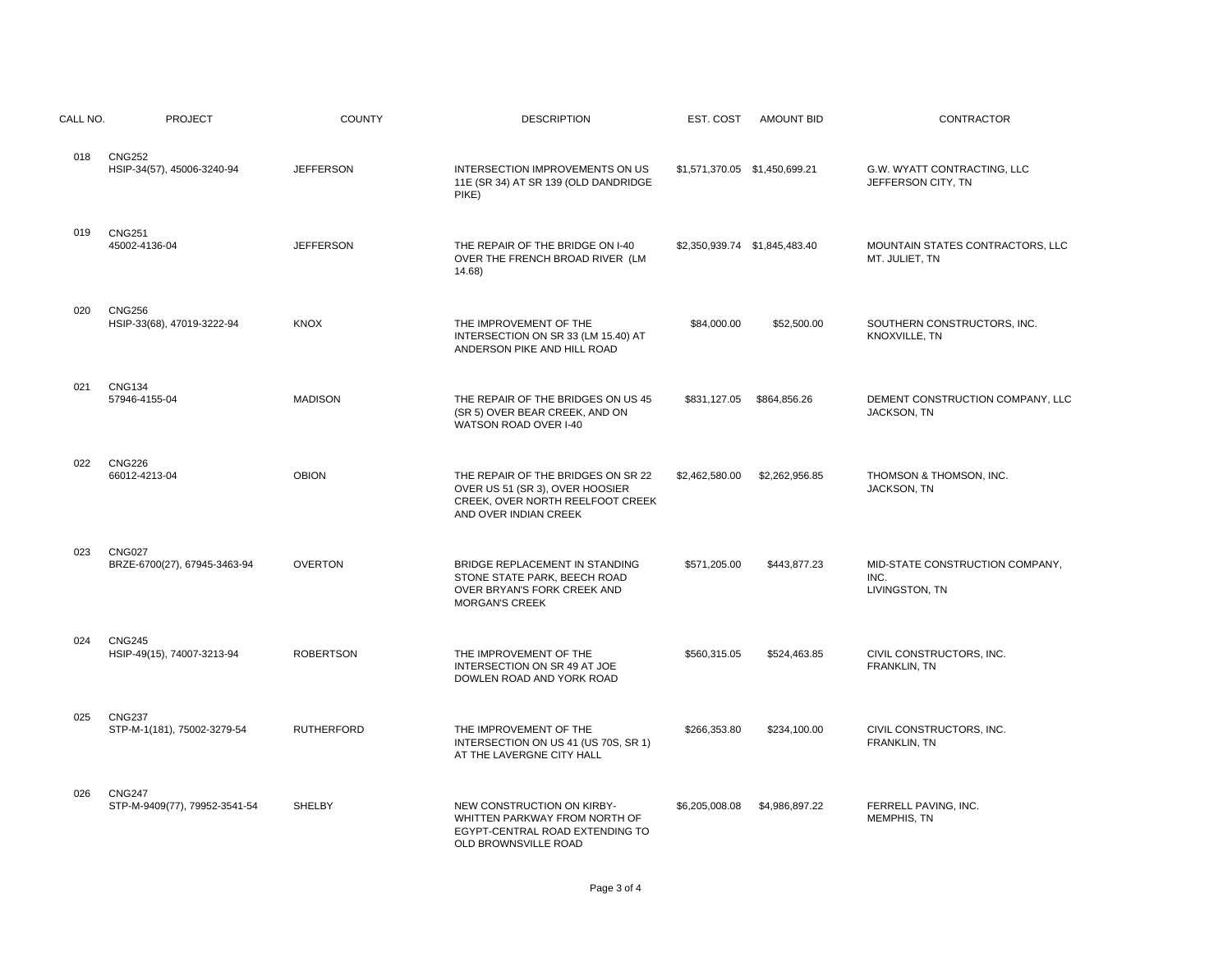| CALL NO. | <b>PROJECT</b>                                 | <b>COUNTY</b>     | <b>DESCRIPTION</b>                                                                                                                 | EST. COST                     | <b>AMOUNT BID</b>             | CONTRACTOR                                                |
|----------|------------------------------------------------|-------------------|------------------------------------------------------------------------------------------------------------------------------------|-------------------------------|-------------------------------|-----------------------------------------------------------|
| 018      | <b>CNG252</b><br>HSIP-34(57), 45006-3240-94    | <b>JEFFERSON</b>  | INTERSECTION IMPROVEMENTS ON US<br>11E (SR 34) AT SR 139 (OLD DANDRIDGE<br>PIKE)                                                   | \$1,571,370.05 \$1,450,699.21 |                               | G.W. WYATT CONTRACTING, LLC<br>JEFFERSON CITY, TN         |
| 019      | <b>CNG251</b><br>45002-4136-04                 | <b>JEFFERSON</b>  | THE REPAIR OF THE BRIDGE ON I-40<br>OVER THE FRENCH BROAD RIVER (LM<br>14.68)                                                      |                               | \$2,350,939.74 \$1,845,483.40 | MOUNTAIN STATES CONTRACTORS, LLC<br>MT. JULIET, TN        |
| 020      | <b>CNG256</b><br>HSIP-33(68), 47019-3222-94    | <b>KNOX</b>       | THE IMPROVEMENT OF THE<br>INTERSECTION ON SR 33 (LM 15.40) AT<br>ANDERSON PIKE AND HILL ROAD                                       | \$84,000.00                   | \$52,500.00                   | SOUTHERN CONSTRUCTORS, INC.<br>KNOXVILLE, TN              |
| 021      | <b>CNG134</b><br>57946-4155-04                 | <b>MADISON</b>    | THE REPAIR OF THE BRIDGES ON US 45<br>(SR 5) OVER BEAR CREEK, AND ON<br>WATSON ROAD OVER I-40                                      | \$831,127.05                  | \$864,856.26                  | DEMENT CONSTRUCTION COMPANY, LLC<br><b>JACKSON, TN</b>    |
| 022      | <b>CNG226</b><br>66012-4213-04                 | <b>OBION</b>      | THE REPAIR OF THE BRIDGES ON SR 22<br>OVER US 51 (SR 3), OVER HOOSIER<br>CREEK, OVER NORTH REELFOOT CREEK<br>AND OVER INDIAN CREEK | \$2,462,580.00                | \$2,262,956.85                | THOMSON & THOMSON, INC.<br>JACKSON, TN                    |
| 023      | <b>CNG027</b><br>BRZE-6700(27), 67945-3463-94  | <b>OVERTON</b>    | BRIDGE REPLACEMENT IN STANDING<br>STONE STATE PARK, BEECH ROAD<br>OVER BRYAN'S FORK CREEK AND<br><b>MORGAN'S CREEK</b>             | \$571,205.00                  | \$443,877.23                  | MID-STATE CONSTRUCTION COMPANY,<br>INC.<br>LIVINGSTON, TN |
| 024      | <b>CNG245</b><br>HSIP-49(15), 74007-3213-94    | <b>ROBERTSON</b>  | THE IMPROVEMENT OF THE<br>INTERSECTION ON SR 49 AT JOE<br>DOWLEN ROAD AND YORK ROAD                                                | \$560,315.05                  | \$524,463.85                  | CIVIL CONSTRUCTORS, INC.<br>FRANKLIN, TN                  |
| 025      | <b>CNG237</b><br>STP-M-1(181), 75002-3279-54   | <b>RUTHERFORD</b> | THE IMPROVEMENT OF THE<br>INTERSECTION ON US 41 (US 70S, SR 1)<br>AT THE LAVERGNE CITY HALL                                        | \$266,353.80                  | \$234,100.00                  | CIVIL CONSTRUCTORS, INC.<br>FRANKLIN, TN                  |
| 026      | <b>CNG247</b><br>STP-M-9409(77), 79952-3541-54 | SHELBY            | NEW CONSTRUCTION ON KIRBY-<br>WHITTEN PARKWAY FROM NORTH OF<br>EGYPT-CENTRAL ROAD EXTENDING TO<br>OLD BROWNSVILLE ROAD             | \$6,205,008.08                | \$4,986,897.22                | FERRELL PAVING, INC.<br><b>MEMPHIS, TN</b>                |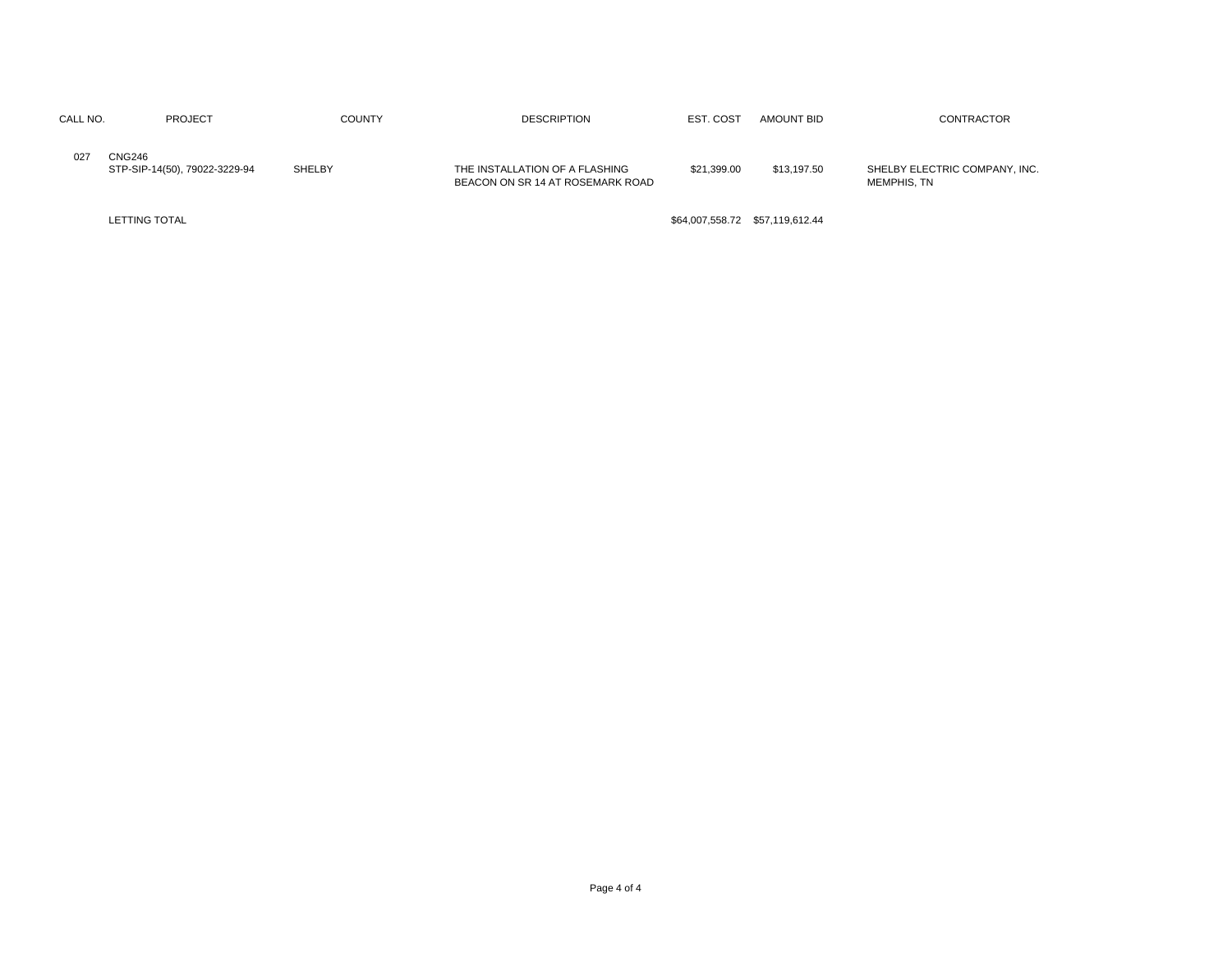| CALL NO. | <b>PROJECT</b>                                 | <b>COUNTY</b> | <b>DESCRIPTION</b>                                                 | EST. COST       | AMOUNT BID      | CONTRACTOR                                   |
|----------|------------------------------------------------|---------------|--------------------------------------------------------------------|-----------------|-----------------|----------------------------------------------|
| 027      | <b>CNG246</b><br>STP-SIP-14(50), 79022-3229-94 | <b>SHELBY</b> | THE INSTALLATION OF A FLASHING<br>BEACON ON SR 14 AT ROSEMARK ROAD | \$21,399.00     | \$13,197.50     | SHELBY ELECTRIC COMPANY, INC.<br>MEMPHIS. TN |
|          | <b>LETTING TOTAL</b>                           |               |                                                                    | \$64,007,558.72 | \$57,119,612.44 |                                              |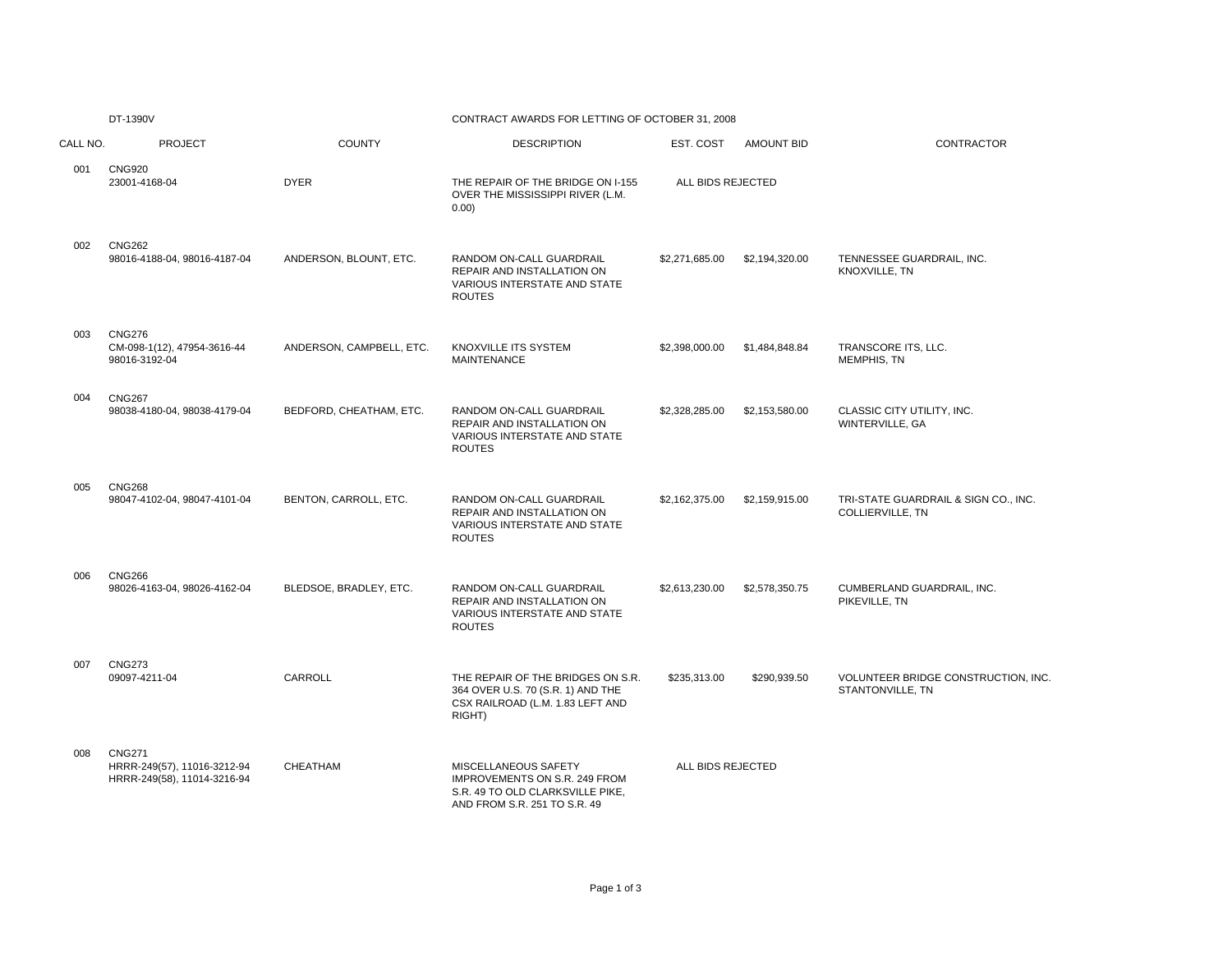|  | 13901/ |  |
|--|--------|--|

# DT-1390V CONTRACT AWARDS FOR LETTING OF OCTOBER 31, 2008

| CALL NO. | <b>PROJECT</b>                                                              | <b>COUNTY</b>            | <b>DESCRIPTION</b>                                                                                                        | EST. COST         | <b>AMOUNT BID</b> | CONTRACTOR                                               |
|----------|-----------------------------------------------------------------------------|--------------------------|---------------------------------------------------------------------------------------------------------------------------|-------------------|-------------------|----------------------------------------------------------|
| 001      | <b>CNG920</b><br>23001-4168-04                                              | <b>DYER</b>              | THE REPAIR OF THE BRIDGE ON I-155<br>OVER THE MISSISSIPPI RIVER (L.M.<br>0.00)                                            | ALL BIDS REJECTED |                   |                                                          |
| 002      | <b>CNG262</b><br>98016-4188-04, 98016-4187-04                               | ANDERSON, BLOUNT, ETC.   | RANDOM ON-CALL GUARDRAIL<br>REPAIR AND INSTALLATION ON<br>VARIOUS INTERSTATE AND STATE<br><b>ROUTES</b>                   | \$2,271,685.00    | \$2,194,320.00    | TENNESSEE GUARDRAIL, INC.<br>KNOXVILLE, TN               |
| 003      | <b>CNG276</b><br>CM-098-1(12), 47954-3616-44<br>98016-3192-04               | ANDERSON, CAMPBELL, ETC. | KNOXVILLE ITS SYSTEM<br><b>MAINTENANCE</b>                                                                                | \$2,398,000.00    | \$1,484,848.84    | TRANSCORE ITS, LLC.<br>MEMPHIS, TN                       |
| 004      | <b>CNG267</b><br>98038-4180-04, 98038-4179-04                               | BEDFORD, CHEATHAM, ETC.  | RANDOM ON-CALL GUARDRAIL<br>REPAIR AND INSTALLATION ON<br>VARIOUS INTERSTATE AND STATE<br><b>ROUTES</b>                   | \$2,328,285.00    | \$2,153,580.00    | CLASSIC CITY UTILITY, INC.<br>WINTERVILLE, GA            |
| 005      | <b>CNG268</b><br>98047-4102-04, 98047-4101-04                               | BENTON, CARROLL, ETC.    | RANDOM ON-CALL GUARDRAIL<br>REPAIR AND INSTALLATION ON<br>VARIOUS INTERSTATE AND STATE<br><b>ROUTES</b>                   | \$2,162,375.00    | \$2,159,915.00    | TRI-STATE GUARDRAIL & SIGN CO., INC.<br>COLLIERVILLE, TN |
| 006      | <b>CNG266</b><br>98026-4163-04, 98026-4162-04                               | BLEDSOE, BRADLEY, ETC.   | RANDOM ON-CALL GUARDRAIL<br>REPAIR AND INSTALLATION ON<br><b>VARIOUS INTERSTATE AND STATE</b><br><b>ROUTES</b>            | \$2,613,230.00    | \$2,578,350.75    | CUMBERLAND GUARDRAIL, INC.<br>PIKEVILLE, TN              |
| 007      | <b>CNG273</b><br>09097-4211-04                                              | CARROLL                  | THE REPAIR OF THE BRIDGES ON S.R.<br>364 OVER U.S. 70 (S.R. 1) AND THE<br>CSX RAILROAD (L.M. 1.83 LEFT AND<br>RIGHT)      | \$235,313.00      | \$290,939.50      | VOLUNTEER BRIDGE CONSTRUCTION, INC.<br>STANTONVILLE, TN  |
| 008      | <b>CNG271</b><br>HRRR-249(57), 11016-3212-94<br>HRRR-249(58), 11014-3216-94 | CHEATHAM                 | MISCELLANEOUS SAFETY<br>IMPROVEMENTS ON S.R. 249 FROM<br>S.R. 49 TO OLD CLARKSVILLE PIKE,<br>AND FROM S.R. 251 TO S.R. 49 | ALL BIDS REJECTED |                   |                                                          |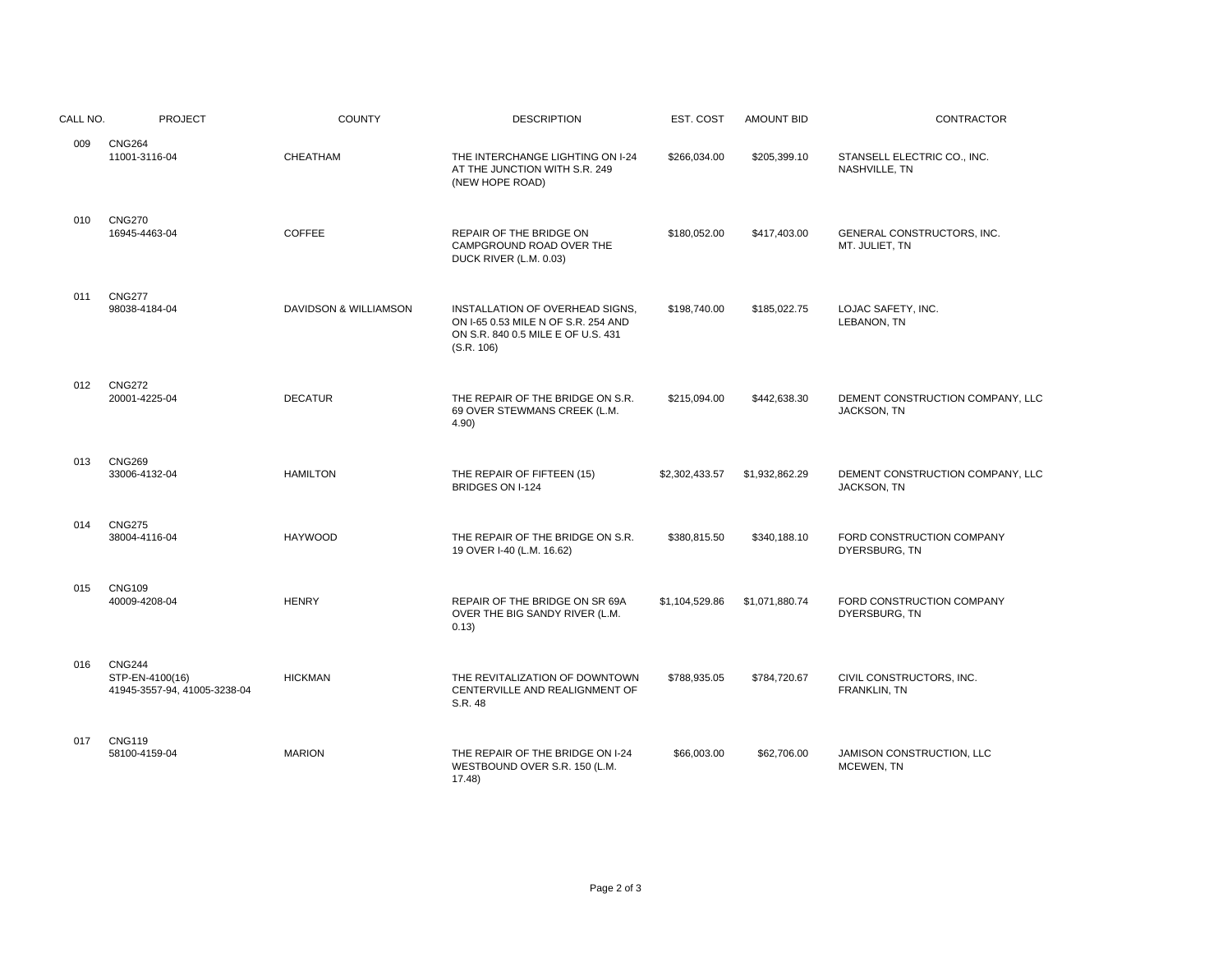| CALL NO. | <b>PROJECT</b>                                                   | <b>COUNTY</b>         | <b>DESCRIPTION</b>                                                                                                         | EST. COST      | <b>AMOUNT BID</b> | <b>CONTRACTOR</b>                               |
|----------|------------------------------------------------------------------|-----------------------|----------------------------------------------------------------------------------------------------------------------------|----------------|-------------------|-------------------------------------------------|
| 009      | <b>CNG264</b><br>11001-3116-04                                   | CHEATHAM              | THE INTERCHANGE LIGHTING ON I-24<br>AT THE JUNCTION WITH S.R. 249<br>(NEW HOPE ROAD)                                       | \$266,034.00   | \$205,399.10      | STANSELL ELECTRIC CO., INC.<br>NASHVILLE, TN    |
| 010      | <b>CNG270</b><br>16945-4463-04                                   | <b>COFFEE</b>         | REPAIR OF THE BRIDGE ON<br>CAMPGROUND ROAD OVER THE<br>DUCK RIVER (L.M. 0.03)                                              | \$180.052.00   | \$417,403.00      | GENERAL CONSTRUCTORS, INC.<br>MT. JULIET, TN    |
| 011      | <b>CNG277</b><br>98038-4184-04                                   | DAVIDSON & WILLIAMSON | INSTALLATION OF OVERHEAD SIGNS.<br>ON I-65 0.53 MILE N OF S.R. 254 AND<br>ON S.R. 840 0.5 MILE E OF U.S. 431<br>(S.R. 106) | \$198,740.00   | \$185,022.75      | LOJAC SAFETY, INC.<br>LEBANON, TN               |
| 012      | <b>CNG272</b><br>20001-4225-04                                   | <b>DECATUR</b>        | THE REPAIR OF THE BRIDGE ON S.R.<br>69 OVER STEWMANS CREEK (L.M.<br>4.90)                                                  | \$215,094.00   | \$442,638.30      | DEMENT CONSTRUCTION COMPANY, LLC<br>JACKSON, TN |
| 013      | <b>CNG269</b><br>33006-4132-04                                   | <b>HAMILTON</b>       | THE REPAIR OF FIFTEEN (15)<br>BRIDGES ON I-124                                                                             | \$2,302,433.57 | \$1,932,862.29    | DEMENT CONSTRUCTION COMPANY, LLC<br>JACKSON, TN |
| 014      | <b>CNG275</b><br>38004-4116-04                                   | <b>HAYWOOD</b>        | THE REPAIR OF THE BRIDGE ON S.R.<br>19 OVER I-40 (L.M. 16.62)                                                              | \$380,815.50   | \$340,188.10      | FORD CONSTRUCTION COMPANY<br>DYERSBURG, TN      |
| 015      | <b>CNG109</b><br>40009-4208-04                                   | <b>HENRY</b>          | REPAIR OF THE BRIDGE ON SR 69A<br>OVER THE BIG SANDY RIVER (L.M.<br>0.13)                                                  | \$1,104,529.86 | \$1,071,880.74    | FORD CONSTRUCTION COMPANY<br>DYERSBURG, TN      |
| 016      | <b>CNG244</b><br>STP-EN-4100(16)<br>41945-3557-94, 41005-3238-04 | <b>HICKMAN</b>        | THE REVITALIZATION OF DOWNTOWN<br>CENTERVILLE AND REALIGNMENT OF<br>S.R. 48                                                | \$788,935.05   | \$784,720.67      | CIVIL CONSTRUCTORS, INC.<br>FRANKLIN, TN        |
| 017      | <b>CNG119</b><br>58100-4159-04                                   | <b>MARION</b>         | THE REPAIR OF THE BRIDGE ON I-24<br>WESTBOUND OVER S.R. 150 (L.M.<br>17.48                                                 | \$66,003.00    | \$62,706.00       | JAMISON CONSTRUCTION, LLC<br>MCEWEN, TN         |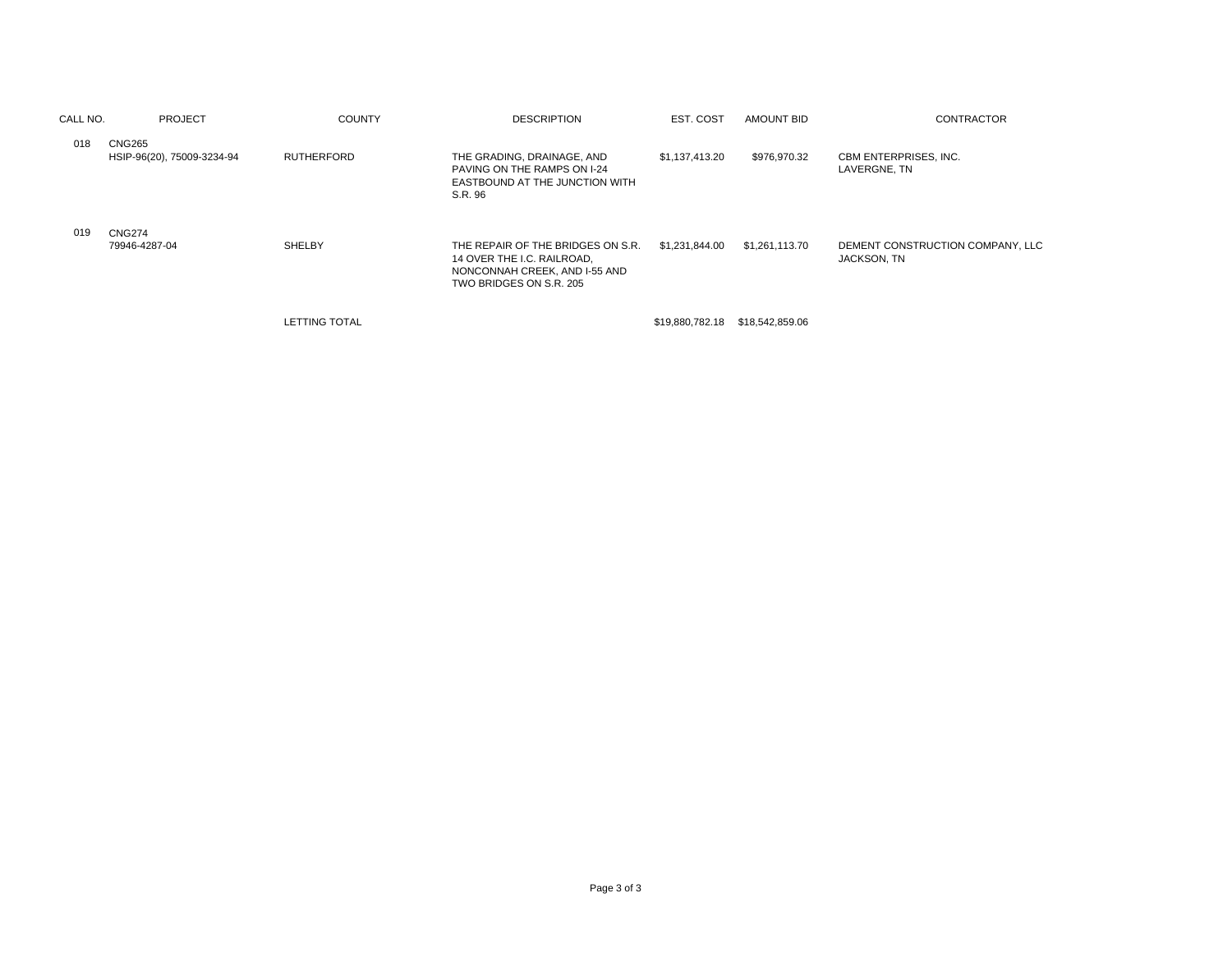| CALL NO. | PROJECT                              | <b>COUNTY</b>        | <b>DESCRIPTION</b>                                                                                                          | EST. COST       | <b>AMOUNT BID</b> | <b>CONTRACTOR</b>                               |
|----------|--------------------------------------|----------------------|-----------------------------------------------------------------------------------------------------------------------------|-----------------|-------------------|-------------------------------------------------|
| 018      | CNG265<br>HSIP-96(20), 75009-3234-94 | <b>RUTHERFORD</b>    | THE GRADING, DRAINAGE, AND<br>PAVING ON THE RAMPS ON I-24<br>EASTBOUND AT THE JUNCTION WITH<br>S.R. 96                      | \$1,137,413.20  | \$976,970.32      | CBM ENTERPRISES, INC.<br>LAVERGNE, TN           |
| 019      | <b>CNG274</b><br>79946-4287-04       | SHELBY               | THE REPAIR OF THE BRIDGES ON S.R.<br>14 OVER THE I.C. RAILROAD,<br>NONCONNAH CREEK, AND I-55 AND<br>TWO BRIDGES ON S.R. 205 | \$1,231,844.00  | \$1,261,113.70    | DEMENT CONSTRUCTION COMPANY, LLC<br>JACKSON, TN |
|          |                                      | <b>LETTING TOTAL</b> |                                                                                                                             | \$19,880,782.18 | \$18,542,859.06   |                                                 |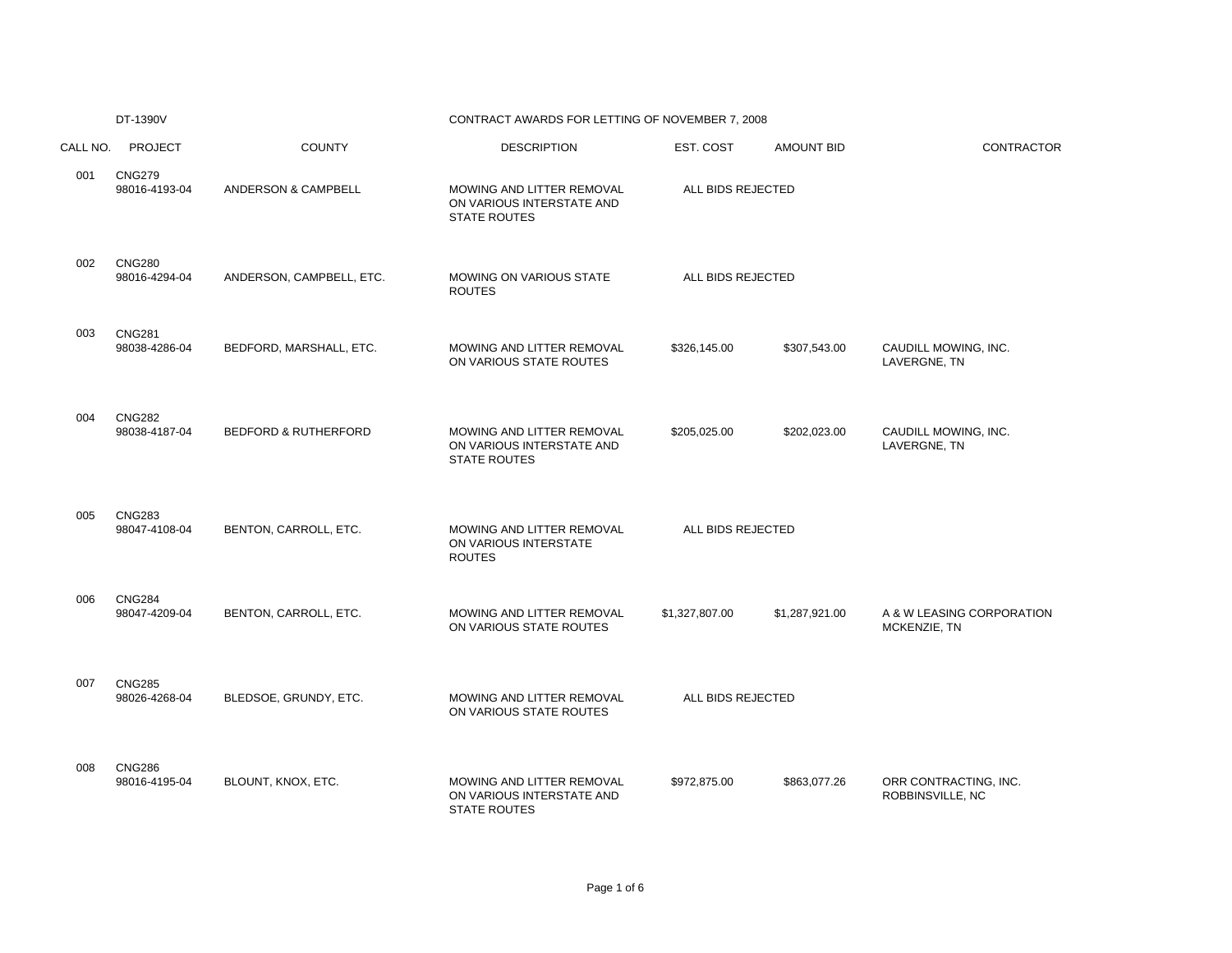|          | DT-1390V                       |                                 | CONTRACT AWARDS FOR LETTING OF NOVEMBER 7, 2008                               |                   |                   |                                           |
|----------|--------------------------------|---------------------------------|-------------------------------------------------------------------------------|-------------------|-------------------|-------------------------------------------|
| CALL NO. | <b>PROJECT</b>                 | <b>COUNTY</b>                   | <b>DESCRIPTION</b>                                                            | EST. COST         | <b>AMOUNT BID</b> | <b>CONTRACTOR</b>                         |
| 001      | <b>CNG279</b><br>98016-4193-04 | ANDERSON & CAMPBELL             | MOWING AND LITTER REMOVAL<br>ON VARIOUS INTERSTATE AND<br><b>STATE ROUTES</b> | ALL BIDS REJECTED |                   |                                           |
| 002      | <b>CNG280</b><br>98016-4294-04 | ANDERSON, CAMPBELL, ETC.        | MOWING ON VARIOUS STATE<br><b>ROUTES</b>                                      | ALL BIDS REJECTED |                   |                                           |
| 003      | <b>CNG281</b><br>98038-4286-04 | BEDFORD, MARSHALL, ETC.         | MOWING AND LITTER REMOVAL<br>ON VARIOUS STATE ROUTES                          | \$326,145.00      | \$307,543.00      | CAUDILL MOWING, INC.<br>LAVERGNE, TN      |
| 004      | <b>CNG282</b><br>98038-4187-04 | <b>BEDFORD &amp; RUTHERFORD</b> | MOWING AND LITTER REMOVAL<br>ON VARIOUS INTERSTATE AND<br>STATE ROUTES        | \$205,025.00      | \$202,023.00      | CAUDILL MOWING, INC.<br>LAVERGNE, TN      |
| 005      | <b>CNG283</b><br>98047-4108-04 | BENTON, CARROLL, ETC.           | MOWING AND LITTER REMOVAL<br>ON VARIOUS INTERSTATE<br><b>ROUTES</b>           | ALL BIDS REJECTED |                   |                                           |
| 006      | <b>CNG284</b><br>98047-4209-04 | BENTON, CARROLL, ETC.           | MOWING AND LITTER REMOVAL<br>ON VARIOUS STATE ROUTES                          | \$1,327,807.00    | \$1,287,921.00    | A & W LEASING CORPORATION<br>MCKENZIE, TN |
| 007      | <b>CNG285</b><br>98026-4268-04 | BLEDSOE, GRUNDY, ETC.           | MOWING AND LITTER REMOVAL<br>ON VARIOUS STATE ROUTES                          | ALL BIDS REJECTED |                   |                                           |
| 008      | <b>CNG286</b><br>98016-4195-04 | BLOUNT, KNOX, ETC.              | MOWING AND LITTER REMOVAL<br>ON VARIOUS INTERSTATE AND<br><b>STATE ROUTES</b> | \$972,875.00      | \$863,077.26      | ORR CONTRACTING, INC.<br>ROBBINSVILLE, NC |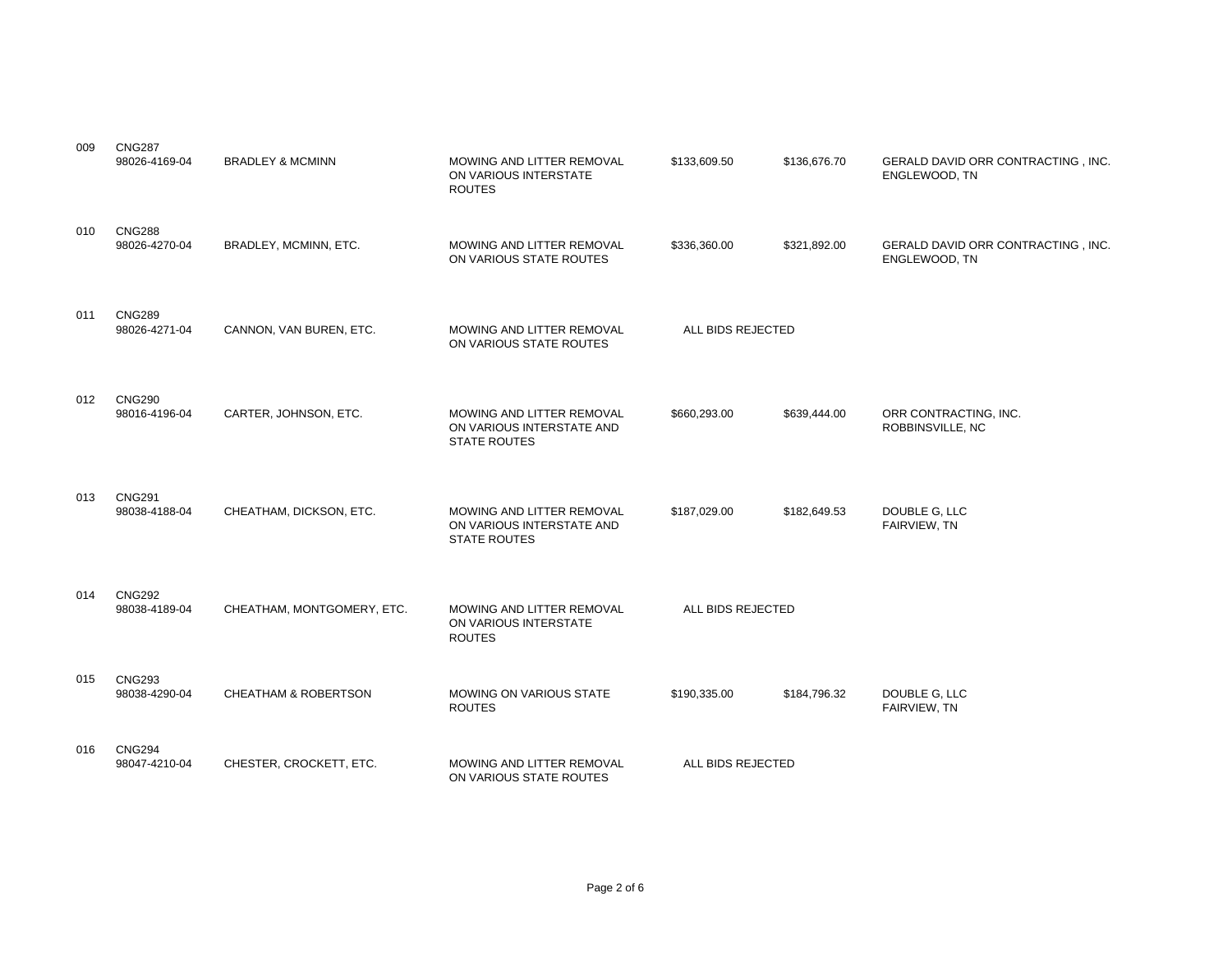| 009 | <b>CNG287</b><br>98026-4169-04 | <b>BRADLEY &amp; MCMINN</b> | MOWING AND LITTER REMOVAL<br>ON VARIOUS INTERSTATE<br><b>ROUTES</b>           | \$133,609.50      | \$136,676.70 | GERALD DAVID ORR CONTRACTING, INC.<br>ENGLEWOOD, TN |
|-----|--------------------------------|-----------------------------|-------------------------------------------------------------------------------|-------------------|--------------|-----------------------------------------------------|
| 010 | <b>CNG288</b><br>98026-4270-04 | BRADLEY, MCMINN, ETC.       | MOWING AND LITTER REMOVAL<br>ON VARIOUS STATE ROUTES                          | \$336,360.00      | \$321,892.00 | GERALD DAVID ORR CONTRACTING, INC.<br>ENGLEWOOD, TN |
| 011 | <b>CNG289</b><br>98026-4271-04 | CANNON, VAN BUREN, ETC.     | MOWING AND LITTER REMOVAL<br>ON VARIOUS STATE ROUTES                          | ALL BIDS REJECTED |              |                                                     |
| 012 | <b>CNG290</b><br>98016-4196-04 | CARTER, JOHNSON, ETC.       | MOWING AND LITTER REMOVAL<br>ON VARIOUS INTERSTATE AND<br><b>STATE ROUTES</b> | \$660,293.00      | \$639,444.00 | ORR CONTRACTING, INC.<br>ROBBINSVILLE, NC           |
| 013 | <b>CNG291</b><br>98038-4188-04 | CHEATHAM, DICKSON, ETC.     | MOWING AND LITTER REMOVAL<br>ON VARIOUS INTERSTATE AND<br><b>STATE ROUTES</b> | \$187,029.00      | \$182,649.53 | DOUBLE G, LLC<br>FAIRVIEW, TN                       |
| 014 | <b>CNG292</b><br>98038-4189-04 | CHEATHAM, MONTGOMERY, ETC.  | MOWING AND LITTER REMOVAL<br>ON VARIOUS INTERSTATE<br><b>ROUTES</b>           | ALL BIDS REJECTED |              |                                                     |
| 015 | <b>CNG293</b><br>98038-4290-04 | CHEATHAM & ROBERTSON        | MOWING ON VARIOUS STATE<br><b>ROUTES</b>                                      | \$190,335.00      | \$184,796.32 | DOUBLE G, LLC<br>FAIRVIEW, TN                       |
| 016 | <b>CNG294</b><br>98047-4210-04 | CHESTER, CROCKETT, ETC.     | MOWING AND LITTER REMOVAL<br>ON VARIOUS STATE ROUTES                          | ALL BIDS REJECTED |              |                                                     |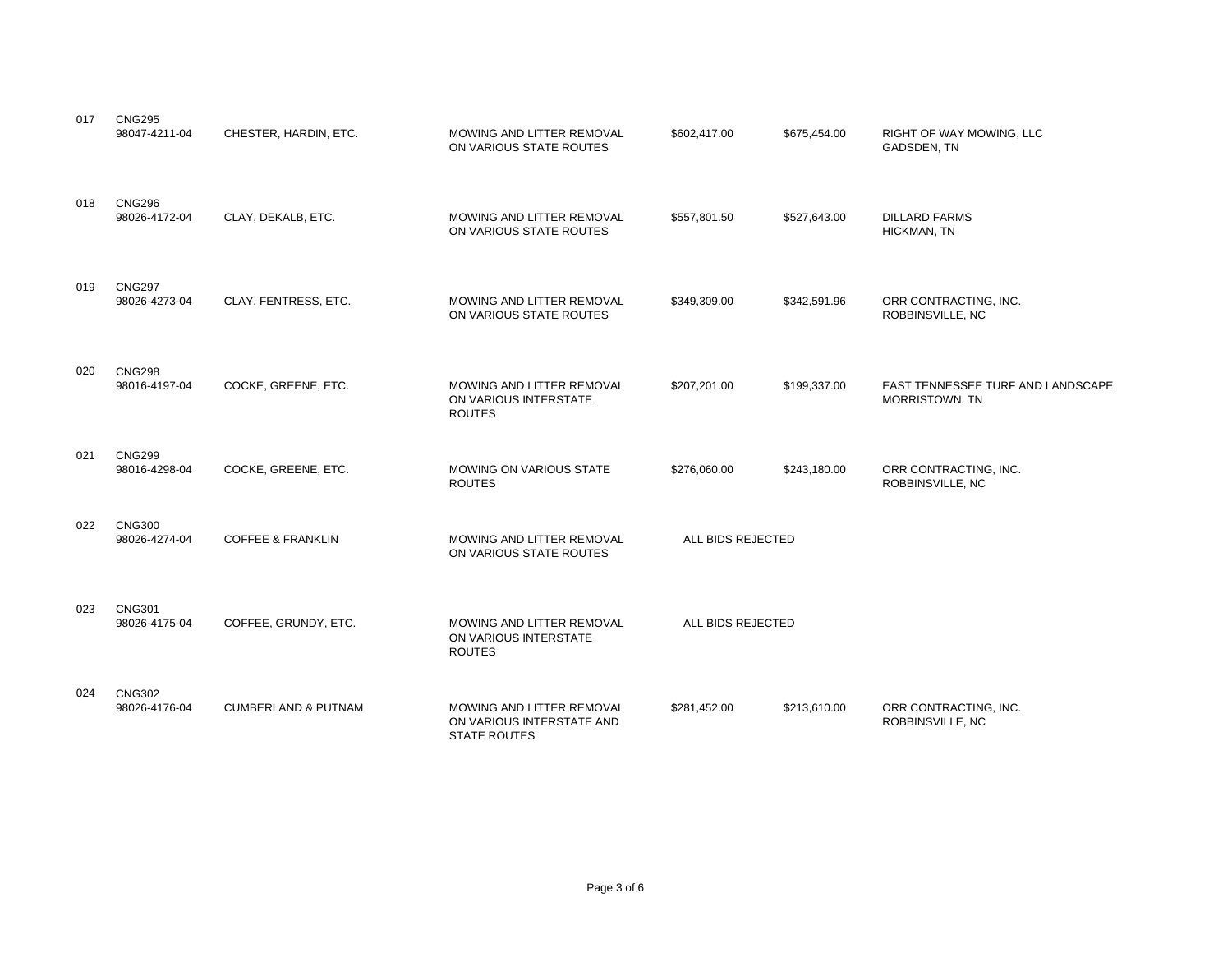| 017 | <b>CNG295</b><br>98047-4211-04 | CHESTER, HARDIN, ETC.          | MOWING AND LITTER REMOVAL<br>ON VARIOUS STATE ROUTES                          | \$602,417.00      | \$675,454.00 | RIGHT OF WAY MOWING, LLC<br>GADSDEN, TN                    |
|-----|--------------------------------|--------------------------------|-------------------------------------------------------------------------------|-------------------|--------------|------------------------------------------------------------|
| 018 | <b>CNG296</b><br>98026-4172-04 | CLAY, DEKALB, ETC.             | MOWING AND LITTER REMOVAL<br>ON VARIOUS STATE ROUTES                          | \$557,801.50      | \$527,643.00 | <b>DILLARD FARMS</b><br>HICKMAN, TN                        |
| 019 | <b>CNG297</b><br>98026-4273-04 | CLAY, FENTRESS, ETC.           | MOWING AND LITTER REMOVAL<br>ON VARIOUS STATE ROUTES                          | \$349,309.00      | \$342,591.96 | ORR CONTRACTING, INC.<br>ROBBINSVILLE, NC                  |
| 020 | <b>CNG298</b><br>98016-4197-04 | COCKE, GREENE, ETC.            | MOWING AND LITTER REMOVAL<br>ON VARIOUS INTERSTATE<br><b>ROUTES</b>           | \$207,201.00      | \$199,337.00 | EAST TENNESSEE TURF AND LANDSCAPE<br><b>MORRISTOWN, TN</b> |
| 021 | <b>CNG299</b><br>98016-4298-04 | COCKE, GREENE, ETC.            | MOWING ON VARIOUS STATE<br><b>ROUTES</b>                                      | \$276,060.00      | \$243,180.00 | ORR CONTRACTING, INC.<br>ROBBINSVILLE, NC                  |
| 022 | <b>CNG300</b><br>98026-4274-04 | <b>COFFEE &amp; FRANKLIN</b>   | MOWING AND LITTER REMOVAL<br>ON VARIOUS STATE ROUTES                          | ALL BIDS REJECTED |              |                                                            |
| 023 | <b>CNG301</b><br>98026-4175-04 | COFFEE, GRUNDY, ETC.           | MOWING AND LITTER REMOVAL<br>ON VARIOUS INTERSTATE<br><b>ROUTES</b>           | ALL BIDS REJECTED |              |                                                            |
| 024 | <b>CNG302</b><br>98026-4176-04 | <b>CUMBERLAND &amp; PUTNAM</b> | MOWING AND LITTER REMOVAL<br>ON VARIOUS INTERSTATE AND<br><b>STATE ROUTES</b> | \$281,452.00      | \$213,610.00 | ORR CONTRACTING, INC.<br>ROBBINSVILLE, NC                  |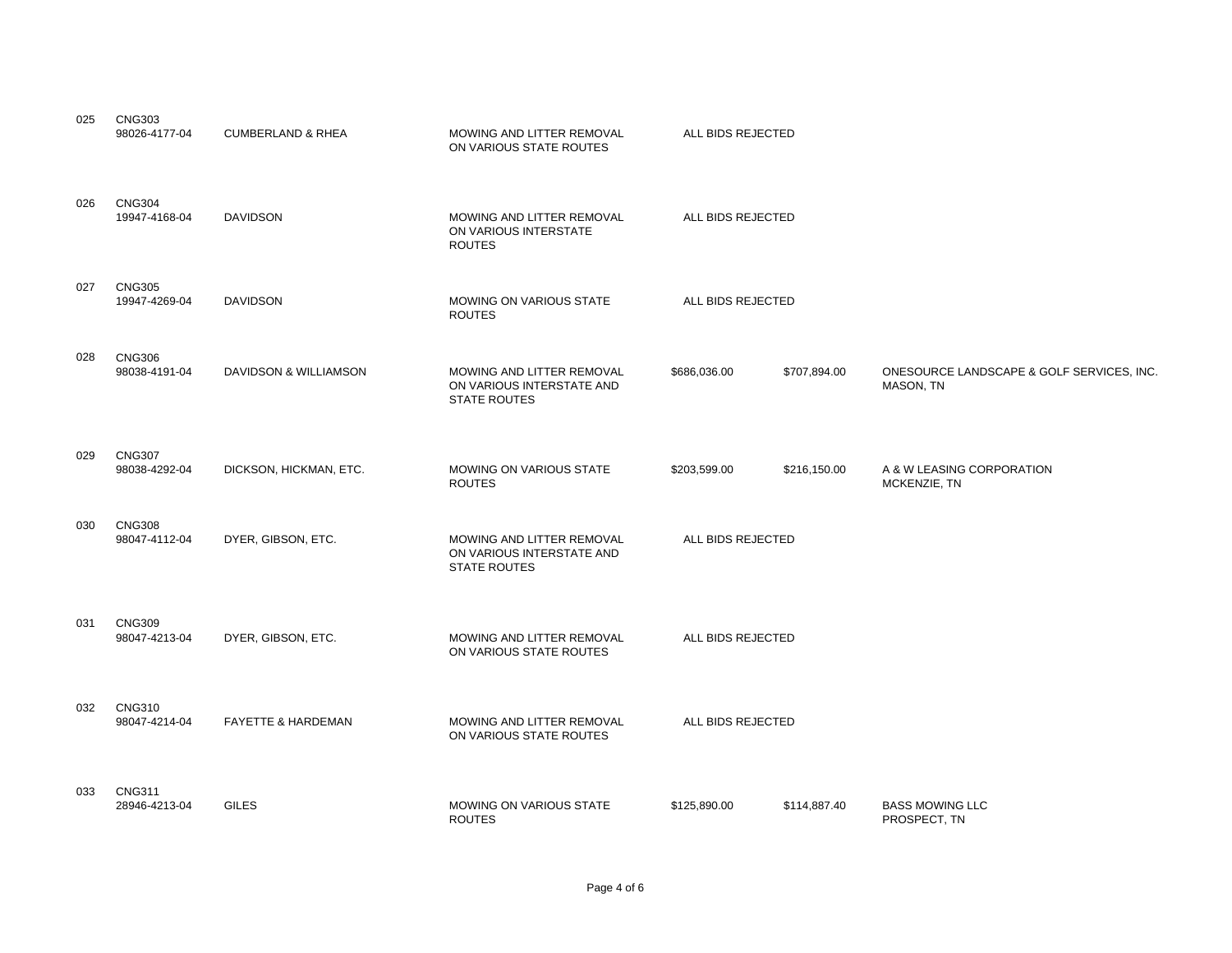| 025 | <b>CNG303</b><br>98026-4177-04 | <b>CUMBERLAND &amp; RHEA</b>  | MOWING AND LITTER REMOVAL<br>ON VARIOUS STATE ROUTES                          | ALL BIDS REJECTED |              |                                                        |
|-----|--------------------------------|-------------------------------|-------------------------------------------------------------------------------|-------------------|--------------|--------------------------------------------------------|
| 026 | <b>CNG304</b><br>19947-4168-04 | <b>DAVIDSON</b>               | MOWING AND LITTER REMOVAL<br>ON VARIOUS INTERSTATE<br><b>ROUTES</b>           | ALL BIDS REJECTED |              |                                                        |
| 027 | <b>CNG305</b><br>19947-4269-04 | <b>DAVIDSON</b>               | <b>MOWING ON VARIOUS STATE</b><br><b>ROUTES</b>                               | ALL BIDS REJECTED |              |                                                        |
| 028 | <b>CNG306</b><br>98038-4191-04 | DAVIDSON & WILLIAMSON         | MOWING AND LITTER REMOVAL<br>ON VARIOUS INTERSTATE AND<br><b>STATE ROUTES</b> | \$686,036.00      | \$707,894.00 | ONESOURCE LANDSCAPE & GOLF SERVICES, INC.<br>MASON, TN |
| 029 | <b>CNG307</b><br>98038-4292-04 | DICKSON, HICKMAN, ETC.        | <b>MOWING ON VARIOUS STATE</b><br><b>ROUTES</b>                               | \$203,599.00      | \$216,150.00 | A & W LEASING CORPORATION<br>MCKENZIE, TN              |
| 030 | <b>CNG308</b><br>98047-4112-04 | DYER, GIBSON, ETC.            | MOWING AND LITTER REMOVAL<br>ON VARIOUS INTERSTATE AND<br><b>STATE ROUTES</b> | ALL BIDS REJECTED |              |                                                        |
| 031 | <b>CNG309</b><br>98047-4213-04 | DYER, GIBSON, ETC.            | MOWING AND LITTER REMOVAL<br>ON VARIOUS STATE ROUTES                          | ALL BIDS REJECTED |              |                                                        |
| 032 | <b>CNG310</b><br>98047-4214-04 | <b>FAYETTE &amp; HARDEMAN</b> | MOWING AND LITTER REMOVAL<br>ON VARIOUS STATE ROUTES                          | ALL BIDS REJECTED |              |                                                        |
| 033 | <b>CNG311</b><br>28946-4213-04 | <b>GILES</b>                  | MOWING ON VARIOUS STATE<br><b>ROUTES</b>                                      | \$125,890.00      | \$114,887.40 | <b>BASS MOWING LLC</b><br>PROSPECT, TN                 |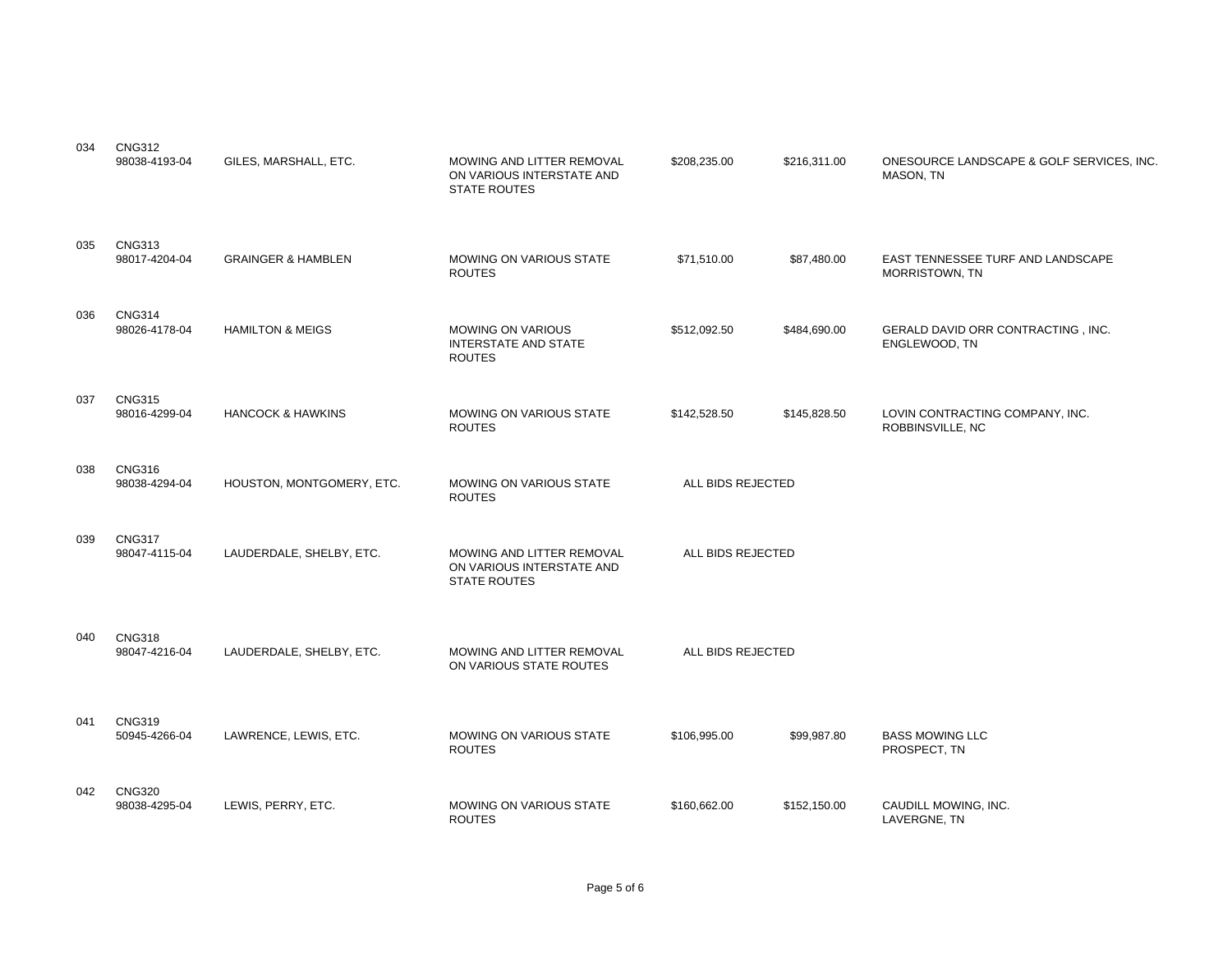| 034 | <b>CNG312</b><br>98038-4193-04 | GILES, MARSHALL, ETC.         | MOWING AND LITTER REMOVAL<br>ON VARIOUS INTERSTATE AND<br><b>STATE ROUTES</b> | \$208,235.00      | \$216,311.00 | ONESOURCE LANDSCAPE & GOLF SERVICES, INC.<br>MASON, TN |
|-----|--------------------------------|-------------------------------|-------------------------------------------------------------------------------|-------------------|--------------|--------------------------------------------------------|
| 035 | <b>CNG313</b><br>98017-4204-04 | <b>GRAINGER &amp; HAMBLEN</b> | <b>MOWING ON VARIOUS STATE</b><br><b>ROUTES</b>                               | \$71,510.00       | \$87,480.00  | EAST TENNESSEE TURF AND LANDSCAPE<br>MORRISTOWN, TN    |
| 036 | <b>CNG314</b><br>98026-4178-04 | <b>HAMILTON &amp; MEIGS</b>   | <b>MOWING ON VARIOUS</b><br><b>INTERSTATE AND STATE</b><br><b>ROUTES</b>      | \$512,092.50      | \$484,690.00 | GERALD DAVID ORR CONTRACTING, INC.<br>ENGLEWOOD, TN    |
| 037 | <b>CNG315</b><br>98016-4299-04 | <b>HANCOCK &amp; HAWKINS</b>  | <b>MOWING ON VARIOUS STATE</b><br><b>ROUTES</b>                               | \$142,528.50      | \$145,828.50 | LOVIN CONTRACTING COMPANY, INC.<br>ROBBINSVILLE, NC    |
| 038 | <b>CNG316</b><br>98038-4294-04 | HOUSTON, MONTGOMERY, ETC.     | <b>MOWING ON VARIOUS STATE</b><br><b>ROUTES</b>                               | ALL BIDS REJECTED |              |                                                        |
| 039 | <b>CNG317</b><br>98047-4115-04 | LAUDERDALE, SHELBY, ETC.      | MOWING AND LITTER REMOVAL<br>ON VARIOUS INTERSTATE AND<br><b>STATE ROUTES</b> | ALL BIDS REJECTED |              |                                                        |
| 040 | <b>CNG318</b><br>98047-4216-04 | LAUDERDALE, SHELBY, ETC.      | MOWING AND LITTER REMOVAL<br>ON VARIOUS STATE ROUTES                          | ALL BIDS REJECTED |              |                                                        |
| 041 | <b>CNG319</b><br>50945-4266-04 | LAWRENCE, LEWIS, ETC.         | <b>MOWING ON VARIOUS STATE</b><br><b>ROUTES</b>                               | \$106,995.00      | \$99,987.80  | <b>BASS MOWING LLC</b><br>PROSPECT, TN                 |
| 042 | <b>CNG320</b><br>98038-4295-04 | LEWIS, PERRY, ETC.            | MOWING ON VARIOUS STATE<br><b>ROUTES</b>                                      | \$160,662.00      | \$152,150.00 | CAUDILL MOWING, INC.<br>LAVERGNE, TN                   |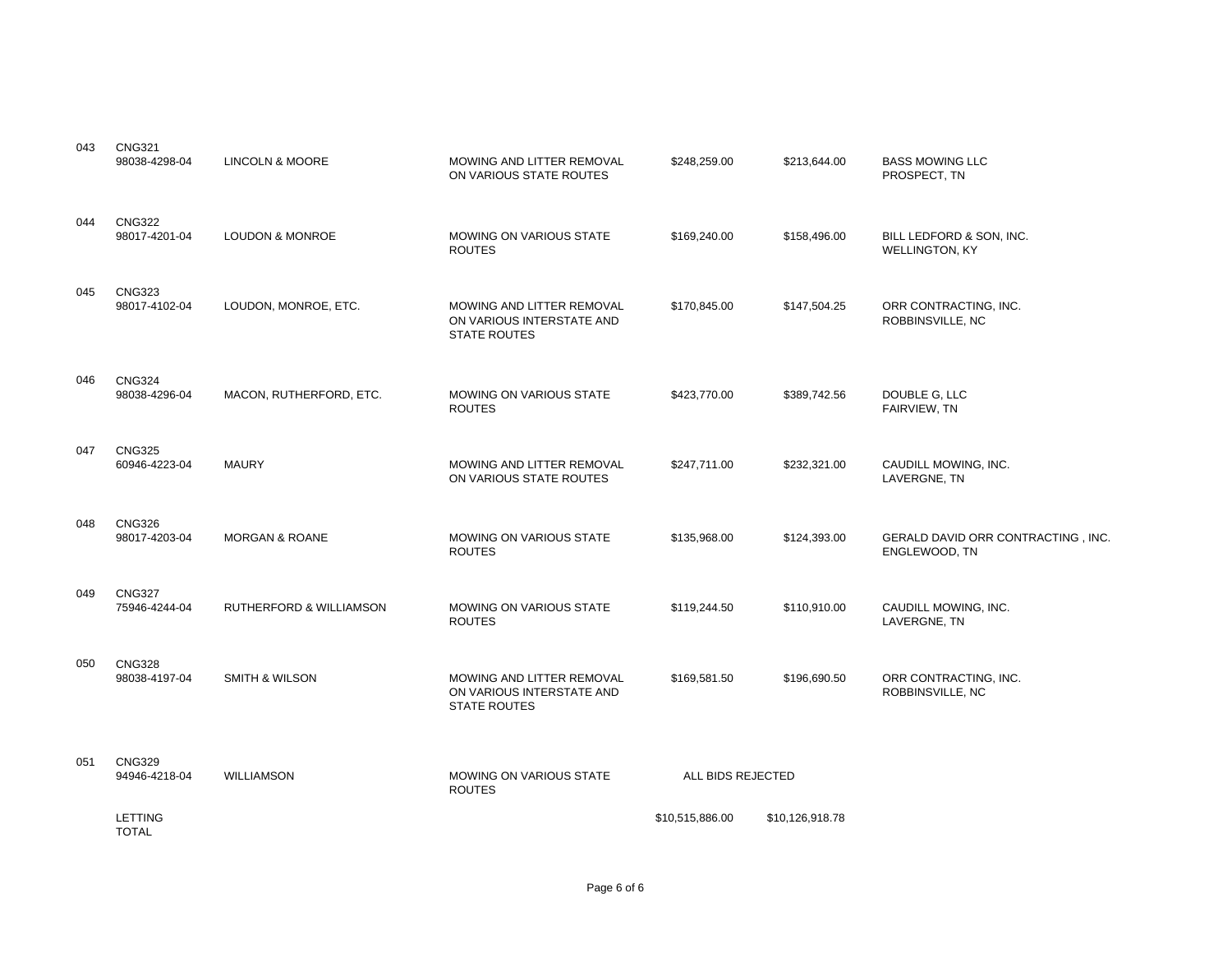| 043 | <b>CNG321</b><br>98038-4298-04 | <b>LINCOLN &amp; MOORE</b>         | MOWING AND LITTER REMOVAL<br>ON VARIOUS STATE ROUTES                          | \$248,259.00      | \$213,644.00    | <b>BASS MOWING LLC</b><br>PROSPECT, TN                     |
|-----|--------------------------------|------------------------------------|-------------------------------------------------------------------------------|-------------------|-----------------|------------------------------------------------------------|
| 044 | <b>CNG322</b><br>98017-4201-04 | <b>LOUDON &amp; MONROE</b>         | MOWING ON VARIOUS STATE<br><b>ROUTES</b>                                      | \$169,240.00      | \$158,496.00    | BILL LEDFORD & SON, INC.<br><b>WELLINGTON, KY</b>          |
| 045 | <b>CNG323</b><br>98017-4102-04 | LOUDON, MONROE, ETC.               | MOWING AND LITTER REMOVAL<br>ON VARIOUS INTERSTATE AND<br><b>STATE ROUTES</b> | \$170,845.00      | \$147,504.25    | ORR CONTRACTING, INC.<br>ROBBINSVILLE, NC                  |
| 046 | <b>CNG324</b><br>98038-4296-04 | MACON, RUTHERFORD, ETC.            | MOWING ON VARIOUS STATE<br><b>ROUTES</b>                                      | \$423,770.00      | \$389,742.56    | DOUBLE G, LLC<br>FAIRVIEW, TN                              |
| 047 | <b>CNG325</b><br>60946-4223-04 | <b>MAURY</b>                       | MOWING AND LITTER REMOVAL<br>ON VARIOUS STATE ROUTES                          | \$247,711.00      | \$232,321.00    | CAUDILL MOWING, INC.<br>LAVERGNE, TN                       |
| 048 | <b>CNG326</b><br>98017-4203-04 | <b>MORGAN &amp; ROANE</b>          | MOWING ON VARIOUS STATE<br><b>ROUTES</b>                                      | \$135,968.00      | \$124,393.00    | <b>GERALD DAVID ORR CONTRACTING, INC.</b><br>ENGLEWOOD, TN |
| 049 | <b>CNG327</b><br>75946-4244-04 | <b>RUTHERFORD &amp; WILLIAMSON</b> | MOWING ON VARIOUS STATE<br><b>ROUTES</b>                                      | \$119,244.50      | \$110,910.00    | CAUDILL MOWING, INC.<br>LAVERGNE, TN                       |
| 050 | <b>CNG328</b><br>98038-4197-04 | <b>SMITH &amp; WILSON</b>          | MOWING AND LITTER REMOVAL<br>ON VARIOUS INTERSTATE AND<br><b>STATE ROUTES</b> | \$169,581.50      | \$196,690.50    | ORR CONTRACTING, INC.<br>ROBBINSVILLE, NC                  |
| 051 | <b>CNG329</b><br>94946-4218-04 | <b>WILLIAMSON</b>                  | <b>MOWING ON VARIOUS STATE</b><br><b>ROUTES</b>                               | ALL BIDS REJECTED |                 |                                                            |
|     | <b>LETTING</b><br><b>TOTAL</b> |                                    |                                                                               | \$10,515,886.00   | \$10,126,918.78 |                                                            |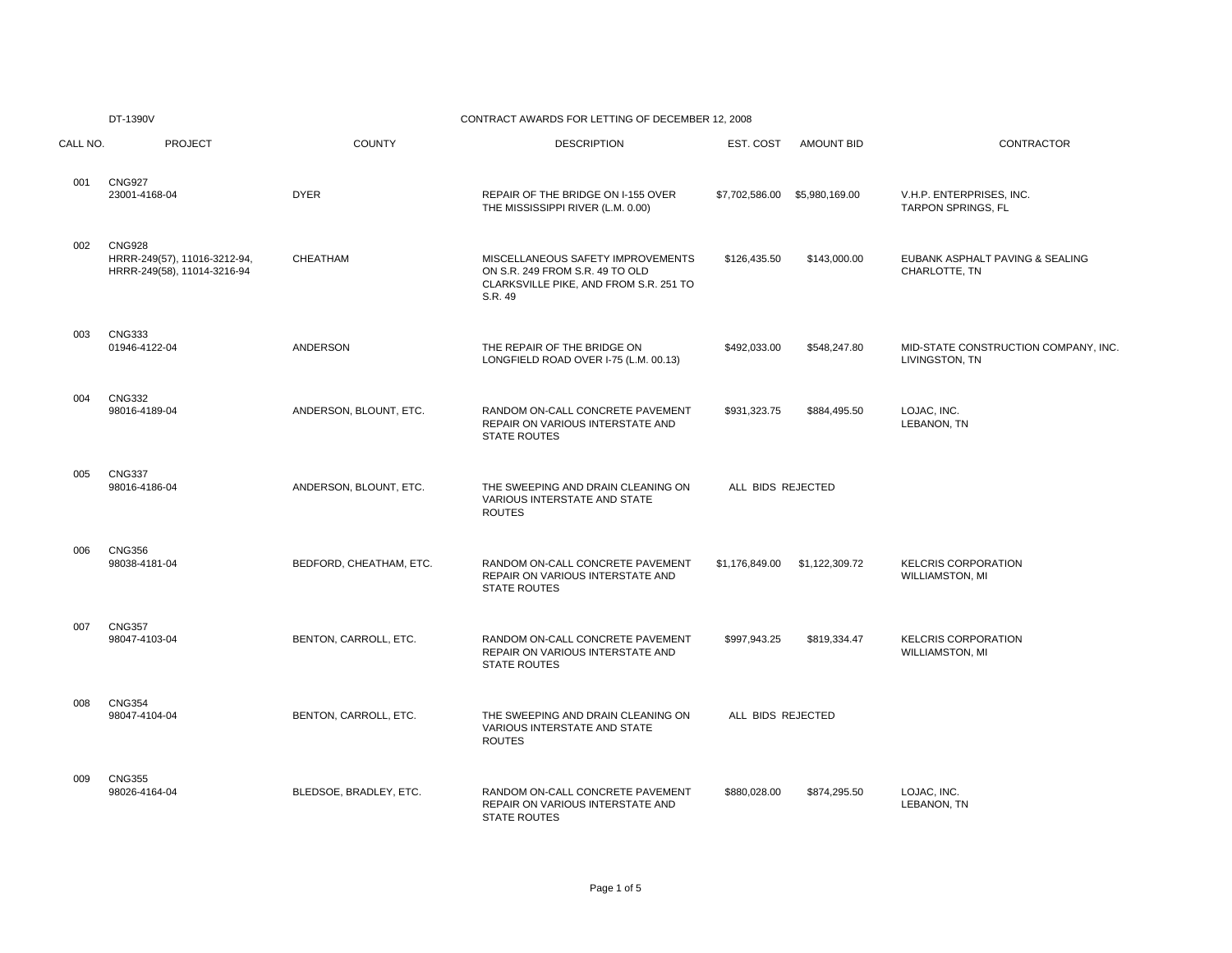### DT-1390V CONTRACT AWARDS FOR LETTING OF DECEMBER 12, 2008

| CALL NO. | <b>PROJECT</b>                                                               | <b>COUNTY</b>           | <b>DESCRIPTION</b>                                                                                                        | EST. COST         | <b>AMOUNT BID</b> | CONTRACTOR                                            |
|----------|------------------------------------------------------------------------------|-------------------------|---------------------------------------------------------------------------------------------------------------------------|-------------------|-------------------|-------------------------------------------------------|
| 001      | <b>CNG927</b><br>23001-4168-04                                               | <b>DYER</b>             | REPAIR OF THE BRIDGE ON I-155 OVER<br>THE MISSISSIPPI RIVER (L.M. 0.00)                                                   | \$7,702,586.00    | \$5,980,169.00    | V.H.P. ENTERPRISES, INC.<br>TARPON SPRINGS, FL        |
| 002      | <b>CNG928</b><br>HRRR-249(57), 11016-3212-94,<br>HRRR-249(58), 11014-3216-94 | CHEATHAM                | MISCELLANEOUS SAFETY IMPROVEMENTS<br>ON S.R. 249 FROM S.R. 49 TO OLD<br>CLARKSVILLE PIKE, AND FROM S.R. 251 TO<br>S.R. 49 | \$126,435.50      | \$143,000.00      | EUBANK ASPHALT PAVING & SEALING<br>CHARLOTTE, TN      |
| 003      | <b>CNG333</b><br>01946-4122-04                                               | ANDERSON                | THE REPAIR OF THE BRIDGE ON<br>LONGFIELD ROAD OVER I-75 (L.M. 00.13)                                                      | \$492,033.00      | \$548,247.80      | MID-STATE CONSTRUCTION COMPANY, INC<br>LIVINGSTON, TN |
| 004      | <b>CNG332</b><br>98016-4189-04                                               | ANDERSON, BLOUNT, ETC.  | RANDOM ON-CALL CONCRETE PAVEMENT<br>REPAIR ON VARIOUS INTERSTATE AND<br><b>STATE ROUTES</b>                               | \$931,323.75      | \$884,495.50      | LOJAC, INC.<br>LEBANON, TN                            |
| 005      | <b>CNG337</b><br>98016-4186-04                                               | ANDERSON, BLOUNT, ETC.  | THE SWEEPING AND DRAIN CLEANING ON<br>VARIOUS INTERSTATE AND STATE<br><b>ROUTES</b>                                       | ALL BIDS REJECTED |                   |                                                       |
| 006      | <b>CNG356</b><br>98038-4181-04                                               | BEDFORD, CHEATHAM, ETC. | RANDOM ON-CALL CONCRETE PAVEMENT<br>REPAIR ON VARIOUS INTERSTATE AND<br><b>STATE ROUTES</b>                               | \$1,176,849.00    | \$1,122,309.72    | <b>KELCRIS CORPORATION</b><br><b>WILLIAMSTON, MI</b>  |
| 007      | <b>CNG357</b><br>98047-4103-04                                               | BENTON, CARROLL, ETC.   | RANDOM ON-CALL CONCRETE PAVEMENT<br>REPAIR ON VARIOUS INTERSTATE AND<br><b>STATE ROUTES</b>                               | \$997,943.25      | \$819,334.47      | <b>KELCRIS CORPORATION</b><br><b>WILLIAMSTON, MI</b>  |
| 008      | <b>CNG354</b><br>98047-4104-04                                               | BENTON, CARROLL, ETC.   | THE SWEEPING AND DRAIN CLEANING ON<br><b>VARIOUS INTERSTATE AND STATE</b><br><b>ROUTES</b>                                | ALL BIDS REJECTED |                   |                                                       |
| 009      | <b>CNG355</b><br>98026-4164-04                                               | BLEDSOE, BRADLEY, ETC.  | RANDOM ON-CALL CONCRETE PAVEMENT<br>REPAIR ON VARIOUS INTERSTATE AND<br><b>STATE ROUTES</b>                               | \$880,028.00      | \$874,295.50      | LOJAC, INC.<br>LEBANON, TN                            |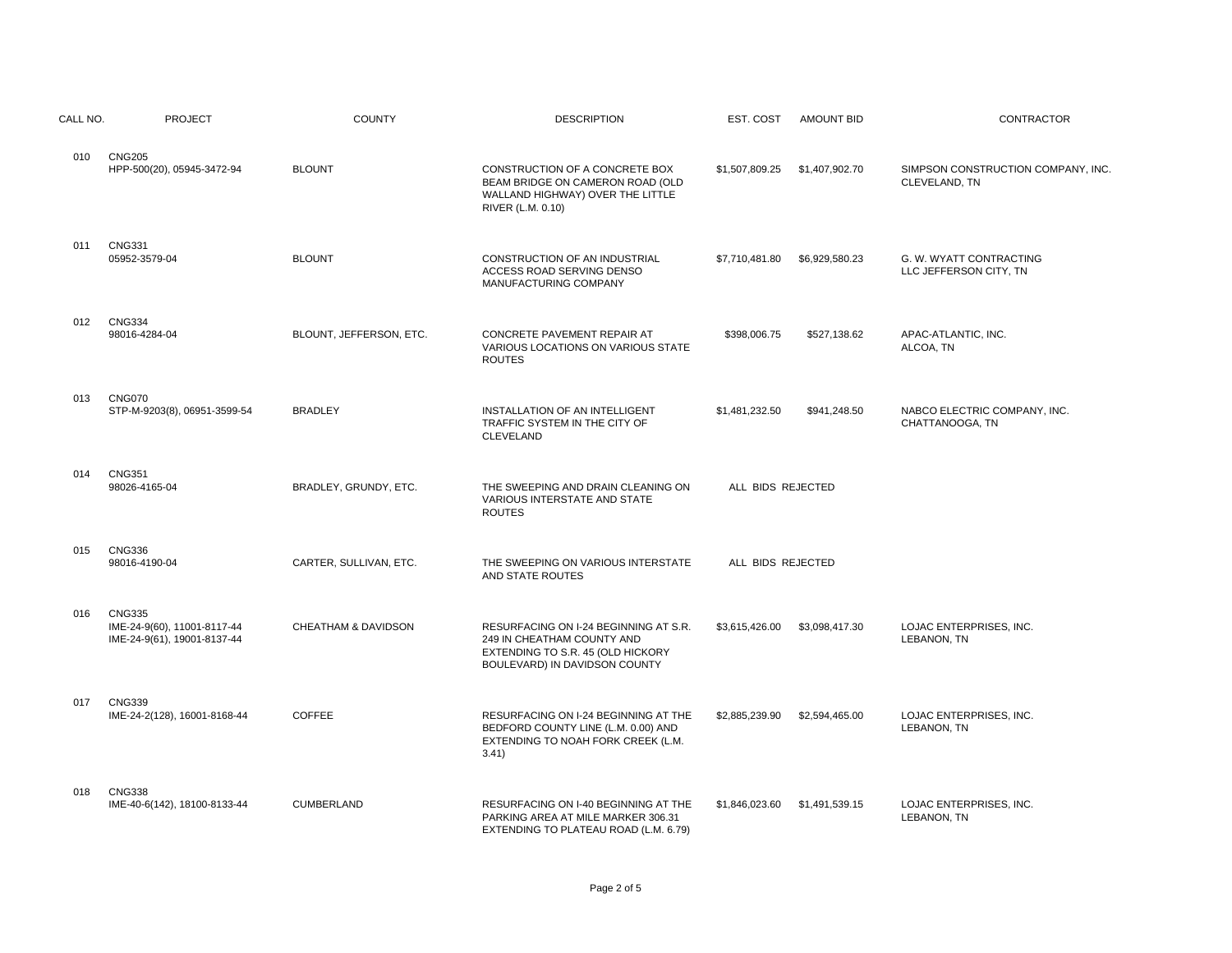| CALL NO. | <b>PROJECT</b>                                                              | <b>COUNTY</b>           | <b>DESCRIPTION</b>                                                                                                                        | EST. COST<br><b>AMOUNT BID</b>   | <b>CONTRACTOR</b>                                   |
|----------|-----------------------------------------------------------------------------|-------------------------|-------------------------------------------------------------------------------------------------------------------------------------------|----------------------------------|-----------------------------------------------------|
| 010      | <b>CNG205</b><br>HPP-500(20), 05945-3472-94                                 | <b>BLOUNT</b>           | CONSTRUCTION OF A CONCRETE BOX<br>BEAM BRIDGE ON CAMERON ROAD (OLD<br>WALLAND HIGHWAY) OVER THE LITTLE<br>RIVER (L.M. 0.10)               | \$1,507,809.25<br>\$1,407,902.70 | SIMPSON CONSTRUCTION COMPANY, INC.<br>CLEVELAND, TN |
| 011      | <b>CNG331</b><br>05952-3579-04                                              | <b>BLOUNT</b>           | CONSTRUCTION OF AN INDUSTRIAL<br>ACCESS ROAD SERVING DENSO<br>MANUFACTURING COMPANY                                                       | \$7,710,481.80<br>\$6,929,580.23 | G. W. WYATT CONTRACTING<br>LLC JEFFERSON CITY, TN   |
| 012      | <b>CNG334</b><br>98016-4284-04                                              | BLOUNT, JEFFERSON, ETC. | CONCRETE PAVEMENT REPAIR AT<br>VARIOUS LOCATIONS ON VARIOUS STATE<br><b>ROUTES</b>                                                        | \$398,006.75<br>\$527,138.62     | APAC-ATLANTIC, INC.<br>ALCOA, TN                    |
| 013      | <b>CNG070</b><br>STP-M-9203(8), 06951-3599-54                               | <b>BRADLEY</b>          | INSTALLATION OF AN INTELLIGENT<br>TRAFFIC SYSTEM IN THE CITY OF<br>CLEVELAND                                                              | \$1,481,232.50<br>\$941,248.50   | NABCO ELECTRIC COMPANY, INC.<br>CHATTANOOGA, TN     |
| 014      | <b>CNG351</b><br>98026-4165-04                                              | BRADLEY, GRUNDY, ETC.   | THE SWEEPING AND DRAIN CLEANING ON<br>VARIOUS INTERSTATE AND STATE<br><b>ROUTES</b>                                                       | ALL BIDS REJECTED                |                                                     |
| 015      | <b>CNG336</b><br>98016-4190-04                                              | CARTER, SULLIVAN, ETC.  | THE SWEEPING ON VARIOUS INTERSTATE<br>AND STATE ROUTES                                                                                    | ALL BIDS REJECTED                |                                                     |
| 016      | <b>CNG335</b><br>IME-24-9(60), 11001-8117-44<br>IME-24-9(61), 19001-8137-44 | CHEATHAM & DAVIDSON     | RESURFACING ON I-24 BEGINNING AT S.R.<br>249 IN CHEATHAM COUNTY AND<br>EXTENDING TO S.R. 45 (OLD HICKORY<br>BOULEVARD) IN DAVIDSON COUNTY | \$3,615,426.00<br>\$3,098,417.30 | LOJAC ENTERPRISES, INC.<br>LEBANON, TN              |
| 017      | <b>CNG339</b><br>IME-24-2(128), 16001-8168-44                               | <b>COFFEE</b>           | RESURFACING ON I-24 BEGINNING AT THE<br>BEDFORD COUNTY LINE (L.M. 0.00) AND<br>EXTENDING TO NOAH FORK CREEK (L.M.<br>3.41)                | \$2,885,239.90<br>\$2,594,465.00 | LOJAC ENTERPRISES, INC.<br>LEBANON, TN              |
| 018      | <b>CNG338</b><br>IME-40-6(142), 18100-8133-44                               | <b>CUMBERLAND</b>       | RESURFACING ON I-40 BEGINNING AT THE<br>PARKING AREA AT MILE MARKER 306.31<br>EXTENDING TO PLATEAU ROAD (L.M. 6.79)                       | \$1,846,023,60<br>\$1,491,539.15 | LOJAC ENTERPRISES, INC.<br>LEBANON, TN              |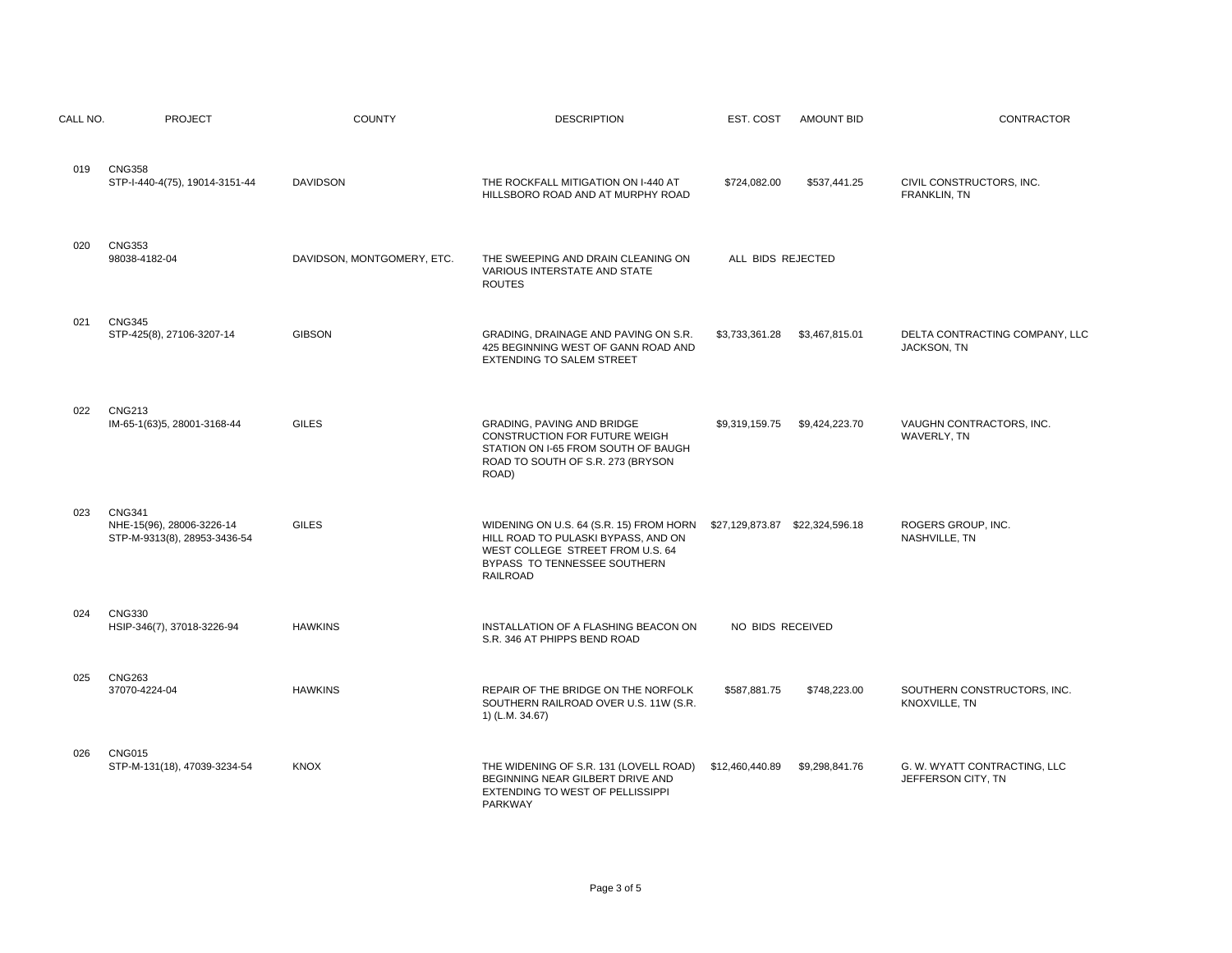| CALL NO. | <b>PROJECT</b>                                                             | <b>COUNTY</b>              | <b>DESCRIPTION</b>                                                                                                                                                    | EST. COST                        | <b>AMOUNT BID</b> | <b>CONTRACTOR</b>                                  |
|----------|----------------------------------------------------------------------------|----------------------------|-----------------------------------------------------------------------------------------------------------------------------------------------------------------------|----------------------------------|-------------------|----------------------------------------------------|
| 019      | <b>CNG358</b><br>STP-I-440-4(75), 19014-3151-44                            | <b>DAVIDSON</b>            | THE ROCKFALL MITIGATION ON I-440 AT<br>HILLSBORO ROAD AND AT MURPHY ROAD                                                                                              | \$724,082.00                     | \$537,441.25      | CIVIL CONSTRUCTORS, INC.<br>FRANKLIN, TN           |
| 020      | <b>CNG353</b><br>98038-4182-04                                             | DAVIDSON, MONTGOMERY, ETC. | THE SWEEPING AND DRAIN CLEANING ON<br><b>VARIOUS INTERSTATE AND STATE</b><br><b>ROUTES</b>                                                                            | ALL BIDS REJECTED                |                   |                                                    |
| 021      | <b>CNG345</b><br>STP-425(8), 27106-3207-14                                 | <b>GIBSON</b>              | GRADING, DRAINAGE AND PAVING ON S.R.<br>425 BEGINNING WEST OF GANN ROAD AND<br>EXTENDING TO SALEM STREET                                                              | \$3,733,361.28                   | \$3,467,815.01    | DELTA CONTRACTING COMPANY, LLC<br>JACKSON, TN      |
| 022      | <b>CNG213</b><br>IM-65-1(63)5, 28001-3168-44                               | <b>GILES</b>               | GRADING, PAVING AND BRIDGE<br>CONSTRUCTION FOR FUTURE WEIGH<br>STATION ON I-65 FROM SOUTH OF BAUGH<br>ROAD TO SOUTH OF S.R. 273 (BRYSON<br>ROAD)                      | \$9,319,159.75                   | \$9,424,223.70    | VAUGHN CONTRACTORS, INC.<br>WAVERLY, TN            |
| 023      | <b>CNG341</b><br>NHE-15(96), 28006-3226-14<br>STP-M-9313(8), 28953-3436-54 | <b>GILES</b>               | WIDENING ON U.S. 64 (S.R. 15) FROM HORN<br>HILL ROAD TO PULASKI BYPASS, AND ON<br>WEST COLLEGE STREET FROM U.S. 64<br>BYPASS TO TENNESSEE SOUTHERN<br><b>RAILROAD</b> | \$27,129,873.87  \$22,324,596.18 |                   | ROGERS GROUP, INC.<br>NASHVILLE, TN                |
| 024      | <b>CNG330</b><br>HSIP-346(7), 37018-3226-94                                | <b>HAWKINS</b>             | INSTALLATION OF A FLASHING BEACON ON<br>S.R. 346 AT PHIPPS BEND ROAD                                                                                                  | NO BIDS RECEIVED                 |                   |                                                    |
| 025      | <b>CNG263</b><br>37070-4224-04                                             | <b>HAWKINS</b>             | REPAIR OF THE BRIDGE ON THE NORFOLK<br>SOUTHERN RAILROAD OVER U.S. 11W (S.R.<br>1) (L.M. 34.67)                                                                       | \$587,881.75                     | \$748,223.00      | SOUTHERN CONSTRUCTORS, INC.<br>KNOXVILLE, TN       |
| 026      | <b>CNG015</b><br>STP-M-131(18), 47039-3234-54                              | <b>KNOX</b>                | THE WIDENING OF S.R. 131 (LOVELL ROAD)<br>BEGINNING NEAR GILBERT DRIVE AND<br>EXTENDING TO WEST OF PELLISSIPPI<br>PARKWAY                                             | \$12,460,440.89                  | \$9,298,841.76    | G. W. WYATT CONTRACTING, LLC<br>JEFFERSON CITY, TN |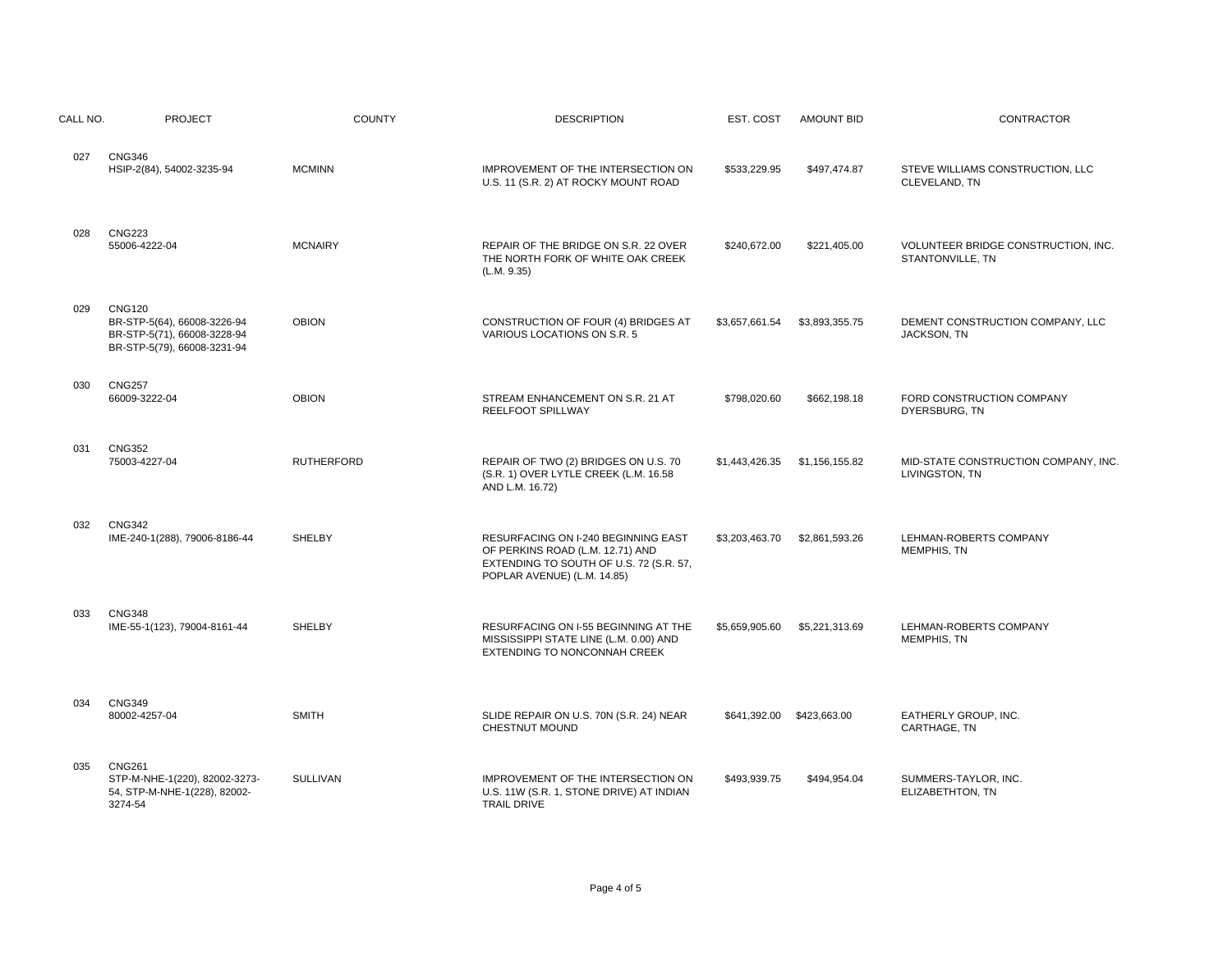| CALL NO. | <b>PROJECT</b>                                                                                             | <b>COUNTY</b>     | <b>DESCRIPTION</b>                                                                                                                                | EST. COST                 | <b>AMOUNT BID</b> | CONTRACTOR                                              |
|----------|------------------------------------------------------------------------------------------------------------|-------------------|---------------------------------------------------------------------------------------------------------------------------------------------------|---------------------------|-------------------|---------------------------------------------------------|
| 027      | <b>CNG346</b><br>HSIP-2(84), 54002-3235-94                                                                 | <b>MCMINN</b>     | IMPROVEMENT OF THE INTERSECTION ON<br>U.S. 11 (S.R. 2) AT ROCKY MOUNT ROAD                                                                        | \$533,229.95              | \$497,474.87      | STEVE WILLIAMS CONSTRUCTION, LLC<br>CLEVELAND, TN       |
| 028      | <b>CNG223</b><br>55006-4222-04                                                                             | <b>MCNAIRY</b>    | REPAIR OF THE BRIDGE ON S.R. 22 OVER<br>THE NORTH FORK OF WHITE OAK CREEK<br>(L.M. 9.35)                                                          | \$240,672.00              | \$221,405.00      | VOLUNTEER BRIDGE CONSTRUCTION, INC.<br>STANTONVILLE, TN |
| 029      | <b>CNG120</b><br>BR-STP-5(64), 66008-3226-94<br>BR-STP-5(71), 66008-3228-94<br>BR-STP-5(79), 66008-3231-94 | <b>OBION</b>      | CONSTRUCTION OF FOUR (4) BRIDGES AT<br>VARIOUS LOCATIONS ON S.R. 5                                                                                | \$3,657,661.54            | \$3,893,355.75    | DEMENT CONSTRUCTION COMPANY, LLC<br>JACKSON, TN         |
| 030      | <b>CNG257</b><br>66009-3222-04                                                                             | <b>OBION</b>      | STREAM ENHANCEMENT ON S.R. 21 AT<br>REELFOOT SPILLWAY                                                                                             | \$798,020.60              | \$662,198.18      | FORD CONSTRUCTION COMPANY<br>DYERSBURG, TN              |
| 031      | <b>CNG352</b><br>75003-4227-04                                                                             | <b>RUTHERFORD</b> | REPAIR OF TWO (2) BRIDGES ON U.S. 70<br>(S.R. 1) OVER LYTLE CREEK (L.M. 16.58<br>AND L.M. 16.72)                                                  | \$1,443,426.35            | \$1,156,155.82    | MID-STATE CONSTRUCTION COMPANY, INC.<br>LIVINGSTON, TN  |
| 032      | <b>CNG342</b><br>IME-240-1(288), 79006-8186-44                                                             | <b>SHELBY</b>     | RESURFACING ON I-240 BEGINNING EAST<br>OF PERKINS ROAD (L.M. 12.71) AND<br>EXTENDING TO SOUTH OF U.S. 72 (S.R. 57,<br>POPLAR AVENUE) (L.M. 14.85) | \$3,203,463.70            | \$2,861,593.26    | LEHMAN-ROBERTS COMPANY<br>MEMPHIS, TN                   |
| 033      | <b>CNG348</b><br>IME-55-1(123), 79004-8161-44                                                              | <b>SHELBY</b>     | RESURFACING ON I-55 BEGINNING AT THE<br>MISSISSIPPI STATE LINE (L.M. 0.00) AND<br>EXTENDING TO NONCONNAH CREEK                                    | \$5,659,905.60            | \$5,221,313.69    | LEHMAN-ROBERTS COMPANY<br>MEMPHIS, TN                   |
| 034      | <b>CNG349</b><br>80002-4257-04                                                                             | <b>SMITH</b>      | SLIDE REPAIR ON U.S. 70N (S.R. 24) NEAR<br>CHESTNUT MOUND                                                                                         | \$641,392.00 \$423,663.00 |                   | EATHERLY GROUP, INC.<br>CARTHAGE, TN                    |
| 035      | <b>CNG261</b><br>STP-M-NHE-1(220), 82002-3273-<br>54, STP-M-NHE-1(228), 82002-<br>3274-54                  | SULLIVAN          | IMPROVEMENT OF THE INTERSECTION ON<br>U.S. 11W (S.R. 1, STONE DRIVE) AT INDIAN<br><b>TRAIL DRIVE</b>                                              | \$493.939.75              | \$494,954.04      | SUMMERS-TAYLOR, INC.<br>ELIZABETHTON, TN                |